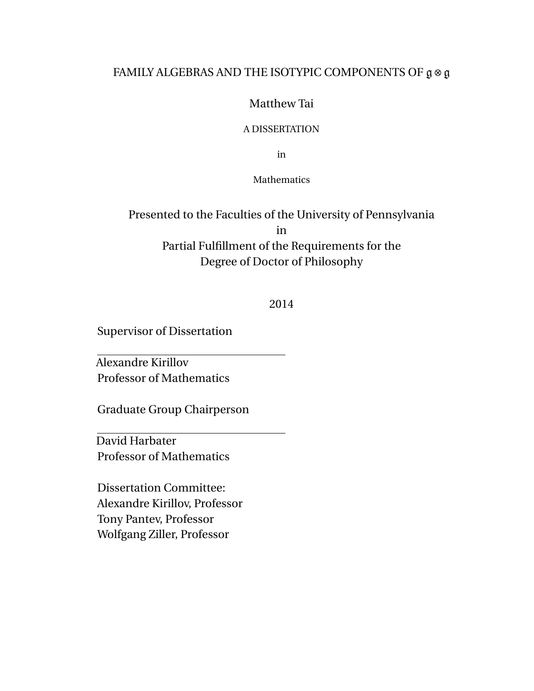#### FAMILY ALGEBRAS AND THE ISOTYPIC COMPONENTS OF  $\mathfrak{g} \otimes \mathfrak{g}$

#### Matthew Tai

#### A DISSERTATION

in

#### **Mathematics**

### Presented to the Faculties of the University of Pennsylvania in Partial Fulfillment of the Requirements for the Degree of Doctor of Philosophy

#### 2014

Supervisor of Dissertation

Alexandre Kirillov Professor of Mathematics

Graduate Group Chairperson

David Harbater Professor of Mathematics

Dissertation Committee: Alexandre Kirillov, Professor Tony Pantev, Professor Wolfgang Ziller, Professor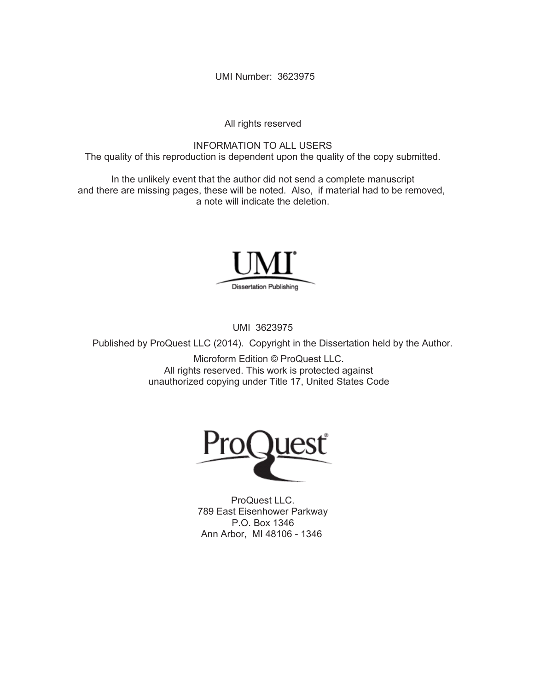UMI Number: 3623975

All rights reserved

INFORMATION TO ALL USERS The quality of this reproduction is dependent upon the quality of the copy submitted.

In the unlikely event that the author did not send a complete manuscript and there are missing pages, these will be noted. Also, if material had to be removed, a note will indicate the deletion.



UMI 3623975

Published by ProQuest LLC (2014). Copyright in the Dissertation held by the Author.

Microform Edition © ProQuest LLC. All rights reserved. This work is protected against unauthorized copying under Title 17, United States Code



ProQuest LLC. 789 East Eisenhower Parkway P.O. Box 1346 Ann Arbor, MI 48106 - 1346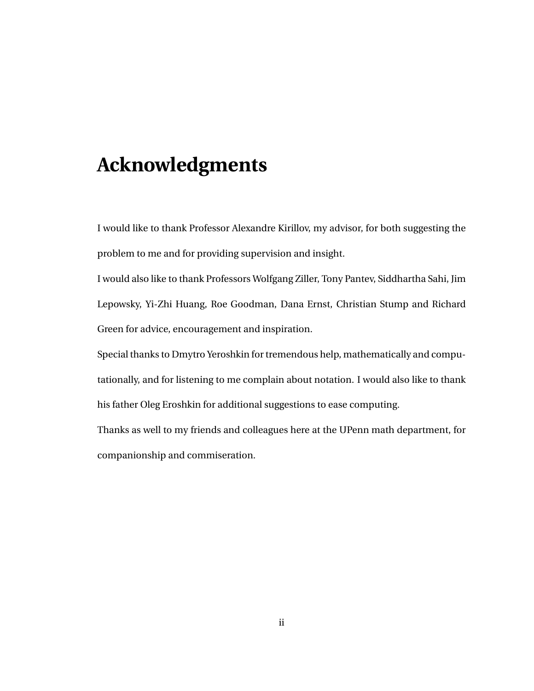# **Acknowledgments**

I would like to thank Professor Alexandre Kirillov, my advisor, for both suggesting the problem to me and for providing supervision and insight.

I would also like to thank Professors Wolfgang Ziller, Tony Pantev, Siddhartha Sahi, Jim Lepowsky, Yi-Zhi Huang, Roe Goodman, Dana Ernst, Christian Stump and Richard Green for advice, encouragement and inspiration.

Special thanks to Dmytro Yeroshkin for tremendous help, mathematically and computationally, and for listening to me complain about notation. I would also like to thank his father Oleg Eroshkin for additional suggestions to ease computing.

Thanks as well to my friends and colleagues here at the UPenn math department, for companionship and commiseration.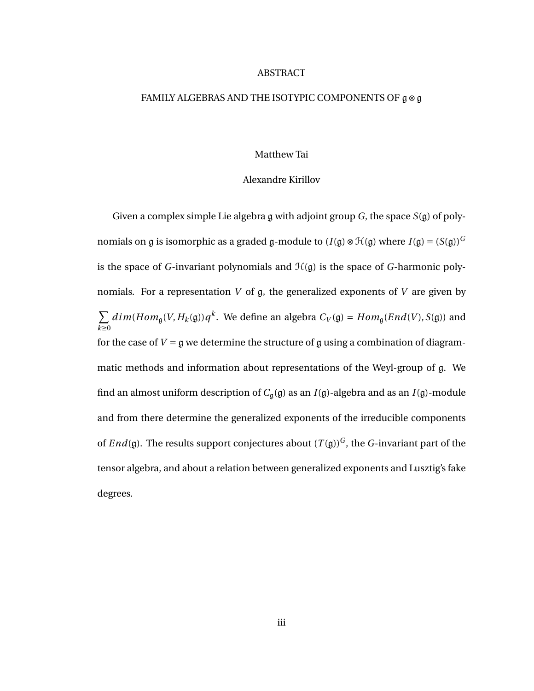#### ABSTRACT

#### FAMILY ALGEBRAS AND THE ISOTYPIC COMPONENTS OF g⊗g

#### Matthew Tai

#### Alexandre Kirillov

Given a complex simple Lie algebra g with adjoint group *G*, the space *S*(g) of polynomials on g is isomorphic as a graded g-module to ( $I(\mathfrak{g}) \otimes \mathfrak{H}(\mathfrak{g})$  where  $I(\mathfrak{g}) = (S(\mathfrak{g}))^G$ is the space of *G*-invariant polynomials and  $H(g)$  is the space of *G*-harmonic polynomials. For a representation *V* of g, the generalized exponents of *V* are given by  $\sum$ *k*≥0  $dim(Hom_{\mathfrak{g}}(V, H_k(\mathfrak{g}))q^k$ . We define an algebra  $C_V(\mathfrak{g}) = Hom_{\mathfrak{g}}(End(V), S(\mathfrak{g}))$  and for the case of  $V = \mathfrak{g}$  we determine the structure of g using a combination of diagrammatic methods and information about representations of the Weyl-group of g. We find an almost uniform description of  $C_q(g)$  as an  $I(g)$ -algebra and as an  $I(g)$ -module and from there determine the generalized exponents of the irreducible components of *End*(g). The results support conjectures about  $(T(g))^G$ , the *G*-invariant part of the tensor algebra, and about a relation between generalized exponents and Lusztig's fake degrees.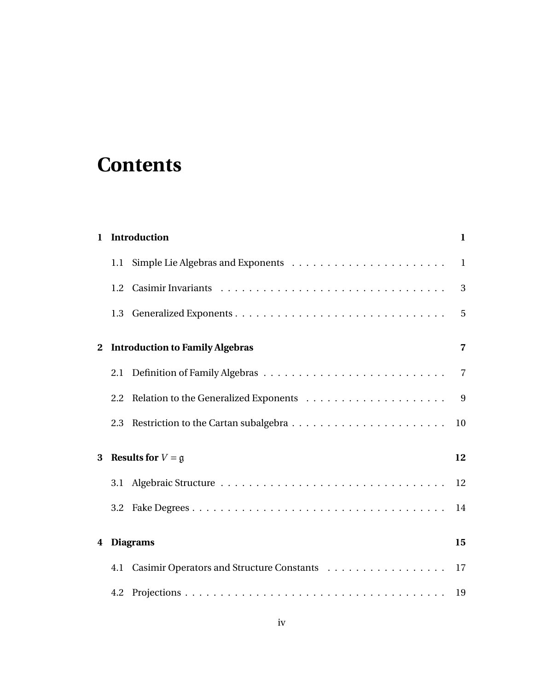# **Contents**

|              | 1 Introduction                                | 1              |
|--------------|-----------------------------------------------|----------------|
|              |                                               |                |
|              |                                               | 3              |
|              |                                               | $\overline{5}$ |
| $\mathbf{2}$ | <b>Introduction to Family Algebras</b>        | $\overline{7}$ |
|              |                                               |                |
|              |                                               | 9              |
|              |                                               | 10             |
| 3            | <b>Results for</b> $V = \mathfrak{g}$         | 12             |
|              |                                               | 12             |
|              |                                               | 14             |
| 4            | <b>Diagrams</b>                               | 15             |
|              | 4.1 Casimir Operators and Structure Constants | 17             |
|              |                                               |                |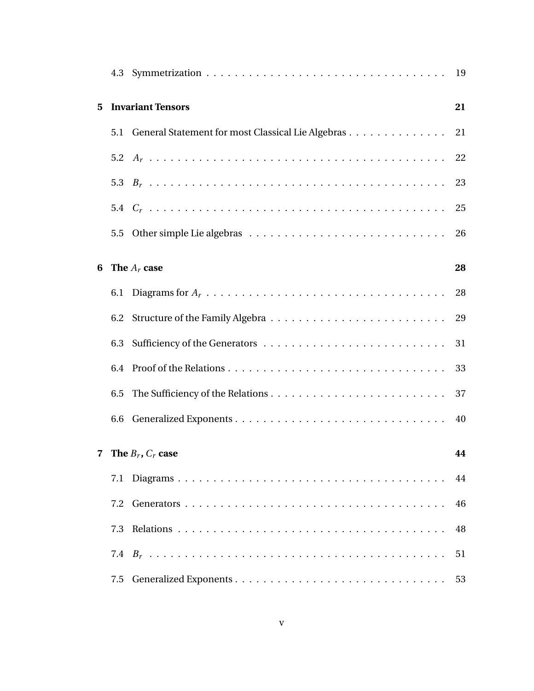| 5              |     | <b>Invariant Tensors</b>                              | 21 |
|----------------|-----|-------------------------------------------------------|----|
|                |     | 5.1 General Statement for most Classical Lie Algebras | 21 |
|                |     |                                                       |    |
|                |     |                                                       | 23 |
|                |     |                                                       |    |
|                | 5.5 |                                                       | 26 |
| 6              |     | The $A_r$ case                                        | 28 |
|                |     |                                                       |    |
|                | 6.2 |                                                       |    |
|                | 6.3 |                                                       |    |
|                | 6.4 |                                                       | 33 |
|                | 6.5 |                                                       | 37 |
|                |     |                                                       |    |
| $\overline{7}$ |     | The $B_r$ , $C_r$ case                                | 44 |
|                | 7.1 |                                                       | 44 |
|                | 7.2 |                                                       | 46 |
|                | 7.3 |                                                       | 48 |
|                |     |                                                       | 51 |
|                | 7.5 |                                                       | 53 |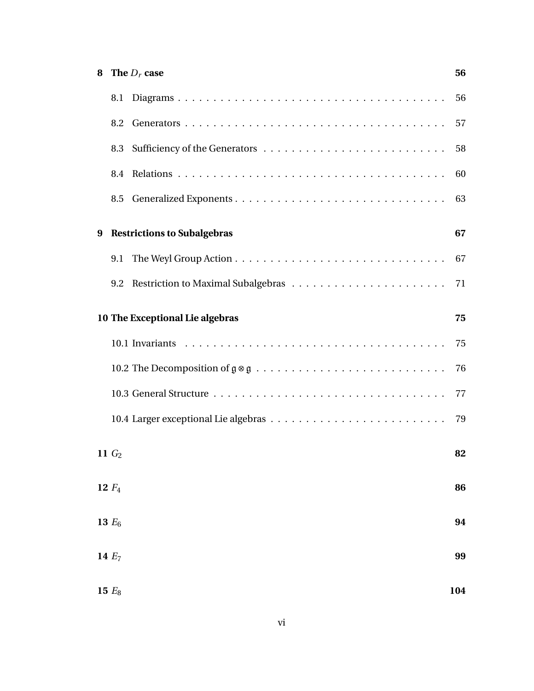| 8 |          | The $D_r$ case                     | 56  |
|---|----------|------------------------------------|-----|
|   | 8.1      |                                    | 56  |
|   | 8.2      |                                    | 57  |
|   | 8.3      |                                    | 58  |
|   |          |                                    | 60  |
|   |          |                                    | 63  |
| 9 |          | <b>Restrictions to Subalgebras</b> | 67  |
|   | 9.1      |                                    |     |
|   |          |                                    |     |
|   |          | 10 The Exceptional Lie algebras    | 75  |
|   |          |                                    |     |
|   |          |                                    | 76  |
|   |          |                                    | 77  |
|   |          |                                    | 79  |
|   | 11 $G2$  |                                    | 82  |
|   | 12 $F_4$ |                                    | 86  |
|   | 13 $E_6$ |                                    | 94  |
|   | 14 $E_7$ |                                    | 99  |
|   | 15 $E_8$ |                                    | 104 |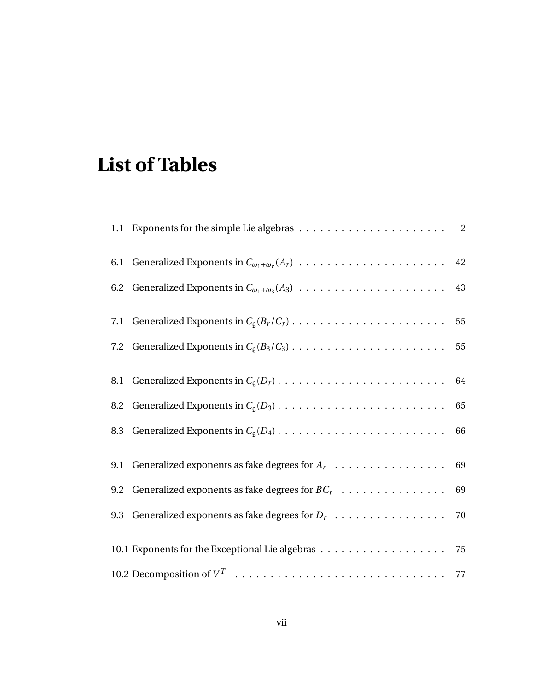# **List of Tables**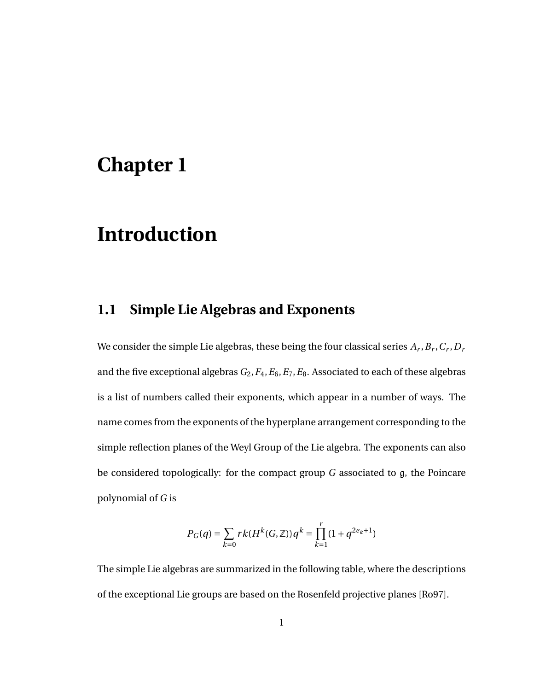# **Chapter 1**

# **Introduction**

### **1.1 Simple Lie Algebras and Exponents**

We consider the simple Lie algebras, these being the four classical series  $A_r$  ,  $B_r$  ,  $C_r$  ,  $D_r$ and the five exceptional algebras *G*2,*F*4,*E*6,*E*7,*E*8. Associated to each of these algebras is a list of numbers called their exponents, which appear in a number of ways. The name comes from the exponents of the hyperplane arrangement corresponding to the simple reflection planes of the Weyl Group of the Lie algebra. The exponents can also be considered topologically: for the compact group *G* associated to g, the Poincare polynomial of *G* is

$$
P_G(q) = \sum_{k=0} r k(H^k(G,\mathbb{Z})) q^k = \prod_{k=1}^r (1+q^{2e_k+1})
$$

The simple Lie algebras are summarized in the following table, where the descriptions of the exceptional Lie groups are based on the Rosenfeld projective planes [Ro97].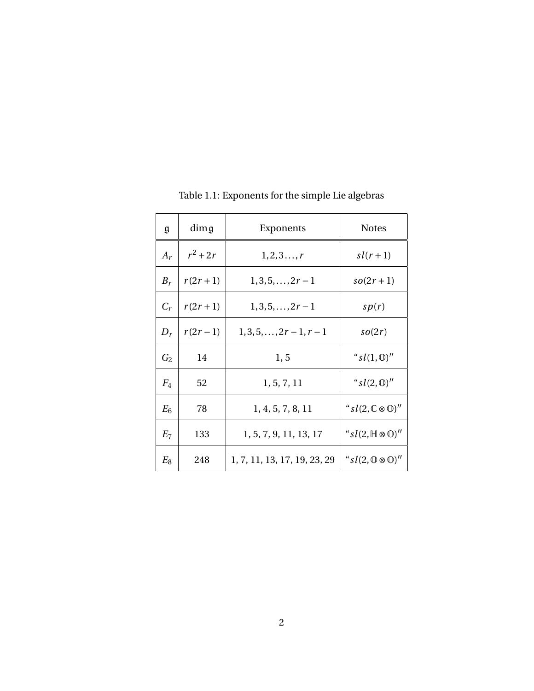| g     | dimg        | Exponents                    | <b>Notes</b>                            |
|-------|-------------|------------------------------|-----------------------------------------|
| $A_r$ | $r^2+2r$    | $1, 2, 3, \ldots, r$         | $sl(r+1)$                               |
| $B_r$ | $r(2r + 1)$ | $1, 3, 5, \ldots, 2r-1$      | $so(2r+1)$                              |
| $C_r$ | $r(2r+1)$   | $1,3,5,,2r-1$                | sp(r)                                   |
| $D_r$ | $r(2r-1)$   | $1,3,5,,2r-1,r-1$            | so(2r)                                  |
| $G_2$ | 14          | 1, 5                         | " $sl(1,\mathbb{O})$ "                  |
| $F_4$ | 52          | 1, 5, 7, 11                  | " $sl(2,\mathbb{O})$ "                  |
| $E_6$ | 78          | 1, 4, 5, 7, 8, 11            | " $sl(2,\mathbb{C}\otimes\mathbb{O})''$ |
| $E_7$ | 133         | 1, 5, 7, 9, 11, 13, 17       | " $sl(2,\mathbb{H}\otimes\mathbb{O})''$ |
| $E_8$ | 248         | 1, 7, 11, 13, 17, 19, 23, 29 | " $sl(2,\mathbb{O}\otimes\mathbb{O})''$ |

Table 1.1: Exponents for the simple Lie algebras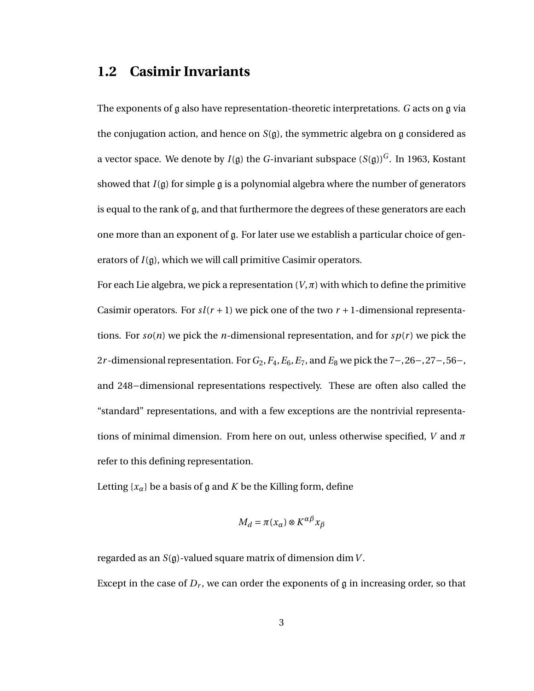#### **1.2 Casimir Invariants**

The exponents of g also have representation-theoretic interpretations. *G* acts on g via the conjugation action, and hence on *S*(g), the symmetric algebra on g considered as a vector space. We denote by  $I(\mathfrak{g})$  the *G*-invariant subspace  $(S(\mathfrak{g}))^G$ . In 1963, Kostant showed that  $I(\mathfrak{g})$  for simple  $\mathfrak{g}$  is a polynomial algebra where the number of generators is equal to the rank of  $g$ , and that furthermore the degrees of these generators are each one more than an exponent of g. For later use we establish a particular choice of generators of *I*(g), which we will call primitive Casimir operators.

For each Lie algebra, we pick a representation  $(V,\pi)$  with which to define the primitive Casimir operators. For  $sl(r + 1)$  we pick one of the two  $r + 1$ -dimensional representations. For  $so(n)$  we pick the *n*-dimensional representation, and for  $sp(r)$  we pick the 2*r* -dimensional representation. For*G*2,*F*4,*E*6,*E*7, and *E*<sup>8</sup> we pick the 7−, 26−, 27−, 56−, and 248−dimensional representations respectively. These are often also called the "standard" representations, and with a few exceptions are the nontrivial representations of minimal dimension. From here on out, unless otherwise specified, *V* and *π* refer to this defining representation.

Letting  $\{x_\alpha\}$  be a basis of g and *K* be the Killing form, define

$$
M_d = \pi(x_\alpha) \otimes K^{\alpha\beta} x_\beta
$$

regarded as an *S*(g)-valued square matrix of dimension dim*V* . Except in the case of  $D_r$ , we can order the exponents of  $\mathfrak g$  in increasing order, so that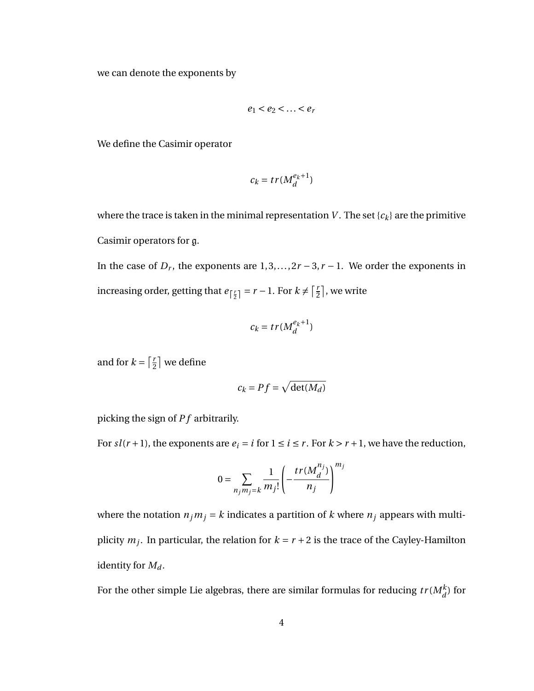we can denote the exponents by

$$
e_1 < e_2 < \ldots < e_r
$$

We define the Casimir operator

$$
c_k=tr(M_d^{e_k+1})\,
$$

where the trace is taken in the minimal representation *V*. The set  ${c_k}$  are the primitive Casimir operators for g.

In the case of  $D_r$ , the exponents are  $1, 3, \ldots, 2r - 3, r - 1$ . We order the exponents in increasing order, getting that  $e_{\lceil \frac{r}{2} \rceil} = r - 1$ . For  $k \neq \lceil \frac{r}{2} \rceil$  $\frac{r}{2}$ , we write

$$
c_k = tr(M_d^{e_k+1})
$$

and for  $k = \frac{r}{2}$  $\frac{r}{2}$  we define

$$
c_k = Pf = \sqrt{\det(M_d)}
$$

picking the sign of *P f* arbitrarily.

For  $sl(r+1)$ , the exponents are  $e_i = i$  for  $1 \le i \le r$ . For  $k > r+1$ , we have the reduction,

$$
0 = \sum_{n_j m_j = k} \frac{1}{m_j!} \left( -\frac{tr(M_d^{n_j})}{n_j} \right)^{m_j}
$$

where the notation  $n_j m_j = k$  indicates a partition of *k* where  $n_j$  appears with multiplicity  $m_j$ . In particular, the relation for  $k = r + 2$  is the trace of the Cayley-Hamilton identity for *M<sup>d</sup>* .

For the other simple Lie algebras, there are similar formulas for reducing  $tr(M_d^k)$  for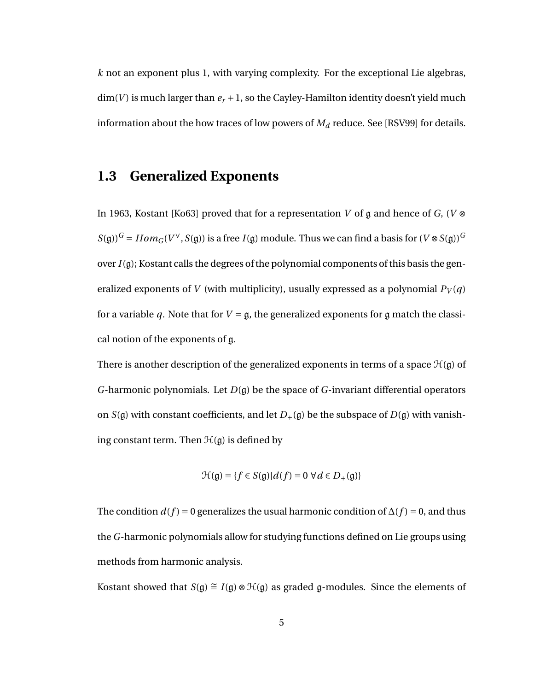*k* not an exponent plus 1, with varying complexity. For the exceptional Lie algebras,  $\dim(V)$  is much larger than  $e_r + 1$ , so the Cayley-Hamilton identity doesn't yield much information about the how traces of low powers of  $M_d$  reduce. See [RSV99] for details.

#### **1.3 Generalized Exponents**

In 1963, Kostant [Ko63] proved that for a representation *V* of g and hence of *G*, (*V* ⊗  $S(\mathfrak{g}))^G = Hom_G(V^\vee, S(\mathfrak{g}))$  is a free  $I(\mathfrak{g})$  module. Thus we can find a basis for  $(V \otimes S(\mathfrak{g}))^G$ over *I*(g); Kostant calls the degrees of the polynomial components of this basis the generalized exponents of *V* (with multiplicity), usually expressed as a polynomial  $P_V(q)$ for a variable *q*. Note that for  $V = \mathfrak{g}$ , the generalized exponents for g match the classical notion of the exponents of g.

There is another description of the generalized exponents in terms of a space  $\mathcal{H}(\mathfrak{g})$  of *G*-harmonic polynomials. Let *D*(g) be the space of *G*-invariant differential operators on  $S(\mathfrak{g})$  with constant coefficients, and let  $D_+(\mathfrak{g})$  be the subspace of  $D(\mathfrak{g})$  with vanishing constant term. Then  $\mathcal{H}(\mathfrak{g})$  is defined by

$$
\mathcal{H}(\mathfrak{g}) = \{ f \in S(\mathfrak{g}) | d(f) = 0 \; \forall d \in D_+(\mathfrak{g}) \}
$$

The condition  $d(f) = 0$  generalizes the usual harmonic condition of  $\Delta(f) = 0$ , and thus the *G*-harmonic polynomials allow for studying functions defined on Lie groups using methods from harmonic analysis.

Kostant showed that *S*(g)  $\cong I(g) \otimes \mathcal{H}(g)$  as graded g-modules. Since the elements of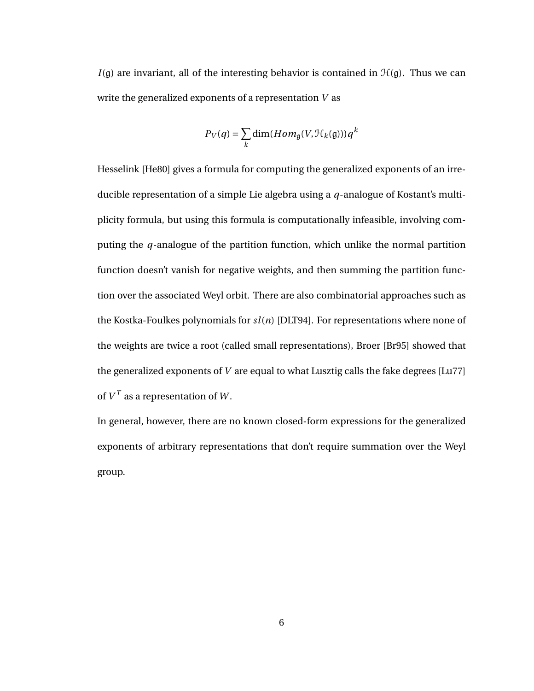$I(\mathfrak{g})$  are invariant, all of the interesting behavior is contained in  $\mathcal{H}(\mathfrak{g})$ . Thus we can write the generalized exponents of a representation *V* as

$$
P_V(q) = \sum_{k} \dim(Hom_{\mathfrak{g}}(V, \mathcal{H}_k(\mathfrak{g}))) q^k
$$

Hesselink [He80] gives a formula for computing the generalized exponents of an irreducible representation of a simple Lie algebra using a *q*-analogue of Kostant's multiplicity formula, but using this formula is computationally infeasible, involving computing the *q*-analogue of the partition function, which unlike the normal partition function doesn't vanish for negative weights, and then summing the partition function over the associated Weyl orbit. There are also combinatorial approaches such as the Kostka-Foulkes polynomials for *sl*(*n*) [DLT94]. For representations where none of the weights are twice a root (called small representations), Broer [Br95] showed that the generalized exponents of *V* are equal to what Lusztig calls the fake degrees [Lu77] of  $V^T$  as a representation of  $W$ .

In general, however, there are no known closed-form expressions for the generalized exponents of arbitrary representations that don't require summation over the Weyl group.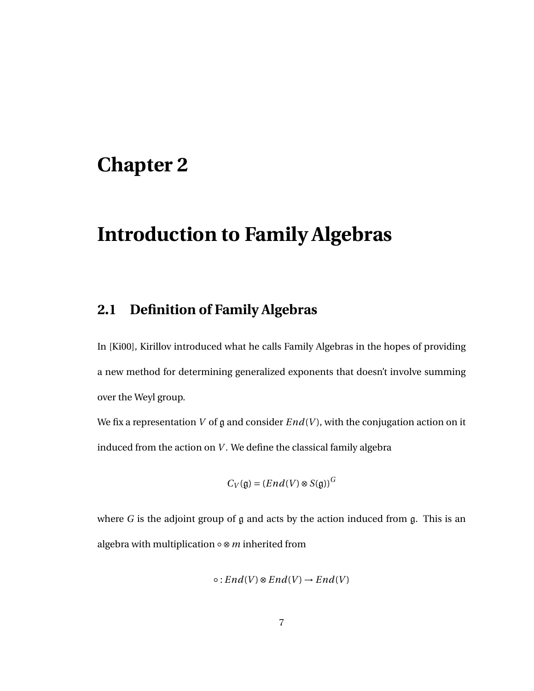## **Chapter 2**

# **Introduction to Family Algebras**

## **2.1 Definition of Family Algebras**

In [Ki00], Kirillov introduced what he calls Family Algebras in the hopes of providing a new method for determining generalized exponents that doesn't involve summing over the Weyl group.

We fix a representation *V* of g and consider  $End(V)$ , with the conjugation action on it induced from the action on *V* . We define the classical family algebra

$$
C_V(\mathfrak{g}) = (End(V) \otimes S(\mathfrak{g}))^G
$$

where  $G$  is the adjoint group of  $g$  and acts by the action induced from  $g$ . This is an algebra with multiplication ◦ ⊗*m* inherited from

$$
\circ : End(V) \otimes End(V) \to End(V)
$$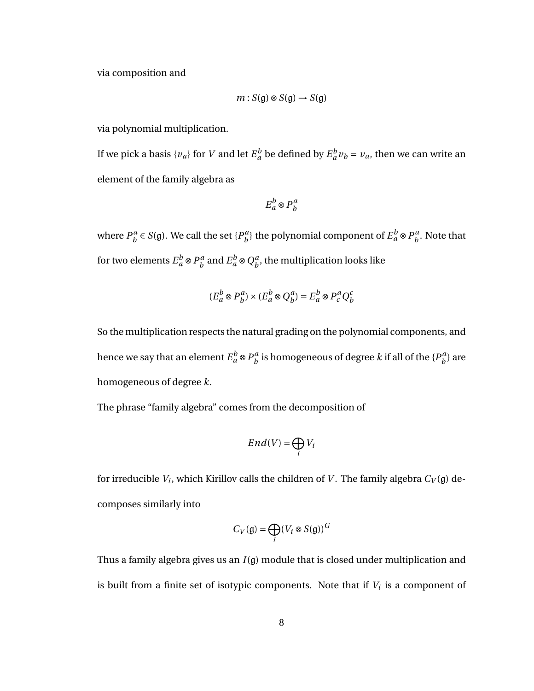via composition and

$$
m: S(\mathfrak{g}) \otimes S(\mathfrak{g}) \to S(\mathfrak{g})
$$

via polynomial multiplication.

If we pick a basis  $\{v_a\}$  for *V* and let  $E_a^b$  be defined by  $E_a^b v_b = v_a$ , then we can write an element of the family algebra as

$$
E_a^b \otimes P_b^a
$$

where  $P_h^a$  $b^a$   $\in$  *S*(g). We call the set {*P*<sup>*a*</sup></sup> $b$  $\left\{ \begin{array}{l} a \\ b \end{array} \right\}$  the polynomial component of  $E_a^b \otimes P_b^a$  $\int_b^a$ . Note that for two elements  $E_a^b \otimes P_b^a$  $\mathcal{L}_b^a$  and  $E_a^b \otimes Q_b^a$  $\boldsymbol{h}_b^a$ , the multiplication looks like

$$
(E_a^b \otimes P_b^a) \times (E_a^b \otimes Q_b^a) = E_a^b \otimes P_c^a Q_b^c
$$

So the multiplication respects the natural grading on the polynomial components, and hence we say that an element  $E_a^b \otimes P_b^a$  $\frac{a}{b}$  is homogeneous of degree  $k$  if all of the  $\{P_{b}^{a}$  $\binom{a}{b}$  are homogeneous of degree *k*.

The phrase "family algebra" comes from the decomposition of

$$
End(V) = \bigoplus_i V_i
$$

for irreducible  $V_i$ , which Kirillov calls the children of  $V$ . The family algebra  $C_V(\mathfrak{g})$  decomposes similarly into

$$
C_V(\mathfrak{g}) = \bigoplus_i (V_i \otimes S(\mathfrak{g}))^G
$$

Thus a family algebra gives us an *I*(g) module that is closed under multiplication and is built from a finite set of isotypic components. Note that if  $V_i$  is a component of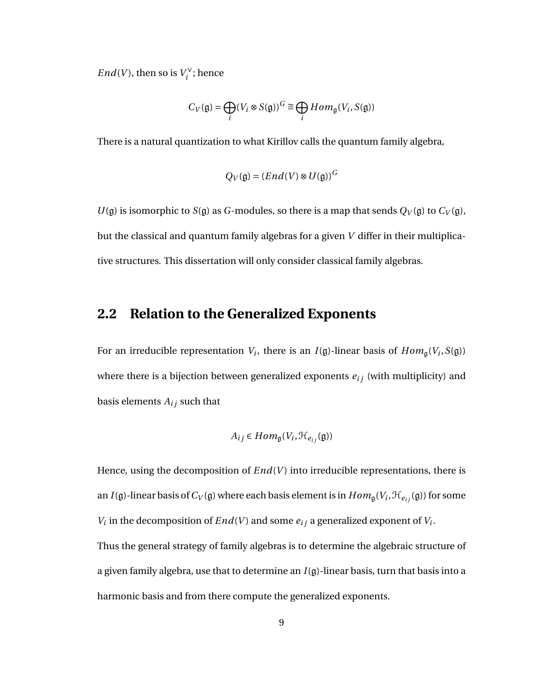*End*(*V*), then so is  $V_i^{\vee}$  $i^{\vee}$ ; hence

$$
C_V(\mathfrak{g}) = \bigoplus_i (V_i \otimes S(\mathfrak{g}))^G \cong \bigoplus_i Hom_{\mathfrak{g}}(V_i, S(\mathfrak{g}))
$$

There is a natural quantization to what Kirillov calls the quantum family algebra,

$$
Q_V(\mathfrak{g}) = (End(V) \otimes U(\mathfrak{g}))^G
$$

 $U(\mathfrak{g})$  is isomorphic to *S*( $\mathfrak{g}$ ) as *G*-modules, so there is a map that sends  $Q_V(\mathfrak{g})$  to  $C_V(\mathfrak{g})$ , but the classical and quantum family algebras for a given *V* differ in their multiplicative structures. This dissertation will only consider classical family algebras.

### **2.2 Relation to the Generalized Exponents**

For an irreducible representation  $V_i$ , there is an  $I(\mathfrak{g})$ -linear basis of  $Hom_{\mathfrak{g}}(V_i, S(\mathfrak{g}))$ where there is a bijection between generalized exponents  $e_{ij}$  (with multiplicity) and basis elements  $A_{ij}$  such that

$$
A_{ij} \in Hom_{\mathfrak{g}}(V_i, \mathcal{H}_{e_{ij}}(\mathfrak{g}))
$$

Hence, using the decomposition of  $End(V)$  into irreducible representations, there is an *I*(g)-linear basis of  $C_V$ (g) where each basis element is in  $Hom_{\mathfrak{g}}(V_i,\mathfrak{H}_{e_{ij}}(\mathfrak{g}))$  for some *V*<sup>*i*</sup> in the decomposition of *End*(*V*) and some  $e_{ij}$  a generalized exponent of *V*<sup>*i*</sup>. Thus the general strategy of family algebras is to determine the algebraic structure of a given family algebra, use that to determine an *I*(g)-linear basis, turn that basis into a harmonic basis and from there compute the generalized exponents.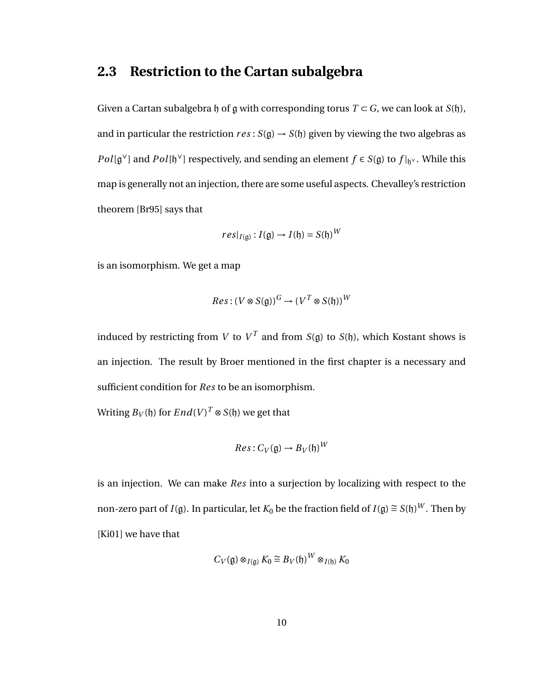#### **2.3 Restriction to the Cartan subalgebra**

Given a Cartan subalgebra h of g with corresponding torus  $T \subset G$ , we can look at  $S(h)$ , and in particular the restriction  $res: S(g) \rightarrow S(h)$  given by viewing the two algebras as *Pol*[g<sup>∨</sup>] and *Pol*[ $\mathfrak{h}^{\vee}$ ] respectively, and sending an element *f* ∈ *S*( $\mathfrak{g}$ ) to *f* |<sub> $\mathfrak{h}^{\vee}$ . While this</sub> map is generally not an injection, there are some useful aspects. Chevalley's restriction theorem [Br95] says that

$$
res|_{I(\mathfrak{g})}: I(\mathfrak{g}) \to I(\mathfrak{h}) = S(\mathfrak{h})^W
$$

is an isomorphism. We get a map

$$
Res: (V \otimes S(\mathfrak{g}))^G \to (V^T \otimes S(\mathfrak{h}))^W
$$

induced by restricting from *V* to  $V^T$  and from *S*(g) to *S*(h), which Kostant shows is an injection. The result by Broer mentioned in the first chapter is a necessary and sufficient condition for *Res* to be an isomorphism.

Writing  $B_V(\mathfrak{h})$  for  $End(V)^T\otimes S(\mathfrak{h})$  we get that

$$
Res: C_V(\mathfrak{g}) \to B_V(\mathfrak{h})^W
$$

is an injection. We can make *Res* into a surjection by localizing with respect to the non-zero part of *I*(g). In particular, let  $K_0$  be the fraction field of *I*(g)  $\cong$  *S*(f)) $^W$ . Then by [Ki01] we have that

$$
C_V(\mathfrak{g}) \otimes_{I(\mathfrak{g})} K_0 \cong B_V(\mathfrak{h})^W \otimes_{I(\mathfrak{h})} K_0
$$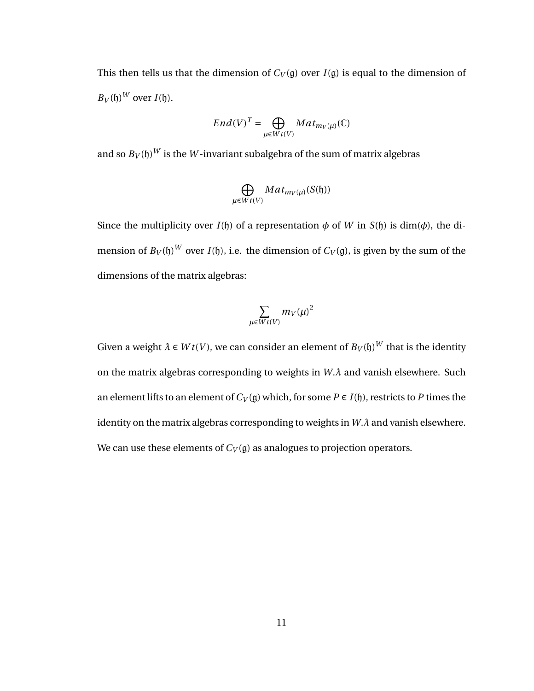This then tells us that the dimension of  $C_V(g)$  over  $I(g)$  is equal to the dimension of  $B_V(\mathfrak{h})^W$  over  $I(\mathfrak{h})$ .

$$
End(V)^{T} = \bigoplus_{\mu \in Wt(V)} Mat_{m_V(\mu)}(\mathbb{C})
$$

and so  $B_V(\mathfrak{h})^W$  is the  $W$ -invariant subalgebra of the sum of matrix algebras

$$
\bigoplus_{\mu \in W} Mat_{m_V(\mu)}(S(\mathfrak{h}))
$$

Since the multiplicity over  $I(f)$  of a representation  $\phi$  of W in  $S(f)$  is dim( $\phi$ ), the dimension of  $B_V(\mathfrak{h})^W$  over *I*( $\mathfrak{h}$ ), i.e. the dimension of  $C_V(\mathfrak{g})$ , is given by the sum of the dimensions of the matrix algebras:

$$
\sum_{\mu\in Wt(V)}m_V(\mu)^2
$$

Given a weight  $\lambda \in W$ *t*( $V$ ), we can consider an element of  $B_V(\mathfrak{h})^W$  that is the identity on the matrix algebras corresponding to weights in *W*.*λ* and vanish elsewhere. Such an element lifts to an element of  $C_V(\mathfrak{g})$  which, for some  $P \in I(\mathfrak{h})$ , restricts to P times the identity on the matrix algebras corresponding to weights in *W*.*λ* and vanish elsewhere. We can use these elements of  $C_V(\mathfrak{g})$  as analogues to projection operators.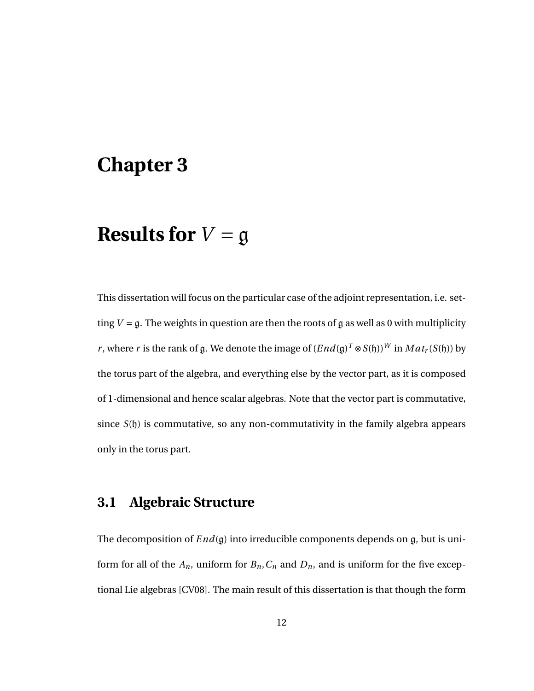## **Chapter 3**

# **Results for**  $V = g$

This dissertation will focus on the particular case of the adjoint representation, i.e. setting  $V = \mathfrak{g}$ . The weights in question are then the roots of g as well as 0 with multiplicity *r* , where *r* is the rank of g. We denote the image of  $(End(\mathfrak{g})^T\otimes S(\mathfrak{h}))^W$  in  $Mat_r(S(\mathfrak{h}))$  by the torus part of the algebra, and everything else by the vector part, as it is composed of 1-dimensional and hence scalar algebras. Note that the vector part is commutative, since *S*(h) is commutative, so any non-commutativity in the family algebra appears only in the torus part.

### **3.1 Algebraic Structure**

The decomposition of *End*(g) into irreducible components depends on g, but is uniform for all of the  $A_n$ , uniform for  $B_n$ ,  $C_n$  and  $D_n$ , and is uniform for the five exceptional Lie algebras [CV08]. The main result of this dissertation is that though the form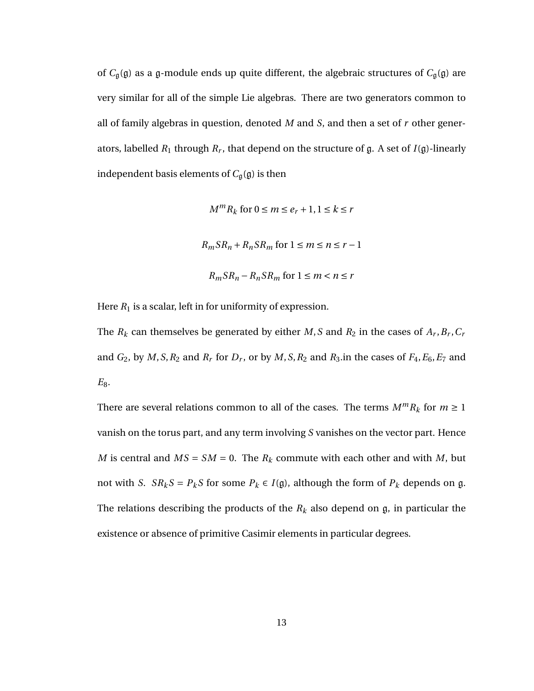of *C*g(g) as a g-module ends up quite different, the algebraic structures of *C*g(g) are very similar for all of the simple Lie algebras. There are two generators common to all of family algebras in question, denoted *M* and *S*, and then a set of *r* other generators, labelled  $R_1$  through  $R_r$ , that depend on the structure of  $\mathfrak g$ . A set of  $I(\mathfrak g)$ -linearly independent basis elements of  $C_{\mathfrak{g}}(\mathfrak{g})$  is then

$$
M^{m}R_{k} \text{ for } 0 \le m \le e_{r} + 1, 1 \le k \le r
$$
  

$$
R_{m}SR_{n} + R_{n}SR_{m} \text{ for } 1 \le m \le n \le r - 1
$$
  

$$
R_{m}SR_{n} - R_{n}SR_{m} \text{ for } 1 \le m < n \le r
$$

Here  $R_1$  is a scalar, left in for uniformity of expression.

The  $R_k$  can themselves be generated by either  $M$ ,  $S$  and  $R_2$  in the cases of  $A_r$ ,  $B_r$ ,  $C_r$ and  $G_2$ , by  $M$ ,  $S$ ,  $R_2$  and  $R_r$  for  $D_r$ , or by  $M$ ,  $S$ ,  $R_2$  and  $R_3$ .in the cases of  $F_4$ ,  $E_6$ ,  $E_7$  and  $E_8$ .

There are several relations common to all of the cases. The terms  $M^m R_k$  for  $m \ge 1$ vanish on the torus part, and any term involving *S* vanishes on the vector part. Hence *M* is central and  $MS = SM = 0$ . The  $R_k$  commute with each other and with *M*, but not with *S*.  $SR_kS = P_kS$  for some  $P_k \in I(\mathfrak{g})$ , although the form of  $P_k$  depends on g. The relations describing the products of the  $R_k$  also depend on  $\mathfrak{g}$ , in particular the existence or absence of primitive Casimir elements in particular degrees.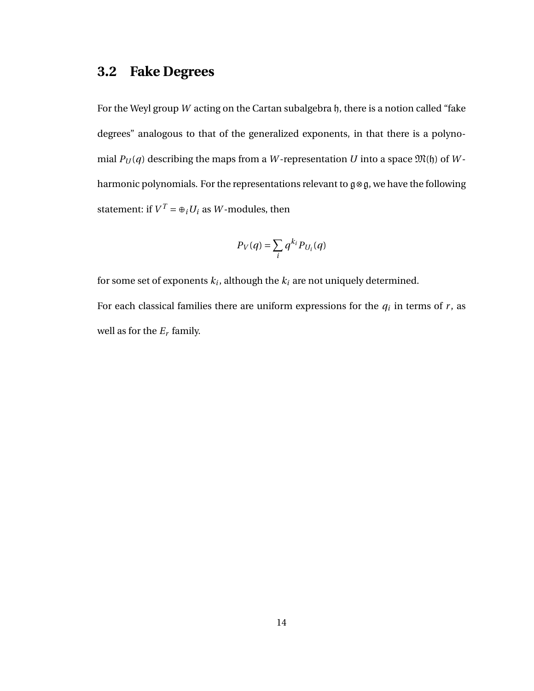### **3.2 Fake Degrees**

For the Weyl group *W* acting on the Cartan subalgebra h, there is a notion called "fake degrees" analogous to that of the generalized exponents, in that there is a polynomial  $P_U(q)$  describing the maps from a W-representation *U* into a space  $\mathfrak{M}(\mathfrak{h})$  of *W*harmonic polynomials. For the representations relevant to g⊗g, we have the following statement: if  $V^T = \bigoplus_i U_i$  as  $W$ -modules, then

$$
P_V(q) = \sum_i q^{k_i} P_{U_i}(q)
$$

for some set of exponents  $k_i$ , although the  $k_i$  are not uniquely determined. For each classical families there are uniform expressions for the  $q_i$  in terms of  $r$ , as well as for the *E<sup>r</sup>* family.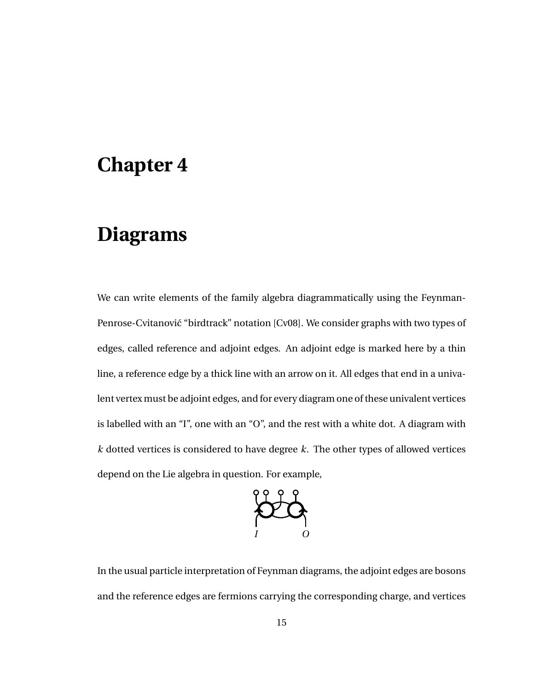## **Chapter 4**

# **Diagrams**

We can write elements of the family algebra diagrammatically using the Feynman-Penrose-Cvitanović "birdtrack" notation [Cv08]. We consider graphs with two types of edges, called reference and adjoint edges. An adjoint edge is marked here by a thin line, a reference edge by a thick line with an arrow on it. All edges that end in a univalent vertex must be adjoint edges, and for every diagram one of these univalent vertices is labelled with an "I", one with an "O", and the rest with a white dot. A diagram with *k* dotted vertices is considered to have degree *k*. The other types of allowed vertices depend on the Lie algebra in question. For example,



In the usual particle interpretation of Feynman diagrams, the adjoint edges are bosons and the reference edges are fermions carrying the corresponding charge, and vertices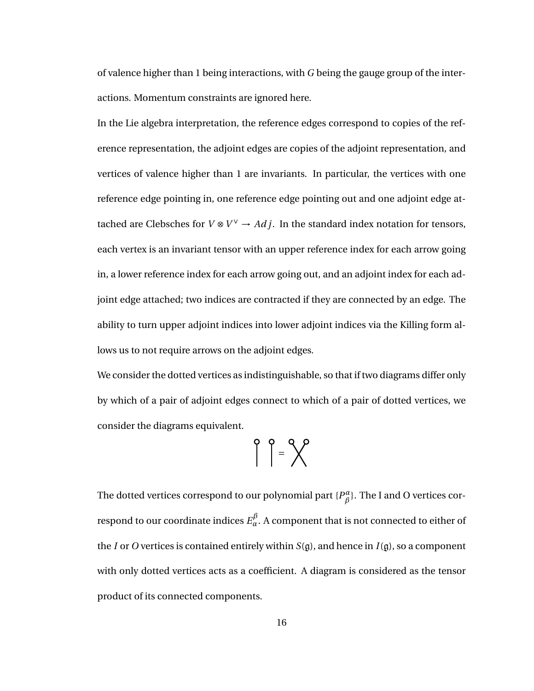of valence higher than 1 being interactions, with *G* being the gauge group of the interactions. Momentum constraints are ignored here.

In the Lie algebra interpretation, the reference edges correspond to copies of the reference representation, the adjoint edges are copies of the adjoint representation, and vertices of valence higher than 1 are invariants. In particular, the vertices with one reference edge pointing in, one reference edge pointing out and one adjoint edge attached are Clebsches for  $V \otimes V^{\vee} \rightarrow Adj$ . In the standard index notation for tensors, each vertex is an invariant tensor with an upper reference index for each arrow going in, a lower reference index for each arrow going out, and an adjoint index for each adjoint edge attached; two indices are contracted if they are connected by an edge. The ability to turn upper adjoint indices into lower adjoint indices via the Killing form allows us to not require arrows on the adjoint edges.

We consider the dotted vertices as indistinguishable, so that if two diagrams differ only by which of a pair of adjoint edges connect to which of a pair of dotted vertices, we consider the diagrams equivalent.

$$
\left\{\begin{array}{c} \circ \\ \circ \end{array}\right\} = \left\{\begin{array}{c} \circ \\ \circ \end{array}\right.
$$

The dotted vertices correspond to our polynomial part  ${P^{\alpha}_\beta}$  $^{\alpha}_{\beta}$ }. The I and O vertices correspond to our coordinate indices  $E_\alpha^\beta$ . A component that is not connected to either of the *I* or *O* vertices is contained entirely within *S*(g), and hence in *I*(g), so a component with only dotted vertices acts as a coefficient. A diagram is considered as the tensor product of its connected components.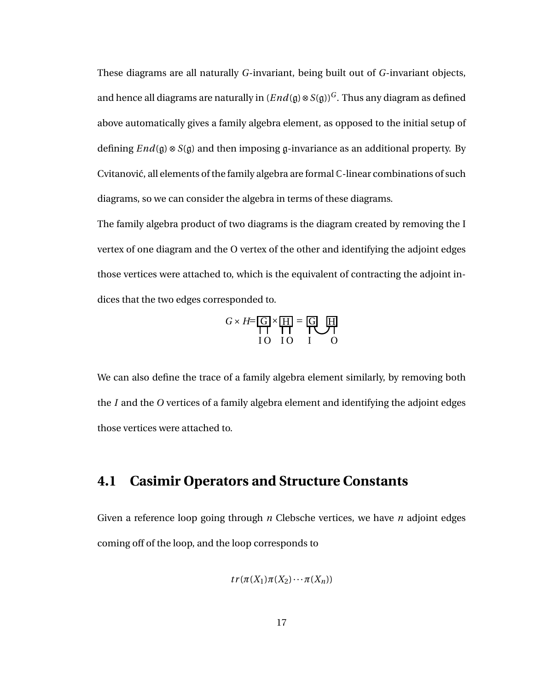These diagrams are all naturally *G*-invariant, being built out of *G*-invariant objects, and hence all diagrams are naturally in  $(End(q) \otimes S(q))^G$ . Thus any diagram as defined above automatically gives a family algebra element, as opposed to the initial setup of defining *End*(g) ⊗ *S*(g) and then imposing g-invariance as an additional property. By Cvitanović, all elements of the family algebra are formal  $\mathbb C$ -linear combinations of such diagrams, so we can consider the algebra in terms of these diagrams.

The family algebra product of two diagrams is the diagram created by removing the I vertex of one diagram and the O vertex of the other and identifying the adjoint edges those vertices were attached to, which is the equivalent of contracting the adjoint indices that the two edges corresponded to.

$$
G \times H = \underbrace{G}{H} \times \underbrace{H}{H} = \underbrace{G}{H} \underbrace{H}{H}
$$
  
10 10 1 0

We can also define the trace of a family algebra element similarly, by removing both the *I* and the *O* vertices of a family algebra element and identifying the adjoint edges those vertices were attached to.

#### **4.1 Casimir Operators and Structure Constants**

Given a reference loop going through *n* Clebsche vertices, we have *n* adjoint edges coming off of the loop, and the loop corresponds to

$$
tr(\pi(X_1)\pi(X_2)\cdots\pi(X_n))
$$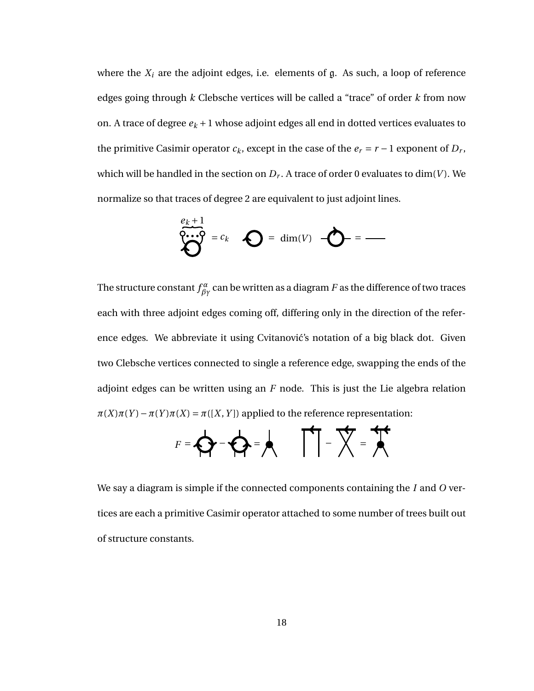where the  $X_i$  are the adjoint edges, i.e. elements of  $\mathfrak g$ . As such, a loop of reference edges going through *k* Clebsche vertices will be called a "trace" of order *k* from now on. A trace of degree  $e_k + 1$  whose adjoint edges all end in dotted vertices evaluates to the primitive Casimir operator  $c_k$ , except in the case of the  $e_r = r - 1$  exponent of  $D_r$ , which will be handled in the section on *D<sup>r</sup>* . A trace of order 0 evaluates to dim(*V* ). We normalize so that traces of degree 2 are equivalent to just adjoint lines.

$$
\sum_{k=0}^{e_k+1} = c_k \quad \sum_{k=0}^{e_k+1} = \dim(V) \quad \sum_{k=0}^{e_k+1} = \sum_{k=0}^{e_k+1} = \sum_{k=0}^{e_k+1} = \sum_{k=0}^{e_k+1} = \sum_{k=0}^{e_k+1} = \sum_{k=0}^{e_k+1} = \sum_{k=0}^{e_k+1} = \sum_{k=0}^{e_k+1} = \sum_{k=0}^{e_k+1} = \sum_{k=0}^{e_k+1} = \sum_{k=0}^{e_k+1} = \sum_{k=0}^{e_k+1} = \sum_{k=0}^{e_k+1} = \sum_{k=0}^{e_k+1} = \sum_{k=0}^{e_k+1} = \sum_{k=0}^{e_k+1} = \sum_{k=0}^{e_k+1} = \sum_{k=0}^{e_k+1} = \sum_{k=0}^{e_k+1} = \sum_{k=0}^{e_k+1} = \sum_{k=0}^{e_k+1} = \sum_{k=0}^{e_k+1} = \sum_{k=0}^{e_k+1} = \sum_{k=0}^{e_k+1} = \sum_{k=0}^{e_k+1} = \sum_{k=0}^{e_k+1} = \sum_{k=0}^{e_k+1} = \sum_{k=0}^{e_k+1} = \sum_{k=0}^{e_k+1} = \sum_{k=0}^{e_k+1} = \sum_{k=0}^{e_k+1} = \sum_{k=0}^{e_k+1} = \sum_{k=0}^{e_k+1} = \sum_{k=0}^{e_k+1} = \sum_{k=0}^{e_k+1} = \sum_{k=0}^{e_k+1} = \sum_{k=0}^{e_k+1} = \sum_{k=0}^{e_k+1} = \sum_{k=0}^{e_k+1} = \sum_{k=0}^{e_k+1} = \sum_{k=0}^{e_k+1} = \sum_{k=0}^{e_k+1} = \sum_{k=0}^{e_k+1} = \sum_{k=0}^{e_k+1} = \sum_{k=0}^{e_k+1} = \sum_{k=0}^{e_k+1} = \sum_{k=0}^{e_k+1} = \sum_{k=0}^{e_k+1} = \sum_{k=0}^{e_k+1} = \sum_{k=0}^{e_k+1} = \sum_{k=0}^{e_k+1} = \sum_{k=0}^{
$$

The structure constant  $f^{\alpha}_{\beta\gamma}$  can be written as a diagram  $F$  as the difference of two traces each with three adjoint edges coming off, differing only in the direction of the reference edges. We abbreviate it using Cvitanović's notation of a big black dot. Given two Clebsche vertices connected to single a reference edge, swapping the ends of the adjoint edges can be written using an *F* node. This is just the Lie algebra relation  $\pi(X)\pi(Y) - \pi(Y)\pi(X) = \pi([X, Y])$  applied to the reference representation:

$$
F = \bigotimes F - \bigotimes F = \bigotimes
$$

We say a diagram is simple if the connected components containing the *I* and *O* vertices are each a primitive Casimir operator attached to some number of trees built out of structure constants.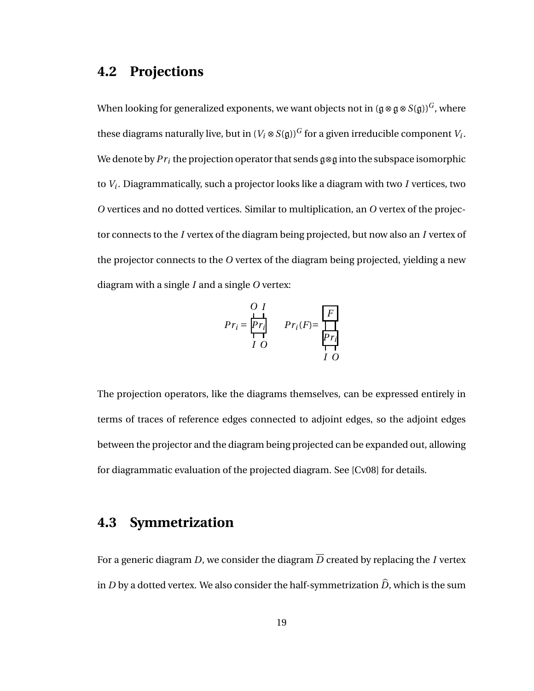#### **4.2 Projections**

When looking for generalized exponents, we want objects not in  $(g \otimes g \otimes S(g))^G$ , where these diagrams naturally live, but in  $(V_i\otimes S(\mathfrak{g}))^G$  for a given irreducible component  $V_i.$ We denote by  $Pr_i$  the projection operator that sends  $\mathfrak{g} \otimes \mathfrak{g}$  into the subspace isomorphic to *V<sup>i</sup>* . Diagrammatically, such a projector looks like a diagram with two *I* vertices, two *O* vertices and no dotted vertices. Similar to multiplication, an *O* vertex of the projector connects to the *I* vertex of the diagram being projected, but now also an *I* vertex of the projector connects to the *O* vertex of the diagram being projected, yielding a new diagram with a single *I* and a single *O* vertex:

$$
Pr_{i} = \frac{P r_{i}}{P r_{i}}
$$
\n
$$
Pr_{i}(F) = \frac{F}{P r_{i}}
$$
\n
$$
I \quad O
$$

The projection operators, like the diagrams themselves, can be expressed entirely in terms of traces of reference edges connected to adjoint edges, so the adjoint edges between the projector and the diagram being projected can be expanded out, allowing for diagrammatic evaluation of the projected diagram. See [Cv08] for details.

## **4.3 Symmetrization**

For a generic diagram *D*, we consider the diagram  $\overline{D}$  created by replacing the *I* vertex in *D* by a dotted vertex. We also consider the half-symmetrization  $\hat{D}$ , which is the sum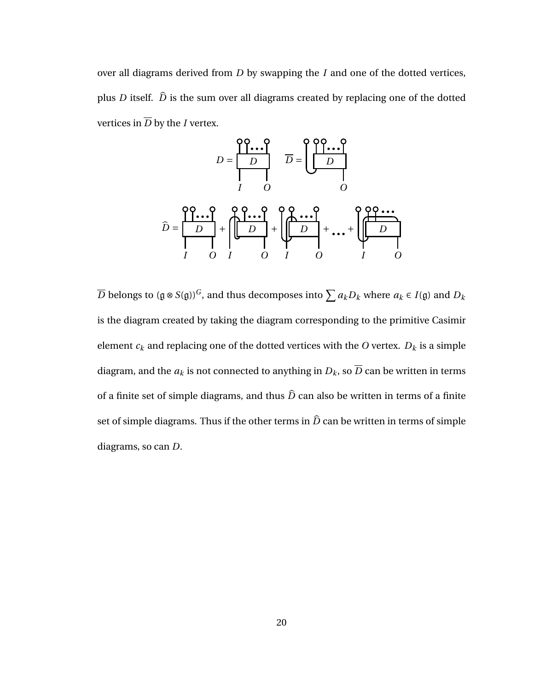over all diagrams derived from *D* by swapping the *I* and one of the dotted vertices, plus *D* itself.  $\hat{D}$  is the sum over all diagrams created by replacing one of the dotted vertices in  $\overline{D}$  by the *I* vertex.



 $\overline{D}$  belongs to (g ⊗ *S*(g)) $^G$ , and thus decomposes into  $\sum a_kD_k$  where  $a_k\in I$ (g) and  $D_k$ is the diagram created by taking the diagram corresponding to the primitive Casimir element  $c_k$  and replacing one of the dotted vertices with the  $O$  vertex.  $D_k$  is a simple diagram, and the  $a_k$  is not connected to anything in  $D_k$ , so  $\overline{D}$  can be written in terms of a finite set of simple diagrams, and thus  $\hat{D}$  can also be written in terms of a finite set of simple diagrams. Thus if the other terms in  $\hat{D}$  can be written in terms of simple diagrams, so can *D*.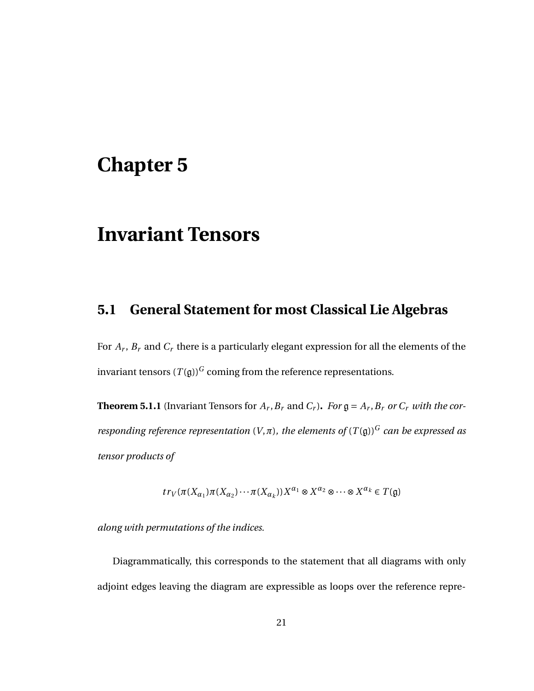## **Chapter 5**

# **Invariant Tensors**

## **5.1 General Statement for most Classical Lie Algebras**

For *A<sup>r</sup>* , *B<sup>r</sup>* and *C<sup>r</sup>* there is a particularly elegant expression for all the elements of the invariant tensors  $(T(g))^G$  coming from the reference representations.

**Theorem 5.1.1** (Invariant Tensors for  $A_r$ ,  $B_r$  and  $C_r$ ). For  $\mathfrak{g} = A_r$ ,  $B_r$  or  $C_r$  *with the corresponding reference representation*  $(V, \pi)$ *, the elements of*  $(T(\mathfrak{g}))^G$  *can be expressed as tensor products of*

$$
tr_V(\pi(X_{\alpha_1})\pi(X_{\alpha_2})\cdots\pi(X_{\alpha_k}))X^{\alpha_1}\otimes X^{\alpha_2}\otimes\cdots\otimes X^{\alpha_k}\in T(\mathfrak{g})
$$

*along with permutations of the indices.*

Diagrammatically, this corresponds to the statement that all diagrams with only adjoint edges leaving the diagram are expressible as loops over the reference repre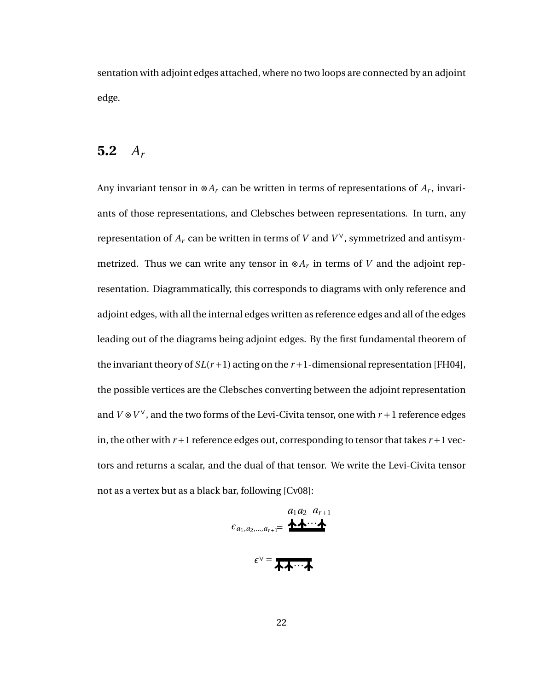sentation with adjoint edges attached, where no two loops are connected by an adjoint edge.

### **5.2** *A<sup>r</sup>*

Any invariant tensor in ⊗*A<sup>r</sup>* can be written in terms of representations of *A<sup>r</sup>* , invariants of those representations, and Clebsches between representations. In turn, any representation of  $A_r$  can be written in terms of  $V$  and  $V^\vee$ , symmetrized and antisymmetrized. Thus we can write any tensor in  $\otimes A_r$  in terms of *V* and the adjoint representation. Diagrammatically, this corresponds to diagrams with only reference and adjoint edges, with all the internal edges written as reference edges and all of the edges leading out of the diagrams being adjoint edges. By the first fundamental theorem of the invariant theory of  $SL(r+1)$  acting on the  $r+1$ -dimensional representation [FH04], the possible vertices are the Clebsches converting between the adjoint representation and  $V \otimes V^{\vee}$ , and the two forms of the Levi-Civita tensor, one with  $r + 1$  reference edges in, the other with  $r+1$  reference edges out, corresponding to tensor that takes  $r+1$  vectors and returns a scalar, and the dual of that tensor. We write the Levi-Civita tensor not as a vertex but as a black bar, following [Cv08]:

$$
\epsilon_{a_1,a_2,\dots,a_{r+1}} = \underbrace{a_1 a_2 \ a_{r+1}} \cdot \cdot \cdot
$$

 $\epsilon$ <sup>v</sup> = <del>አ</del><br>
<del>*∗*···</del>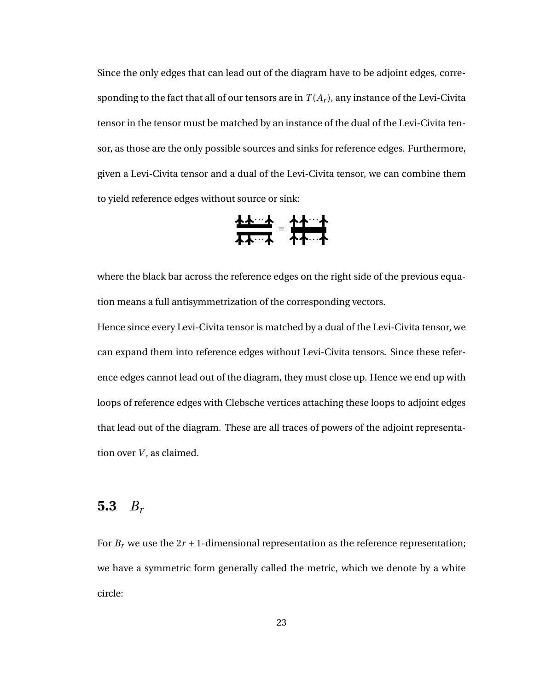Since the only edges that can lead out of the diagram have to be adjoint edges, corresponding to the fact that all of our tensors are in  $T(A_r)$ , any instance of the Levi-Civita tensor in the tensor must be matched by an instance of the dual of the Levi-Civita tensor, as those are the only possible sources and sinks for reference edges. Furthermore, given a Levi-Civita tensor and a dual of the Levi-Civita tensor, we can combine them to yield reference edges without source or sink:

$$
\frac{\frac{1}{2}+\frac{1}{2}-\frac{1}{2}}{\frac{1}{2}+\frac{1}{2}-\frac{1}{2}}=\frac{\frac{1}{2}+\frac{1}{2}-\frac{1}{2}}{\frac{1}{2}+\frac{1}{2}-\frac{1}{2}}
$$

where the black bar across the reference edges on the right side of the previous equation means a full antisymmetrization of the corresponding vectors.

Hence since every Levi-Civita tensor is matched by a dual of the Levi-Civita tensor, we can expand them into reference edges without Levi-Civita tensors. Since these reference edges cannot lead out of the diagram, they must close up. Hence we end up with loops of reference edges with Clebsche vertices attaching these loops to adjoint edges that lead out of the diagram. These are all traces of powers of the adjoint representation over *V*, as claimed.

#### **5.3** *B<sup>r</sup>*

For  $B_r$  we use the  $2r + 1$ -dimensional representation as the reference representation; we have a symmetric form generally called the metric, which we denote by a white circle: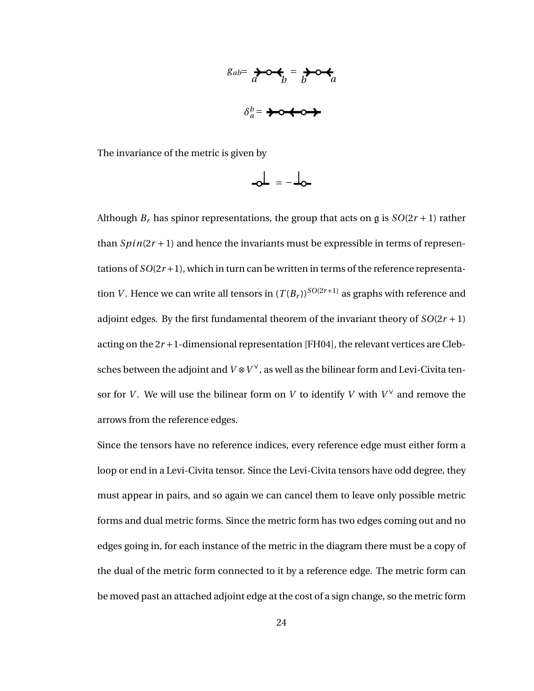$$
g_{ab} = \sum_{a} \delta \phi_{b} = \sum_{b} \delta \phi_{a}
$$
\n
$$
\delta_{a}^{b} = \sum_{a} \delta \phi_{a} \phi_{a}
$$

The invariance of the metric is given by

$$
\mathbf{a} = -\mathbf{b}
$$

Although  $B_r$  has spinor representations, the group that acts on g is  $SO(2r + 1)$  rather than  $Spin(2r+1)$  and hence the invariants must be expressible in terms of representations of  $SO(2r+1)$ , which in turn can be written in terms of the reference representation *V*. Hence we can write all tensors in  $(T(B_r))^{SO(2r+1)}$  as graphs with reference and adjoint edges. By the first fundamental theorem of the invariant theory of  $SO(2r + 1)$ acting on the  $2r + 1$ -dimensional representation [FH04], the relevant vertices are Clebsches between the adjoint and  $V \otimes V^\vee$ , as well as the bilinear form and Levi-Civita tensor for *V*. We will use the bilinear form on *V* to identify *V* with  $V^{\vee}$  and remove the arrows from the reference edges.

Since the tensors have no reference indices, every reference edge must either form a loop or end in a Levi-Civita tensor. Since the Levi-Civita tensors have odd degree, they must appear in pairs, and so again we can cancel them to leave only possible metric forms and dual metric forms. Since the metric form has two edges coming out and no edges going in, for each instance of the metric in the diagram there must be a copy of the dual of the metric form connected to it by a reference edge. The metric form can be moved past an attached adjoint edge at the cost of a sign change, so the metric form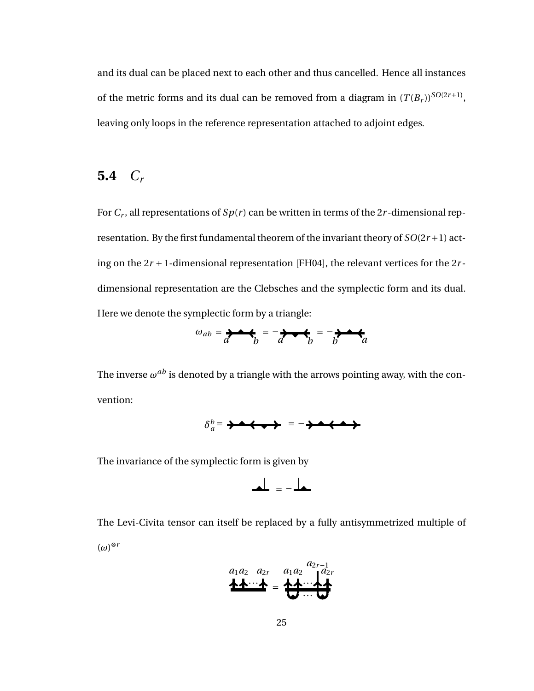and its dual can be placed next to each other and thus cancelled. Hence all instances of the metric forms and its dual can be removed from a diagram in  $(T(B_r))$ <sup>SO(2*r*+1)</sup>, leaving only loops in the reference representation attached to adjoint edges.

### **5.4** *C<sup>r</sup>*

For  $C_r$ , all representations of  $Sp(r)$  can be written in terms of the 2 $r$ -dimensional representation. By the first fundamental theorem of the invariant theory of *SO*(2*r* +1) acting on the  $2r + 1$ -dimensional representation [FH04], the relevant vertices for the  $2r$ dimensional representation are the Clebsches and the symplectic form and its dual. Here we denote the symplectic form by a triangle:

$$
\omega_{ab} = \frac{1}{a} + \frac{1}{b} = -\frac{1}{a} + \frac{1}{b} = -\frac{1}{b} + \frac{1}{a}
$$

The inverse  $\omega^{ab}$  is denoted by a triangle with the arrows pointing away, with the convention:



The invariance of the symplectic form is given by

$$
\blacktriangle \perp = - \blacktriangle \blacktriangle
$$

The Levi-Civita tensor can itself be replaced by a fully antisymmetrized multiple of (*ω*) ⊗*r*

$$
a_1a_2 \quad a_{2r} \quad a_1a_2 \quad a_{2r-1} \quad a_{2r-1}
$$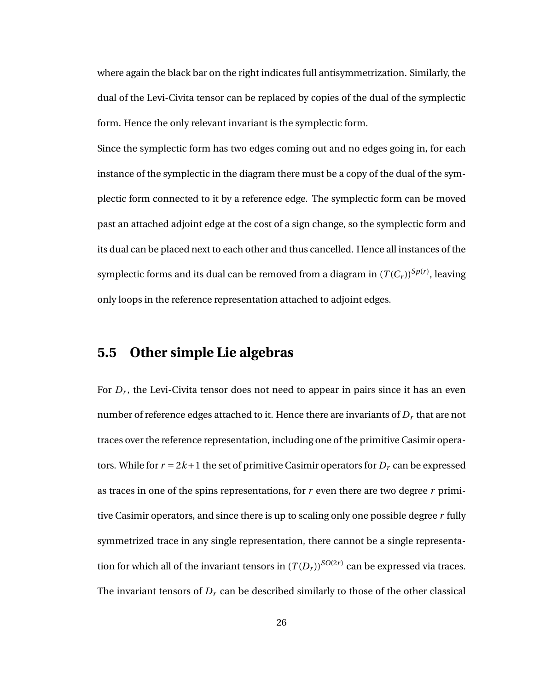where again the black bar on the right indicates full antisymmetrization. Similarly, the dual of the Levi-Civita tensor can be replaced by copies of the dual of the symplectic form. Hence the only relevant invariant is the symplectic form.

Since the symplectic form has two edges coming out and no edges going in, for each instance of the symplectic in the diagram there must be a copy of the dual of the symplectic form connected to it by a reference edge. The symplectic form can be moved past an attached adjoint edge at the cost of a sign change, so the symplectic form and its dual can be placed next to each other and thus cancelled. Hence all instances of the symplectic forms and its dual can be removed from a diagram in  $(T(C_r))^{Sp(r)}$ , leaving only loops in the reference representation attached to adjoint edges.

#### **5.5 Other simple Lie algebras**

For *D<sup>r</sup>* , the Levi-Civita tensor does not need to appear in pairs since it has an even number of reference edges attached to it. Hence there are invariants of *D<sup>r</sup>* that are not traces over the reference representation, including one of the primitive Casimir operators. While for  $r = 2k + 1$  the set of primitive Casimir operators for  $D<sub>r</sub>$  can be expressed as traces in one of the spins representations, for *r* even there are two degree *r* primitive Casimir operators, and since there is up to scaling only one possible degree *r* fully symmetrized trace in any single representation, there cannot be a single representation for which all of the invariant tensors in  $(T(D_r))^{SO(2r)}$  can be expressed via traces. The invariant tensors of  $D<sub>r</sub>$  can be described similarly to those of the other classical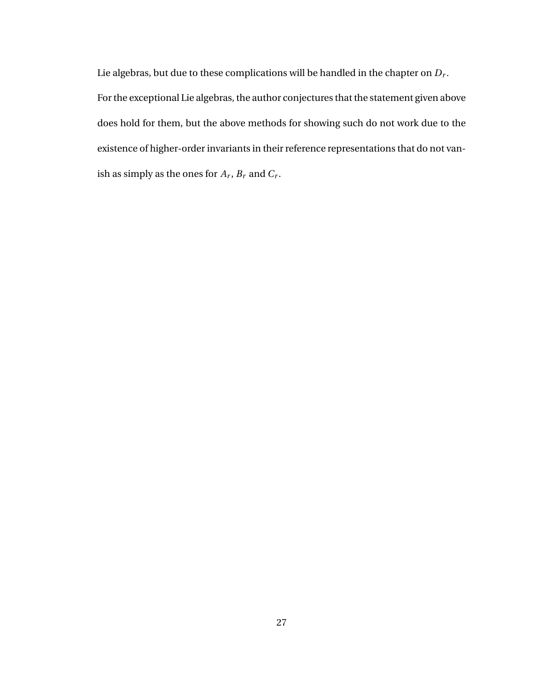Lie algebras, but due to these complications will be handled in the chapter on *D<sup>r</sup>* . For the exceptional Lie algebras, the author conjectures that the statement given above does hold for them, but the above methods for showing such do not work due to the existence of higher-order invariants in their reference representations that do not vanish as simply as the ones for  $A_r$ ,  $B_r$  and  $C_r$ .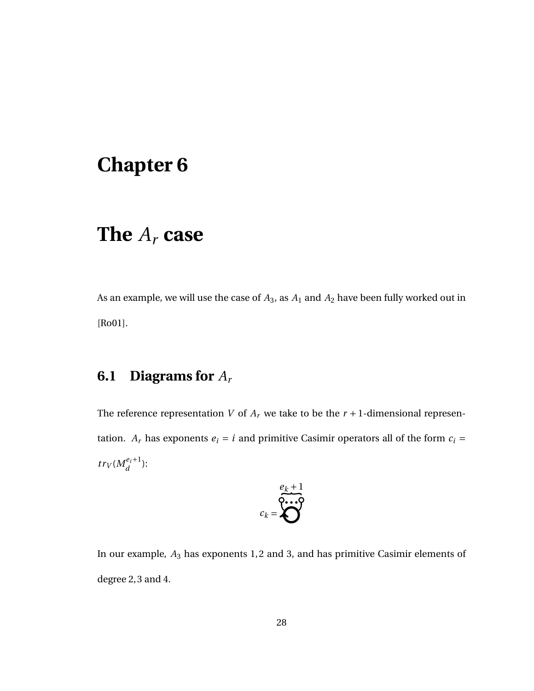# **Chapter 6**

# **The** *A<sup>r</sup>* **case**

As an example, we will use the case of *A*3, as *A*<sup>1</sup> and *A*<sup>2</sup> have been fully worked out in [Ro01].

## **6.1 Diagrams for** *A<sup>r</sup>*

The reference representation *V* of  $A_r$  we take to be the  $r + 1$ -dimensional representation.  $A_r$  has exponents  $e_i = i$  and primitive Casimir operators all of the form  $c_i =$  $tr_V(M_d^{e_i+1})$  $\frac{e_i+1}{d}$ ):

$$
c_k = \sum_{k=1}^{k+1}
$$

In our example, *A*<sup>3</sup> has exponents 1, 2 and 3, and has primitive Casimir elements of degree 2, 3 and 4.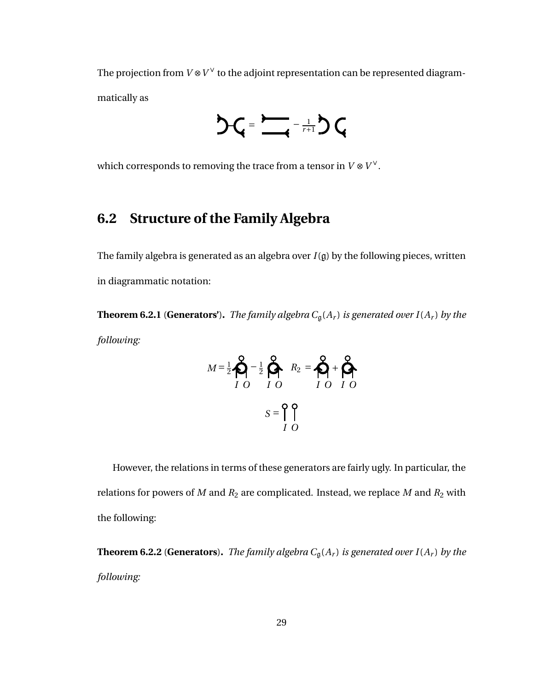The projection from  $V \otimes V^\vee$  to the adjoint representation can be represented diagrammatically as



which corresponds to removing the trace from a tensor in  $V \otimes V^\vee$ .

## **6.2 Structure of the Family Algebra**

The family algebra is generated as an algebra over  $I(\mathfrak{g})$  by the following pieces, written in diagrammatic notation:

**Theorem 6.2.1** (**Generators**'). *The family algebra*  $C_g(A_r)$  *is generated over*  $I(A_r)$  *by the following:*

$$
M = \frac{1}{2} \bigotimes_{I}^{2} -\frac{1}{2} \bigotimes_{I}^{2} R_{2} = \bigotimes_{I}^{2} + \bigotimes_{I}^{2}
$$

$$
S = \bigcap_{I}^{2} \bigcap_{O}^{2}
$$

However, the relations in terms of these generators are fairly ugly. In particular, the relations for powers of *M* and *R*<sup>2</sup> are complicated. Instead, we replace *M* and *R*<sup>2</sup> with the following:

**Theorem 6.2.2** (**Generators**). *The family algebra*  $C_g(A_r)$  *is generated over*  $I(A_r)$  *by the following:*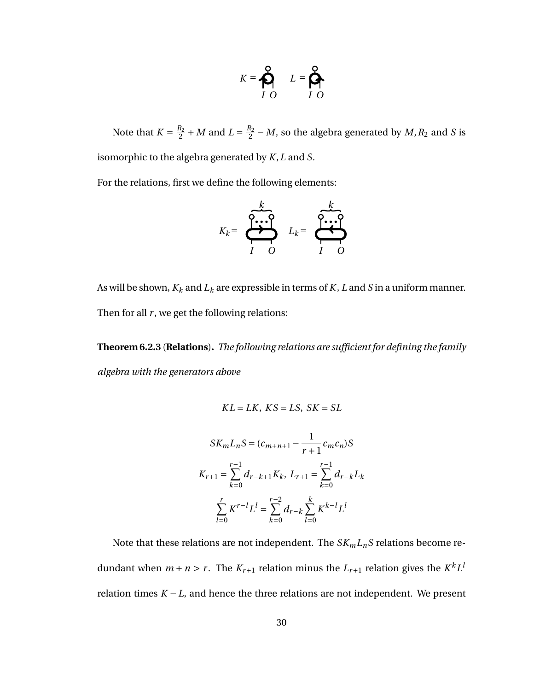$$
K = \bigotimes_{I O}^{Q} L = \bigotimes_{I O}^{Q}
$$

Note that  $K = \frac{R_2}{2}$  $\frac{R_2}{2}$  + *M* and *L* =  $\frac{R_2}{2}$  $\frac{R_2}{2}$  – *M*, so the algebra generated by *M*,  $R_2$  and *S* is isomorphic to the algebra generated by *K*,*L* and *S*.

For the relations, first we define the following elements:

$$
K_k = \begin{array}{ccc} & & k \\ \hline \bullet & \bullet & \bullet \\ \hline I & O \end{array} \quad L_k = \begin{array}{ccc} & k \\ \hline \bullet & \bullet & \bullet \\ \hline I & O \end{array}
$$

As will be shown,  $K_k$  and  $L_k$  are expressible in terms of  $K, L$  and  $S$  in a uniform manner. Then for all  $r$ , we get the following relations:

**Theorem 6.2.3** (**Relations**)**.** *The following relations are sufficient for defining the family algebra with the generators above*

$$
KL = LK, KS = LS, SK = SL
$$

$$
SK_m L_n S = (c_{m+n+1} - \frac{1}{r+1} c_m c_n) S
$$
  

$$
K_{r+1} = \sum_{k=0}^{r-1} d_{r-k+1} K_k, L_{r+1} = \sum_{k=0}^{r-1} d_{r-k} L_k
$$
  

$$
\sum_{l=0}^{r} K^{r-l} L^l = \sum_{k=0}^{r-2} d_{r-k} \sum_{l=0}^{k} K^{k-l} L^l
$$

Note that these relations are not independent. The  $SK_mL_nS$  relations become redundant when  $m + n > r$ . The  $K_{r+1}$  relation minus the  $L_{r+1}$  relation gives the  $K^k L^l$ relation times *K* − *L*, and hence the three relations are not independent. We present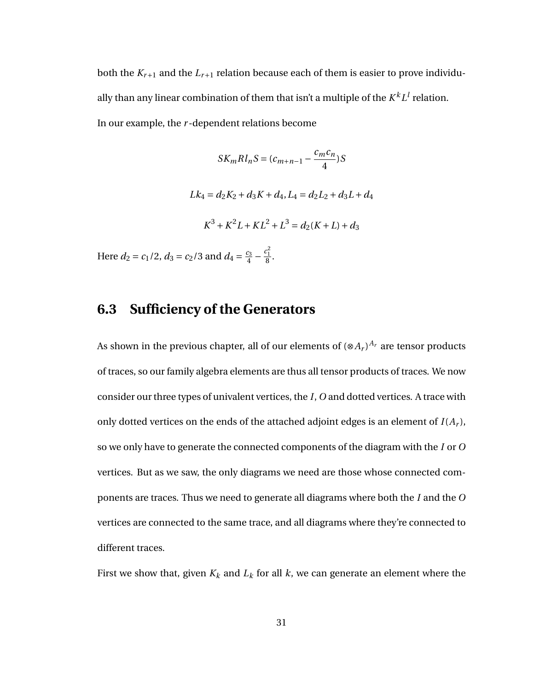both the  $K_{r+1}$  and the  $L_{r+1}$  relation because each of them is easier to prove individually than any linear combination of them that isn't a multiple of the  $K^kL^l$  relation. In our example, the *r* -dependent relations become

$$
SK_mRl_nS = (c_{m+n-1} - \frac{c_m c_n}{4})S
$$
  

$$
Lk_4 = d_2K_2 + d_3K + d_4, L_4 = d_2L_2 + d_3L + d_4
$$
  

$$
K^3 + K^2L + KL^2 + L^3 = d_2(K + L) + d_3
$$
  
Here  $d_2 = c_1/2$ ,  $d_3 = c_2/3$  and  $d_4 = \frac{c_3}{4} - \frac{c_1^2}{8}$ .

#### **6.3 Sufficiency of the Generators**

As shown in the previous chapter, all of our elements of  $(\otimes A_r)^{A_r}$  are tensor products of traces, so our family algebra elements are thus all tensor products of traces. We now consider our three types of univalent vertices, the *I*, *O* and dotted vertices. A trace with only dotted vertices on the ends of the attached adjoint edges is an element of  $I(A_r)$ , so we only have to generate the connected components of the diagram with the *I* or *O* vertices. But as we saw, the only diagrams we need are those whose connected components are traces. Thus we need to generate all diagrams where both the *I* and the *O* vertices are connected to the same trace, and all diagrams where they're connected to different traces.

First we show that, given  $K_k$  and  $L_k$  for all  $k$ , we can generate an element where the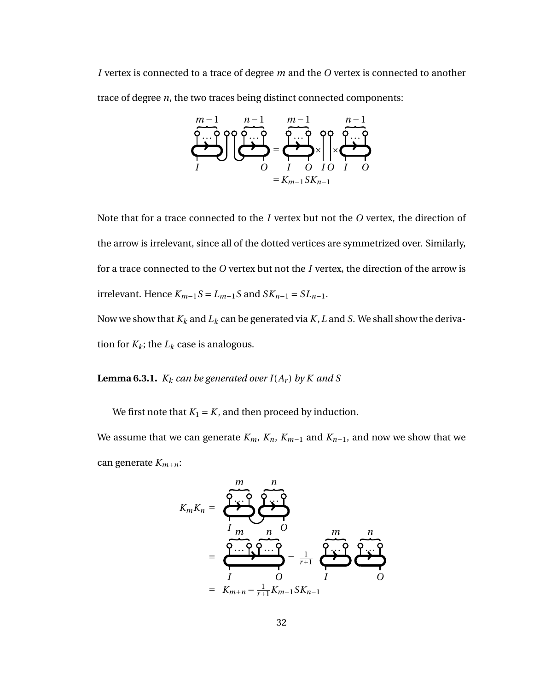*I* vertex is connected to a trace of degree *m* and the *O* vertex is connected to another trace of degree *n*, the two traces being distinct connected components:



Note that for a trace connected to the *I* vertex but not the *O* vertex, the direction of the arrow is irrelevant, since all of the dotted vertices are symmetrized over. Similarly, for a trace connected to the *O* vertex but not the *I* vertex, the direction of the arrow is irrelevant. Hence  $K_{m-1}S = L_{m-1}S$  and  $SK_{n-1} = SL_{n-1}$ . Now we show that *K<sup>k</sup>* and *L<sup>k</sup>* can be generated via *K*,*L* and *S*. We shall show the deriva-

tion for  $K_k$ ; the  $L_k$  case is analogous.

**Lemma 6.3.1.**  $K_k$  *can be generated over*  $I(A_r)$  *by K and S* 

We first note that  $K_1 = K$ , and then proceed by induction.

We assume that we can generate  $K_m$ ,  $K_n$ ,  $K_{m-1}$  and  $K_{n-1}$ , and now we show that we can generate *Km*+*n*:

$$
K_m K_n = \underbrace{\underbrace{\overbrace{\begin{array}{c}\n m \\
m \\
m \\
m \\
m\n \end{array}}}_{I_m \qquad n \qquad O}_{n \qquad O}}_{= \underbrace{\overbrace{\begin{array}{c}\n m \\
m \\
m \\
m \\
m \\
m+n - \frac{1}{r+1}K_{m-1}SK_{n-1}}\n\end{array}}_{= K_{m+n} - \frac{1}{r+1}K_{m-1}SK_{n-1}} \underbrace{\overbrace{\begin{array}{c}\n m \\
m \\
m \\
m \\
m \\
m\n \end{array}}_{I}}_{= K_{m+n} - \frac{1}{r+1}K_{m-1}SK_{n-1}}
$$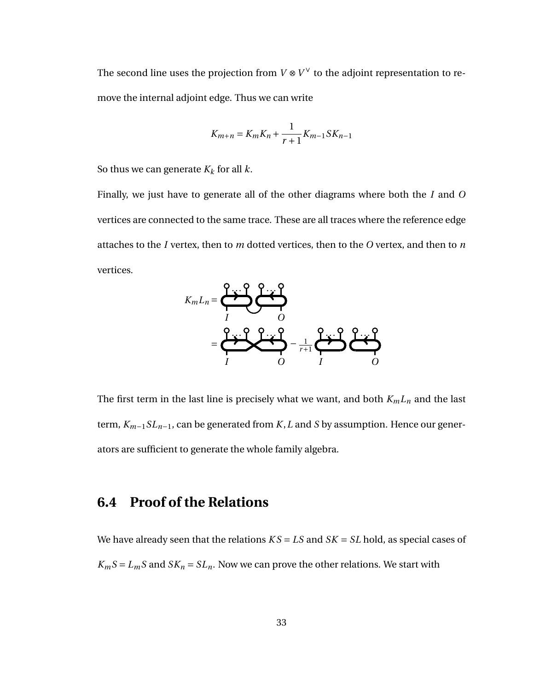The second line uses the projection from  $V \otimes V^{\vee}$  to the adjoint representation to remove the internal adjoint edge. Thus we can write

$$
K_{m+n} = K_m K_n + \frac{1}{r+1} K_{m-1} S K_{n-1}
$$

So thus we can generate  $K_k$  for all  $k$ .

Finally, we just have to generate all of the other diagrams where both the *I* and *O* vertices are connected to the same trace. These are all traces where the reference edge attaches to the *I* vertex, then to *m* dotted vertices, then to the *O* vertex, and then to *n* vertices.



The first term in the last line is precisely what we want, and both *KmL<sup>n</sup>* and the last term, *Km*−1*SLn*−1, can be generated from *K*,*L* and *S* by assumption. Hence our generators are sufficient to generate the whole family algebra.

## **6.4 Proof of the Relations**

We have already seen that the relations *K S* = *LS* and *SK* = *SL* hold, as special cases of  $K_m S = L_m S$  and  $S K_n = S L_n$ . Now we can prove the other relations. We start with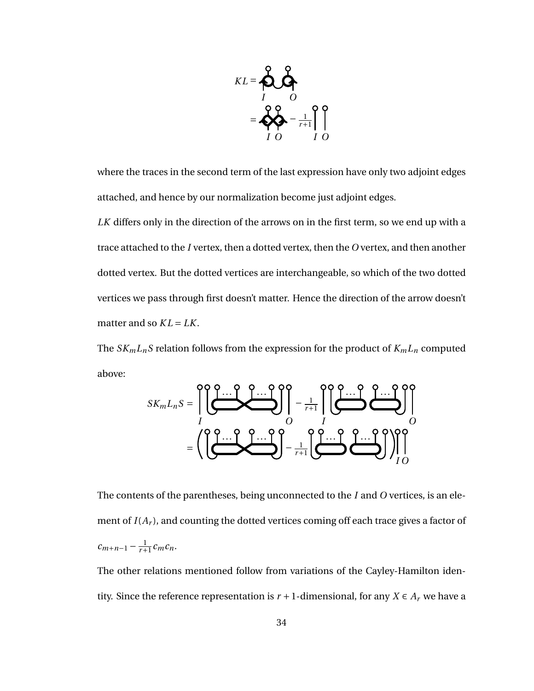

where the traces in the second term of the last expression have only two adjoint edges attached, and hence by our normalization become just adjoint edges.

*LK* differs only in the direction of the arrows on in the first term, so we end up with a trace attached to the *I* vertex, then a dotted vertex, then the *O* vertex, and then another dotted vertex. But the dotted vertices are interchangeable, so which of the two dotted vertices we pass through first doesn't matter. Hence the direction of the arrow doesn't matter and so  $KL = LK$ .

The  $SK_mL_nS$  relation follows from the expression for the product of  $K_mL_n$  computed above:

$$
SK_mL_nS = \left(\left(\frac{\sum_{i=1}^{n} \sum_{i=1}^{n} \sum_{j=1}^{n} \sum_{j=1}^{n} \sum_{j=1}^{n} \sum_{j=1}^{n} \sum_{j=1}^{n} \sum_{j=1}^{n} \sum_{j=1}^{n} \sum_{j=1}^{n} \sum_{j=1}^{n} \sum_{j=1}^{n} \sum_{j=1}^{n} \sum_{j=1}^{n} \sum_{j=1}^{n} \sum_{j=1}^{n} \sum_{j=1}^{n} \sum_{j=1}^{n} \sum_{j=1}^{n} \sum_{j=1}^{n} \sum_{j=1}^{n} \sum_{j=1}^{n} \sum_{j=1}^{n} \sum_{j=1}^{n} \sum_{j=1}^{n} \sum_{j=1}^{n} \sum_{j=1}^{n} \sum_{j=1}^{n} \sum_{j=1}^{n} \sum_{j=1}^{n} \sum_{j=1}^{n} \sum_{j=1}^{n} \sum_{j=1}^{n} \sum_{j=1}^{n} \sum_{j=1}^{n} \sum_{j=1}^{n} \sum_{j=1}^{n} \sum_{j=1}^{n} \sum_{j=1}^{n} \sum_{j=1}^{n} \sum_{j=1}^{n} \sum_{j=1}^{n} \sum_{j=1}^{n} \sum_{j=1}^{n} \sum_{j=1}^{n} \sum_{j=1}^{n} \sum_{j=1}^{n} \sum_{j=1}^{n} \sum_{j=1}^{n} \sum_{j=1}^{n} \sum_{j=1}^{n} \sum_{j=1}^{n} \sum_{j=1}^{n} \sum_{j=1}^{n} \sum_{j=1}^{n} \sum_{j=1}^{n} \sum_{j=1}^{n} \sum_{j=1}^{n} \sum_{j=1}^{n} \sum_{j=1}^{n} \sum_{j=1}^{n} \sum_{j=1}^{n} \sum_{j=1}^{n} \sum_{j=1}^{n} \sum_{j=1}^{n} \sum_{j=1}^{n} \sum_{j=1}^{n} \sum_{j=1}^{n} \sum_{j=1}^{n} \sum_{j=1}^{n} \sum_{j=1}^{n} \sum_{j=1}^{n} \sum_{j=1}^{n} \sum_{j=1}^{n} \sum_{j=1}
$$

The contents of the parentheses, being unconnected to the *I* and *O* vertices, is an element of  $I(A_r)$ , and counting the dotted vertices coming off each trace gives a factor of  $c_{m+n-1} - \frac{1}{r+1}c_m c_n$ .

The other relations mentioned follow from variations of the Cayley-Hamilton identity. Since the reference representation is  $r + 1$ -dimensional, for any  $X \in A_r$  we have a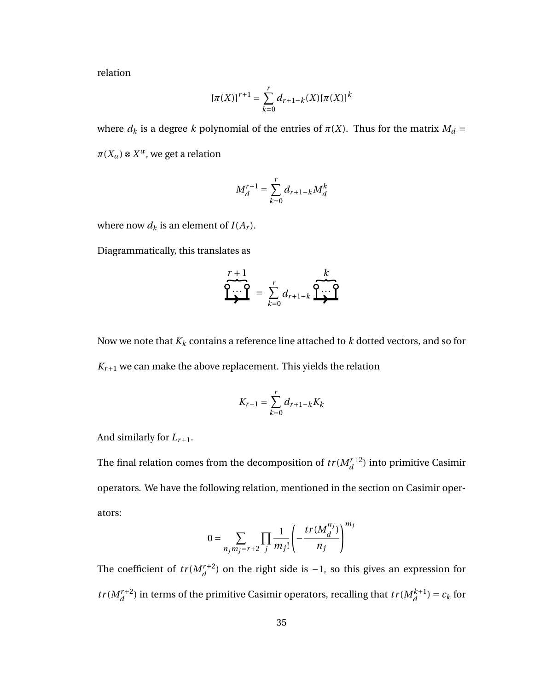relation

$$
[\pi(X)]^{r+1} = \sum_{k=0}^{r} d_{r+1-k}(X) [\pi(X)]^{k}
$$

where  $d_k$  is a degree  $k$  polynomial of the entries of  $\pi(X)$ . Thus for the matrix  $M_d =$  $\pi(X_\alpha) \otimes X^\alpha$ , we get a relation

$$
M_d^{r+1} = \sum_{k=0}^r d_{r+1-k} M_d^k
$$

where now  $d_k$  is an element of  $I(A_r)$ .

Diagrammatically, this translates as

$$
\overbrace{Q\cdots Q}^{r+1} = \sum_{k=0}^{r} d_{r+1-k} \overbrace{Q\cdots Q}^{k}
$$

Now we note that  $K_k$  contains a reference line attached to  $k$  dotted vectors, and so for  $K_{r+1}$  we can make the above replacement. This yields the relation

$$
K_{r+1} = \sum_{k=0}^{r} d_{r+1-k} K_k
$$

And similarly for *Lr*+1.

The final relation comes from the decomposition of  $tr(M_d^{r+2})$  into primitive Casimir operators. We have the following relation, mentioned in the section on Casimir operators:

$$
0 = \sum_{n_j m_j = r+2} \prod_j \frac{1}{m_j!} \left( -\frac{tr(M_d^{n_j})}{n_j} \right)^{m_j}
$$

The coefficient of  $tr(M_d^{r+2})$  on the right side is  $-1$ , so this gives an expression for *tr*( $M_d^{r+2}$ ) in terms of the primitive Casimir operators, recalling that  $tr(M_d^{k+1}) = c_k$  for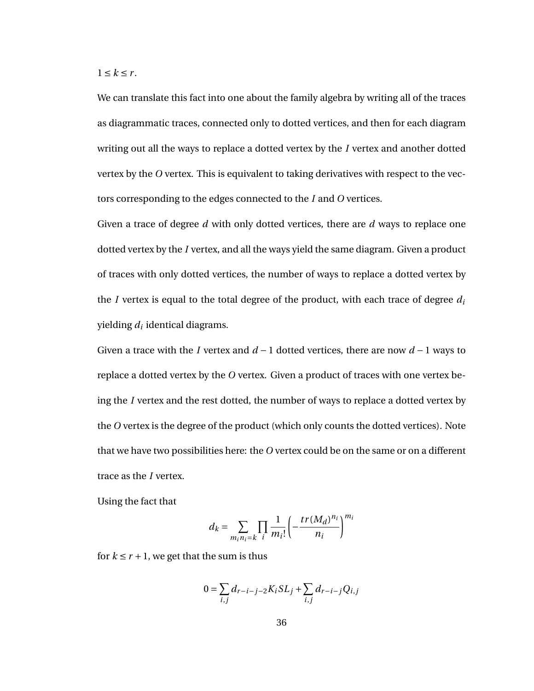$1 \leq k \leq r$ .

We can translate this fact into one about the family algebra by writing all of the traces as diagrammatic traces, connected only to dotted vertices, and then for each diagram writing out all the ways to replace a dotted vertex by the *I* vertex and another dotted vertex by the *O* vertex. This is equivalent to taking derivatives with respect to the vectors corresponding to the edges connected to the *I* and *O* vertices.

Given a trace of degree *d* with only dotted vertices, there are *d* ways to replace one dotted vertex by the *I* vertex, and all the ways yield the same diagram. Given a product of traces with only dotted vertices, the number of ways to replace a dotted vertex by the *I* vertex is equal to the total degree of the product, with each trace of degree *d<sup>i</sup>* yielding  $d_i$  identical diagrams.

Given a trace with the *I* vertex and *d* − 1 dotted vertices, there are now *d* − 1 ways to replace a dotted vertex by the *O* vertex. Given a product of traces with one vertex being the *I* vertex and the rest dotted, the number of ways to replace a dotted vertex by the *O* vertex is the degree of the product (which only counts the dotted vertices). Note that we have two possibilities here: the *O* vertex could be on the same or on a different trace as the *I* vertex.

Using the fact that

$$
d_k = \sum_{m_i n_i = k} \prod_i \frac{1}{m_i!} \left( -\frac{tr(M_d)^{n_i}}{n_i} \right)^{m_i}
$$

for  $k \le r + 1$ , we get that the sum is thus

$$
0 = \sum_{i,j} d_{r-i-j-2} K_i S L_j + \sum_{i,j} d_{r-i-j} Q_{i,j}
$$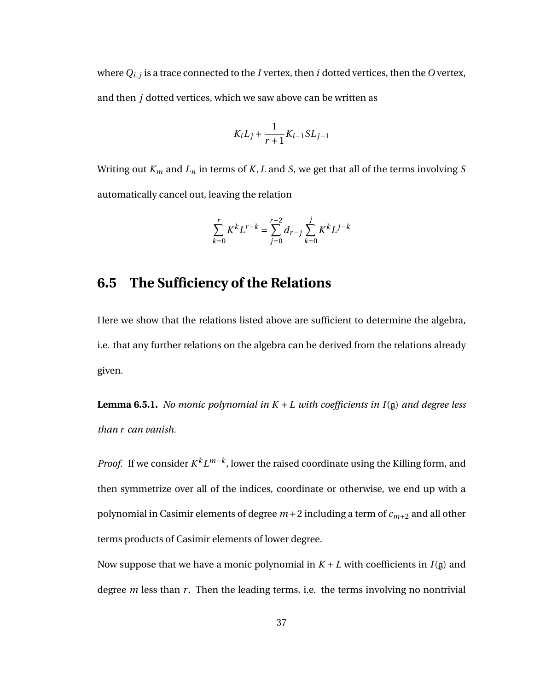where*Qi*,*<sup>j</sup>* is a trace connected to the *I* vertex, then *i* dotted vertices, then the *O* vertex, and then *j* dotted vertices, which we saw above can be written as

$$
K_i L_j + \frac{1}{r+1} K_{i-1} SL_{j-1}
$$

Writing out *K<sup>m</sup>* and *L<sup>n</sup>* in terms of *K*,*L* and *S*, we get that all of the terms involving *S* automatically cancel out, leaving the relation

$$
\sum_{k=0}^{r} K^{k} L^{r-k} = \sum_{j=0}^{r-2} d_{r-j} \sum_{k=0}^{j} K^{k} L^{j-k}
$$

#### **6.5 The Sufficiency of the Relations**

Here we show that the relations listed above are sufficient to determine the algebra, i.e. that any further relations on the algebra can be derived from the relations already given.

**Lemma 6.5.1.** *No monic polynomial in K* + *L with coefficients in I*(g) *and degree less than r can vanish.*

*Proof.* If we consider  $K^k L^{m-k}$ , lower the raised coordinate using the Killing form, and then symmetrize over all of the indices, coordinate or otherwise, we end up with a polynomial in Casimir elements of degree *m* +2 including a term of *cm*+<sup>2</sup> and all other terms products of Casimir elements of lower degree.

Now suppose that we have a monic polynomial in *K* + *L* with coefficients in *I*(g) and degree *m* less than *r*. Then the leading terms, i.e. the terms involving no nontrivial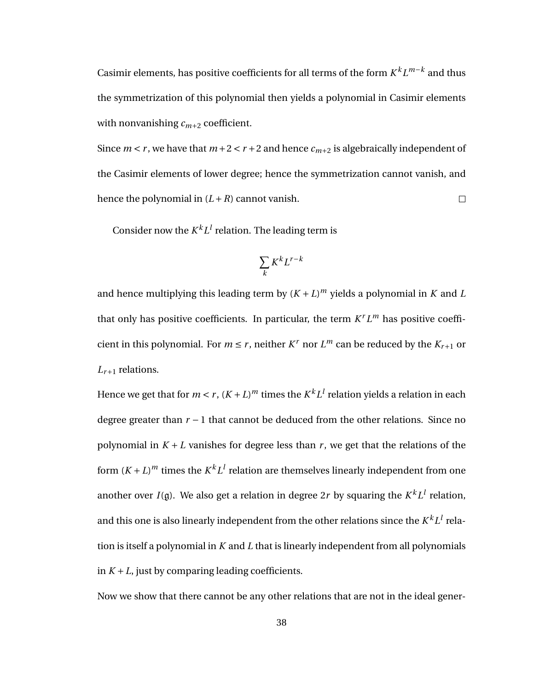Casimir elements, has positive coefficients for all terms of the form  $K^k L^{m-k}$  and thus the symmetrization of this polynomial then yields a polynomial in Casimir elements with nonvanishing  $c_{m+2}$  coefficient.

Since  $m < r$ , we have that  $m+2 < r+2$  and hence  $c_{m+2}$  is algebraically independent of the Casimir elements of lower degree; hence the symmetrization cannot vanish, and hence the polynomial in  $(L + R)$  cannot vanish.  $\Box$ 

Consider now the  $K^kL^l$  relation. The leading term is

$$
\sum_k K^k L^{r-k}
$$

and hence multiplying this leading term by  $(K + L)^m$  yields a polynomial in *K* and *L* that only has positive coefficients. In particular, the term  $K^r L^m$  has positive coefficient in this polynomial. For  $m \le r$ , neither  $K^r$  nor  $L^m$  can be reduced by the  $K_{r+1}$  or *Lr*+<sup>1</sup> relations.

Hence we get that for  $m < r$  ,  $(K+L)^m$  times the  $K^kL^l$  relation yields a relation in each degree greater than *r* − 1 that cannot be deduced from the other relations. Since no polynomial in  $K + L$  vanishes for degree less than  $r$ , we get that the relations of the form  $(K+L)^m$  times the  $K^kL^l$  relation are themselves linearly independent from one another over  $I(g)$ . We also get a relation in degree 2r by squaring the  $K^kL^l$  relation, and this one is also linearly independent from the other relations since the  $K^kL^l$  relation is itself a polynomial in *K* and *L* that is linearly independent from all polynomials in  $K + L$ , just by comparing leading coefficients.

Now we show that there cannot be any other relations that are not in the ideal gener-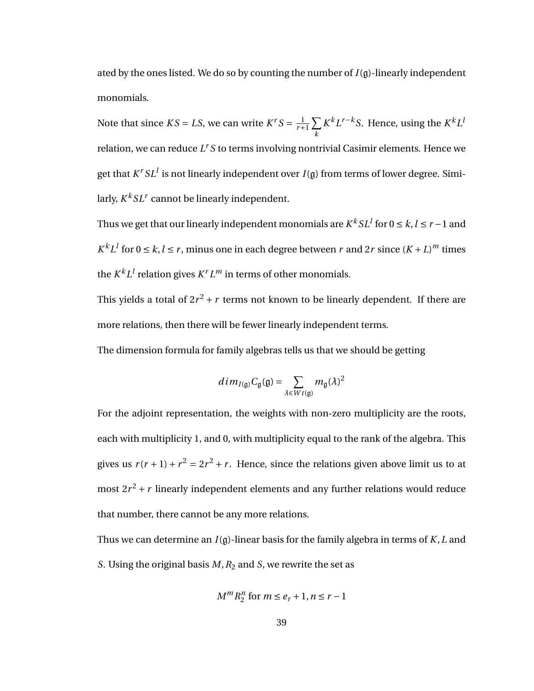ated by the ones listed. We do so by counting the number of *I*(g)-linearly independent monomials.

Note that since  $KS = LS$ , we can write  $K^rS = \frac{1}{r+1}\sum_{r=1}^{n}$ *k*  $K^k L^{r-k} S$ . Hence, using the  $K^k L^l$ relation, we can reduce *L <sup>r</sup> S* to terms involving nontrivial Casimir elements. Hence we get that  $K^rSL^l$  is not linearly independent over  $I(\mathfrak{g})$  from terms of lower degree. Similarly,  $K^k SL^r$  cannot be linearly independent.

Thus we get that our linearly independent monomials are  $K^kSL^l$  for  $0\leq k,l\leq r-1$  and  $K^k L^l$  for  $0 \le k, l \le r$ , minus one in each degree between *r* and 2*r* since  $(K + L)^m$  times the  $K^k L^l$  relation gives  $K^r L^m$  in terms of other monomials.

This yields a total of  $2r^2 + r$  terms not known to be linearly dependent. If there are more relations, then there will be fewer linearly independent terms.

The dimension formula for family algebras tells us that we should be getting

$$
dim_{I(\mathfrak{g})}C_{\mathfrak{g}}(\mathfrak{g})=\sum_{\lambda\in Wt(\mathfrak{g})}m_{\mathfrak{g}}(\lambda)^2
$$

For the adjoint representation, the weights with non-zero multiplicity are the roots, each with multiplicity 1, and 0, with multiplicity equal to the rank of the algebra. This gives us  $r(r+1) + r^2 = 2r^2 + r$ . Hence, since the relations given above limit us to at most  $2r^2 + r$  linearly independent elements and any further relations would reduce that number, there cannot be any more relations.

Thus we can determine an *I*(g)-linear basis for the family algebra in terms of *K*,*L* and *S*. Using the original basis *M*,*R*<sup>2</sup> and *S*, we rewrite the set as

$$
M^m R_2^n \text{ for } m \le e_r + 1, n \le r - 1
$$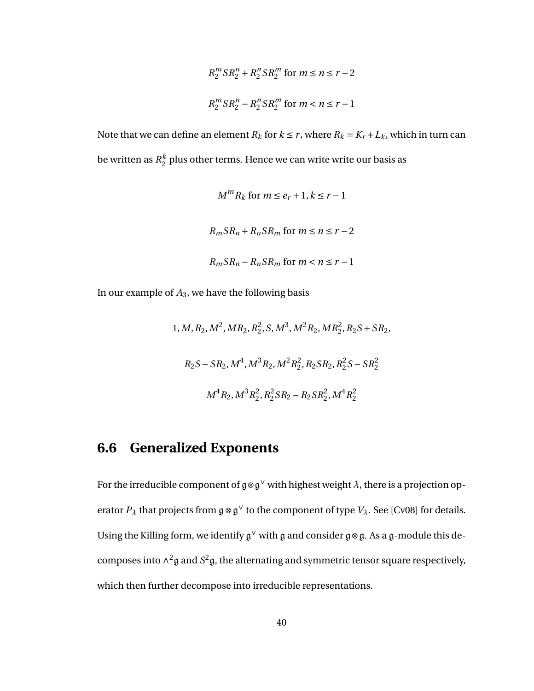$$
R_2^m S R_2^n + R_2^n S R_2^m \text{ for } m \le n \le r - 2
$$
  

$$
R_2^m S R_2^n - R_2^n S R_2^m \text{ for } m < n \le r - 1
$$

Note that we can define an element  $R_k$  for  $k \leq r$ , where  $R_k = K_r + L_k$ , which in turn can be written as *R k*  $_2^{\kappa}$  plus other terms. Hence we can write write our basis as

$$
M^{m}R_{k} \text{ for } m \leq e_{r} + 1, k \leq r - 1
$$
  

$$
R_{m}SR_{n} + R_{n}SR_{m} \text{ for } m \leq n \leq r - 2
$$
  

$$
R_{m}SR_{n} - R_{n}SR_{m} \text{ for } m < n \leq r - 1
$$

In our example of *A*3, we have the following basis

1,*M*,*R*2,*M*<sup>2</sup> ,*MR*2,*R* 2 2 ,*S*,*M*<sup>3</sup> ,*M*2*R*2,*MR*<sup>2</sup> 2 ,*R*2*S* +*SR*2, *R*2*S* −*SR*2,*M*<sup>4</sup> ,*M*3*R*2,*M*2*R* 2 2 ,*R*2*SR*2,*R* 2 2 *S* −*SR*<sup>2</sup> 2 *M*4*R*2,*M*3*R* 2 2 ,*R* 2 2 *SR*<sup>2</sup> −*R*2*SR*<sup>2</sup> 2 ,*M*4*R* 2 2

#### **6.6 Generalized Exponents**

For the irreducible component of  $\mathfrak{g} \otimes \mathfrak{g}^\vee$  with highest weight  $\lambda$ , there is a projection operator  $P_{\lambda}$  that projects from  $\mathfrak{g} \otimes \mathfrak{g}^{\vee}$  to the component of type  $V_{\lambda}$ . See [Cv08] for details. Using the Killing form, we identify  $\mathfrak{g}^{\vee}$  with  $\mathfrak g$  and consider  $\mathfrak g \otimes \mathfrak g$ . As a  $\mathfrak g$ -module this decomposes into  $\wedge^2$ g and  $S^2$ g, the alternating and symmetric tensor square respectively, which then further decompose into irreducible representations.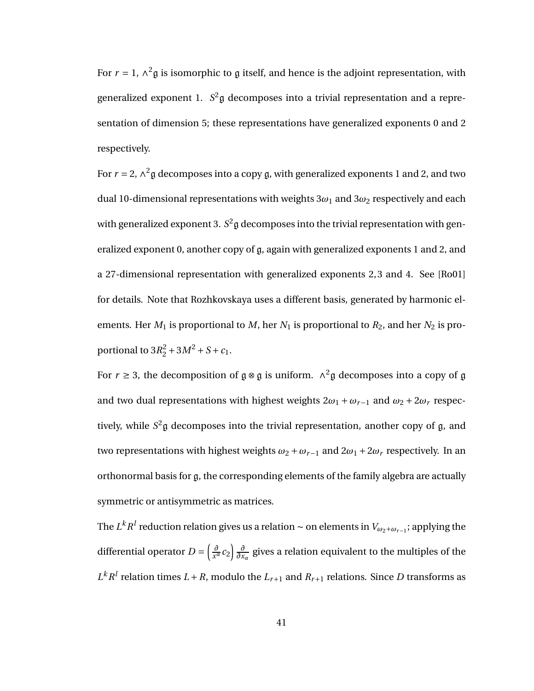For  $r = 1$ ,  $\wedge^2$ g is isomorphic to g itself, and hence is the adjoint representation, with generalized exponent 1. *S* <sup>2</sup>g decomposes into a trivial representation and a representation of dimension 5; these representations have generalized exponents 0 and 2 respectively.

For  $r = 2$ ,  $\wedge^2$ g decomposes into a copy g, with generalized exponents 1 and 2, and two dual 10-dimensional representations with weights  $3\omega_1$  and  $3\omega_2$  respectively and each with generalized exponent 3.  $S^2$ g decomposes into the trivial representation with generalized exponent 0, another copy of g, again with generalized exponents 1 and 2, and a 27-dimensional representation with generalized exponents 2, 3 and 4. See [Ro01] for details. Note that Rozhkovskaya uses a different basis, generated by harmonic elements. Her  $M_1$  is proportional to  $M$ , her  $N_1$  is proportional to  $R_2$ , and her  $N_2$  is proportional to  $3R_2^2 + 3M^2 + S + c_1$ .

For *r*  $\geq$  3, the decomposition of  $\mathfrak{g} \otimes \mathfrak{g}$  is uniform.  $\wedge^2 \mathfrak{g}$  decomposes into a copy of  $\mathfrak{g}$ and two dual representations with highest weights  $2\omega_1 + \omega_{r-1}$  and  $\omega_2 + 2\omega_r$  respectively, while *S* <sup>2</sup>g decomposes into the trivial representation, another copy of g, and two representations with highest weights  $\omega_2 + \omega_{r-1}$  and  $2\omega_1 + 2\omega_r$  respectively. In an orthonormal basis for g, the corresponding elements of the family algebra are actually symmetric or antisymmetric as matrices.

The  $L^kR^l$  reduction relation gives us a relation  $\sim$  on elements in  $V_{\omega_2+\omega_{r-1}}$ ; applying the differential operator *D* =  $\frac{\partial}{\partial x^a}$  $\frac{\partial}{\partial x} c_2 \frac{\partial}{\partial x}$ *∂x<sup>α</sup>* gives a relation equivalent to the multiples of the  $L^k R^l$  relation times  $L + R$ , modulo the  $L_{r+1}$  and  $R_{r+1}$  relations. Since *D* transforms as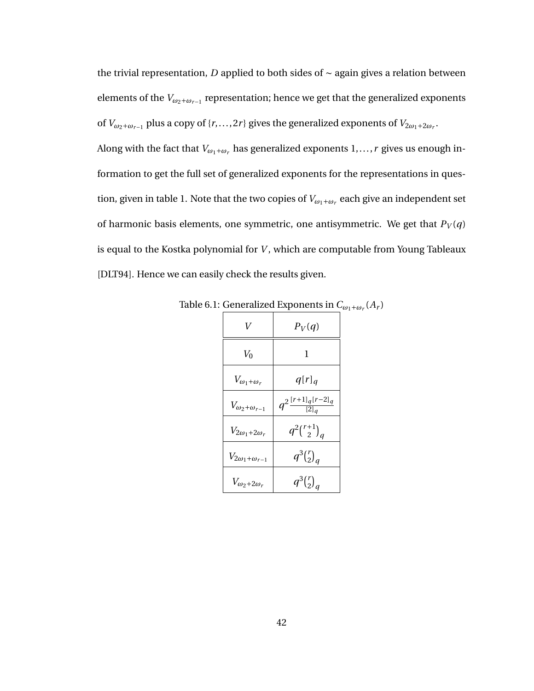the trivial representation, *D* applied to both sides of ∼ again gives a relation between elements of the  $V_{\omega_2+\omega_{r-1}}$  representation; hence we get that the generalized exponents of  $V_{\omega_2+\omega_{r-1}}$  plus a copy of {*r*,...,2*r*} gives the generalized exponents of  $V_{2\omega_1+2\omega_r}$ .

Along with the fact that  $V_{\omega_1+\omega_r}$  has generalized exponents  $1,\ldots,r$  gives us enough information to get the full set of generalized exponents for the representations in question, given in table 1. Note that the two copies of  $V_{\omega_1+\omega_r}$  each give an independent set of harmonic basis elements, one symmetric, one antisymmetric. We get that  $P_V(q)$ is equal to the Kostka polynomial for *V* , which are computable from Young Tableaux [DLT94]. Hence we can easily check the results given.

| V                            | $P_V(q)$                            |
|------------------------------|-------------------------------------|
| $V_0$                        | 1                                   |
| $V_{\omega_1+\omega_r}$      | $q[r]_q$                            |
| $V_{\omega_2+\omega_{r-1}}$  | $q^{2\frac{[r+1]_q[r-2]_q}{[2]_q}}$ |
| $V_{2\omega_1+2\omega_r}$    | $q^2\binom{r+1}{2}_q$               |
| $V_{2\omega_1+\omega_{r-1}}$ | $q^3{r \choose 2}_q$                |
| $V_{\omega_2+2\omega_r}$     | $q^3{r \choose 2}_q$                |

Table 6.1: Generalized Exponents in  $C_{\omega_1+\omega_r}(A_r)$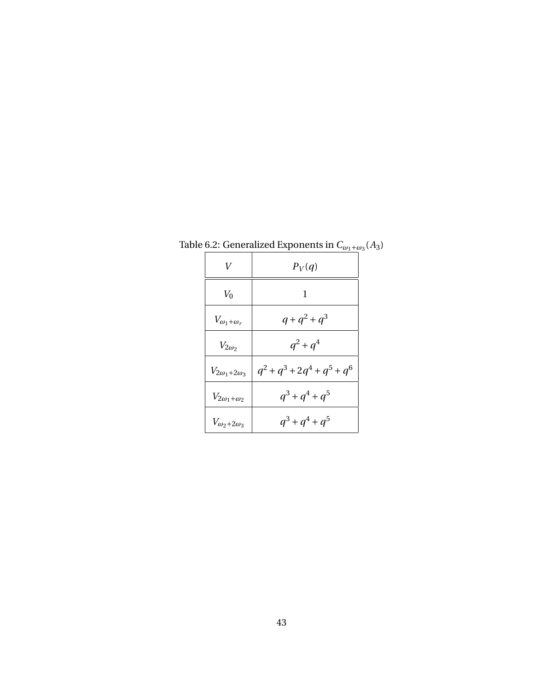| V                         | $P_V(q)$                       |
|---------------------------|--------------------------------|
| $V_0$                     | 1                              |
| $V_{\omega_1+\omega_r}$   | $q + q^2 + q^3$                |
| $V_{2\omega_2}$           | $q^2 + q^4$                    |
| $V_{2\omega_1+2\omega_3}$ | $q^2 + q^3 + 2q^4 + q^5 + q^6$ |
| $V_{2\omega_1+\omega_2}$  | $q^3 + q^4 + q^5$              |
| $V_{\omega_2+2\omega_3}$  | $q^3 + q^4 + q^5$              |

Table 6.2: Generalized Exponents in  $C_{\omega_1+\omega_3}(A_3)$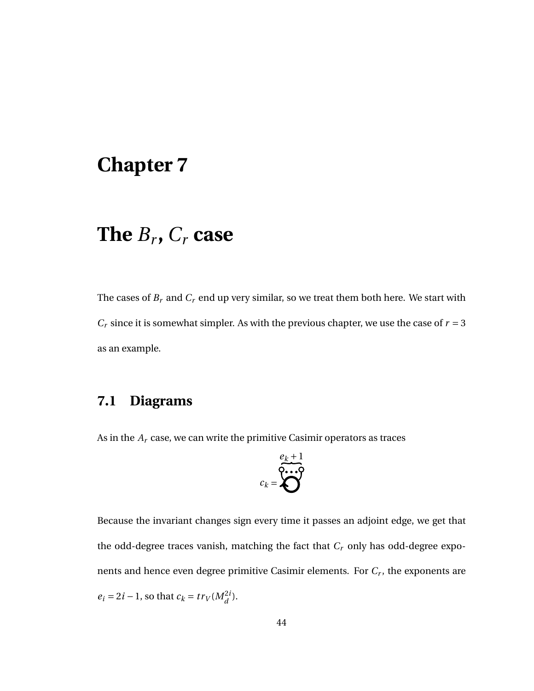# **Chapter 7**

# **The** *B<sup>r</sup>* **,** *C<sup>r</sup>* **case**

The cases of  $B_r$  and  $C_r$  end up very similar, so we treat them both here. We start with  $C_r$  since it is somewhat simpler. As with the previous chapter, we use the case of  $r = 3$ as an example.

## **7.1 Diagrams**

As in the *A<sup>r</sup>* case, we can write the primitive Casimir operators as traces

$$
c_k = \bigotimes^{e_k + 1}
$$

Because the invariant changes sign every time it passes an adjoint edge, we get that the odd-degree traces vanish, matching the fact that *C<sup>r</sup>* only has odd-degree exponents and hence even degree primitive Casimir elements. For *C<sup>r</sup>* , the exponents are  $e_i = 2i - 1$ , so that  $c_k = tr_V(M_d^{2i})$ .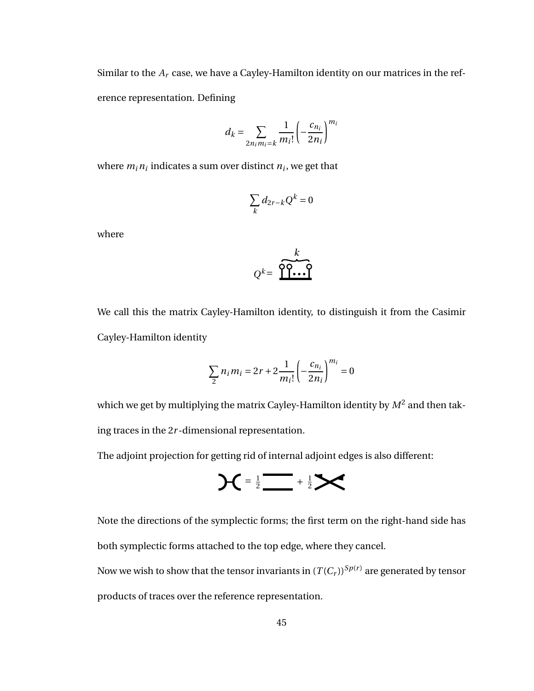Similar to the  $A_r$  case, we have a Cayley-Hamilton identity on our matrices in the reference representation. Defining

$$
d_k = \sum_{2n_i m_i = k} \frac{1}{m_i!} \left( -\frac{c_{n_i}}{2n_i} \right)^{m_i}
$$

where  $m_i n_i$  indicates a sum over distinct  $n_i$ , we get that

$$
\sum_{k} d_{2r-k} Q^k = 0
$$

where

$$
Q^k = \underbrace{\overbrace{\mathbf{P} \mathbf{P} \cdots \mathbf{P}}^k}_{\mathbf{P} \cdots \mathbf{P}}
$$

We call this the matrix Cayley-Hamilton identity, to distinguish it from the Casimir Cayley-Hamilton identity

$$
\sum_{2} n_{i} m_{i} = 2r + 2 \frac{1}{m_{i}!} \left( -\frac{c_{n_{i}}}{2n_{i}} \right)^{m_{i}} = 0
$$

which we get by multiplying the matrix Cayley-Hamilton identity by  $M^2$  and then taking traces in the 2*r* -dimensional representation.

The adjoint projection for getting rid of internal adjoint edges is also different:

$$
AC = \frac{1}{2} \frac{1}{2} \sum \frac{1}{2} \sum
$$

Note the directions of the symplectic forms; the first term on the right-hand side has both symplectic forms attached to the top edge, where they cancel.

Now we wish to show that the tensor invariants in  $(T(C_r))^{Sp(r)}$  are generated by tensor products of traces over the reference representation.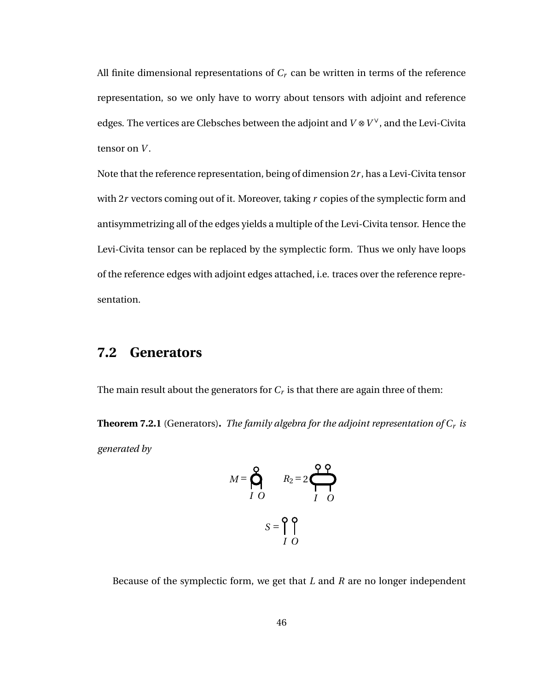All finite dimensional representations of  $C_r$  can be written in terms of the reference representation, so we only have to worry about tensors with adjoint and reference edges. The vertices are Clebsches between the adjoint and *V* ⊗*V* <sup>∨</sup>, and the Levi-Civita tensor on *V* .

Note that the reference representation, being of dimension 2*r* , has a Levi-Civita tensor with 2*r* vectors coming out of it. Moreover, taking *r* copies of the symplectic form and antisymmetrizing all of the edges yields a multiple of the Levi-Civita tensor. Hence the Levi-Civita tensor can be replaced by the symplectic form. Thus we only have loops of the reference edges with adjoint edges attached, i.e. traces over the reference representation.

#### **7.2 Generators**

The main result about the generators for  $C_r$  is that there are again three of them:

**Theorem 7.2.1** (Generators)**.** *The family algebra for the adjoint representation of C<sup>r</sup> is generated by*

$$
M = \bigotimes_{I=0}^{Q} R_2 = 2 \bigotimes_{I=0}^{Q} R_2
$$

$$
S = \bigcap_{I=0}^{Q} \bigcap_{I=0}^{Q} R_2 = 2 \bigotimes_{I=0}^{Q} R_2 = 2 \bigotimes_{I=0}^{Q} R_2 = 2 \bigotimes_{I=0}^{Q} R_2 = 2 \bigotimes_{I=0}^{Q} R_2 = 2 \bigotimes_{I=0}^{Q} R_2 = 2 \bigotimes_{I=0}^{Q} R_2 = 2 \bigotimes_{I=0}^{Q} R_2 = 2 \bigotimes_{I=0}^{Q} R_2 = 2 \bigotimes_{I=0}^{Q} R_2 = 2 \bigotimes_{I=0}^{Q} R_2 = 2 \bigotimes_{I=0}^{Q} R_2 = 2 \bigotimes_{I=0}^{Q} R_2 = 2 \bigotimes_{I=0}^{Q} R_2 = 2 \bigotimes_{I=0}^{Q} R_2 = 2 \bigotimes_{I=0}^{Q} R_2 = 2 \bigotimes_{I=0}^{Q} R_2 = 2 \bigotimes_{I=0}^{Q} R_2 = 2 \bigotimes_{I=0}^{Q} R_2 = 2 \bigotimes_{I=0}^{Q} R_2 = 2 \bigotimes_{I=0}^{Q} R_2 = 2 \bigotimes_{I=0}^{Q} R_2 = 2 \bigotimes_{I=0}^{Q} R_2 = 2 \bigotimes_{I=0}^{Q} R_2 = 2 \bigotimes_{I=0}^{Q} R_2 = 2 \bigotimes_{I=0}^{Q} R_2 = 2 \bigotimes_{I=0}^{Q} R_2 = 2 \bigotimes_{I=0}^{Q} R_2 = 2 \bigotimes_{I=0}^{Q} R_2 = 2 \bigotimes_{I=0}^{Q} R_2 = 2 \bigotimes_{I=0}^{Q} R_2 = 2 \bigotimes_{I=0}^{Q} R_2 = 2 \bigotimes_{I=0}^{Q} R_2 = 2 \bigotimes_{I=0}^{Q} R_2 = 2 \bigotimes_{I=0}^{Q} R_2 = 2 \bigotimes_{I=0}^{Q} R_2 = 2 \bigotimes_{I=0}^{Q} R_2 = 2 \bigotimes_{I=0}^{Q} R_2 = 2 \bigotimes_{I=0}^{Q} R_2 = 2 \big
$$

Because of the symplectic form, we get that *L* and *R* are no longer independent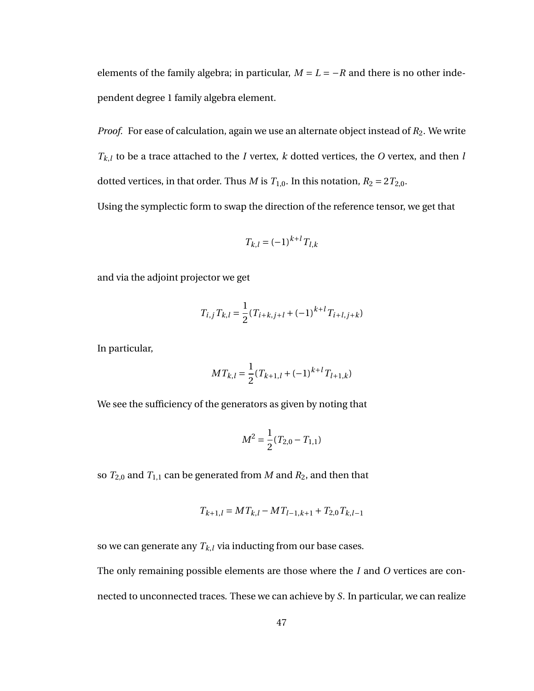elements of the family algebra; in particular,  $M = L = -R$  and there is no other independent degree 1 family algebra element.

*Proof.* For ease of calculation, again we use an alternate object instead of  $R_2$ . We write  $T_{k,l}$  to be a trace attached to the *I* vertex, *k* dotted vertices, the *O* vertex, and then *l* dotted vertices, in that order. Thus *M* is  $T_{1,0}$ . In this notation,  $R_2 = 2T_{2,0}$ .

Using the symplectic form to swap the direction of the reference tensor, we get that

$$
T_{k,l} = (-1)^{k+l} T_{l,k}
$$

and via the adjoint projector we get

$$
T_{i,j} T_{k,l} = \frac{1}{2} (T_{i+k,j+l} + (-1)^{k+l} T_{i+l,j+k})
$$

In particular,

$$
MT_{k,l} = \frac{1}{2}(T_{k+1,l} + (-1)^{k+l}T_{l+1,k})
$$

We see the sufficiency of the generators as given by noting that

$$
M^2 = \frac{1}{2}(T_{2,0} - T_{1,1})
$$

so  $T_{2,0}$  and  $T_{1,1}$  can be generated from *M* and  $R_2$ , and then that

$$
T_{k+1,l} = MT_{k,l} - MT_{l-1,k+1} + T_{2,0}T_{k,l-1}
$$

so we can generate any  $T_{k,l}$  via inducting from our base cases.

The only remaining possible elements are those where the *I* and *O* vertices are connected to unconnected traces. These we can achieve by *S*. In particular, we can realize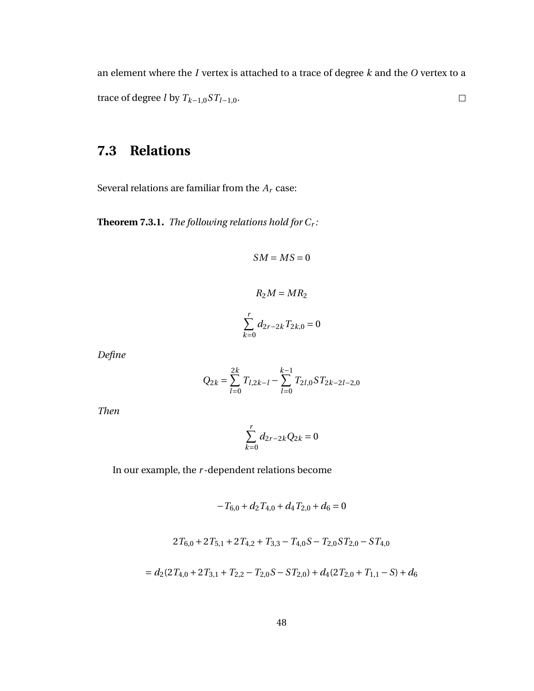an element where the *I* vertex is attached to a trace of degree *k* and the *O* vertex to a trace of degree *l* by  $T_{k-1,0}ST_{l-1,0}$ .  $\Box$ 

## **7.3 Relations**

Several relations are familiar from the  $A_r$  case:

**Theorem 7.3.1.** *The following relations hold for C<sup>r</sup> :*

$$
SM = MS = 0
$$

$$
R_2M = MR_2
$$

$$
\sum_{k=0}^{r} d_{2r-2k} T_{2k,0} = 0
$$

*Define*

$$
Q_{2k} = \sum_{l=0}^{2k} T_{l,2k-l} - \sum_{l=0}^{k-1} T_{2l,0} ST_{2k-2l-2,0}
$$

*Then*

$$
\sum_{k=0}^{r} d_{2r-2k} Q_{2k} = 0
$$

In our example, the *r* -dependent relations become

$$
-T_{6,0} + d_2 T_{4,0} + d_4 T_{2,0} + d_6 = 0
$$

$$
2T_{6,0} + 2T_{5,1} + 2T_{4,2} + T_{3,3} - T_{4,0}S - T_{2,0}ST_{2,0} - ST_{4,0}
$$

$$
= d_2(2T_{4,0} + 2T_{3,1} + T_{2,2} - T_{2,0}S - ST_{2,0}) + d_4(2T_{2,0} + T_{1,1} - S) + d_6
$$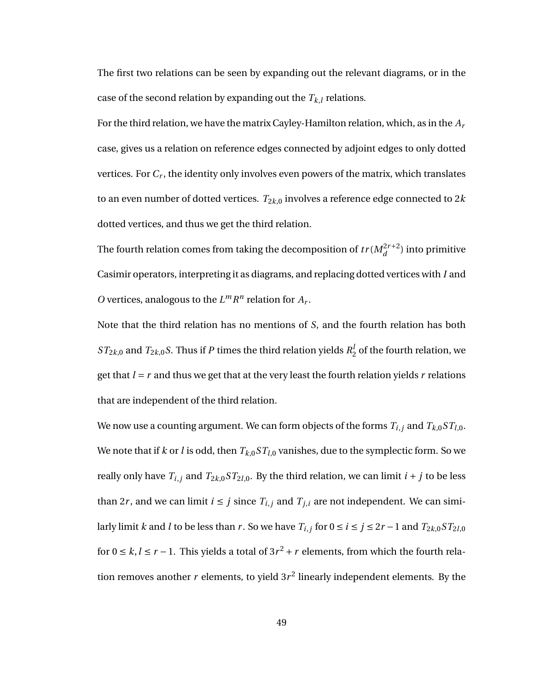The first two relations can be seen by expanding out the relevant diagrams, or in the case of the second relation by expanding out the  $T_{k,l}$  relations.

For the third relation, we have the matrix Cayley-Hamilton relation, which, as in the *A<sup>r</sup>* case, gives us a relation on reference edges connected by adjoint edges to only dotted vertices. For *C<sup>r</sup>* , the identity only involves even powers of the matrix, which translates to an even number of dotted vertices.  $T_{2k,0}$  involves a reference edge connected to  $2k$ dotted vertices, and thus we get the third relation.

The fourth relation comes from taking the decomposition of  $tr(M_d^{2r+2})$  into primitive Casimir operators, interpreting it as diagrams, and replacing dotted vertices with *I* and *O* vertices, analogous to the  $L^m R^n$  relation for  $A_r$ .

Note that the third relation has no mentions of *S*, and the fourth relation has both  $ST_{2k,0}$  and  $T_{2k,0}$ *S*. Thus if *P* times the third relation yields  $R^l_2$  $\frac{1}{2}$  of the fourth relation, we get that  $l = r$  and thus we get that at the very least the fourth relation yields  $r$  relations that are independent of the third relation.

We now use a counting argument. We can form objects of the forms  $T_{i,j}$  and  $T_{k,0}ST_{l,0}$ . We note that if *k* or *l* is odd, then  $T_{k,0}ST_{l,0}$  vanishes, due to the symplectic form. So we really only have  $T_{i,j}$  and  $T_{2k,0}ST_{2l,0}$ . By the third relation, we can limit  $i + j$  to be less than 2*r*, and we can limit  $i \leq j$  since  $T_{i,j}$  and  $T_{j,i}$  are not independent. We can similarly limit *k* and *l* to be less than *r* . So we have  $T_{i,j}$  for  $0 \le i \le j \le 2r - 1$  and  $T_{2k,0}ST_{2l,0}$ for  $0 \le k, l \le r - 1$ . This yields a total of  $3r^2 + r$  elements, from which the fourth relation removes another  $r$  elements, to yield  $3r^2$  linearly independent elements. By the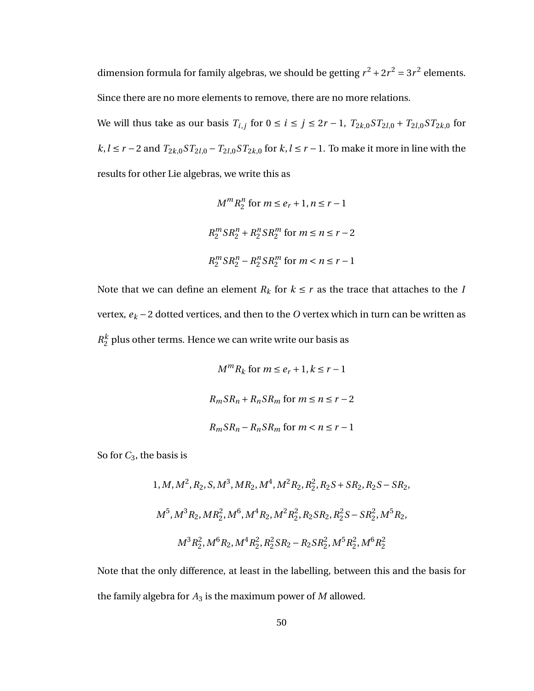dimension formula for family algebras, we should be getting  $r^2 + 2r^2 = 3r^2$  elements. Since there are no more elements to remove, there are no more relations.

We will thus take as our basis  $T_{i,j}$  for  $0 \le i \le j \le 2r - 1$ ,  $T_{2k,0}ST_{2l,0} + T_{2l,0}ST_{2k,0}$  for *k*, *l* ≤ *r* − 2 and  $T_{2k,0}ST_{2l,0} - T_{2l,0}ST_{2k,0}$  for *k*, *l* ≤ *r* − 1. To make it more in line with the results for other Lie algebras, we write this as

$$
M^m R_2^n \text{ for } m \le e_r + 1, n \le r - 1
$$
  

$$
R_2^m S R_2^n + R_2^n S R_2^m \text{ for } m \le n \le r - 2
$$
  

$$
R_2^m S R_2^n - R_2^n S R_2^m \text{ for } m < n \le r - 1
$$

Note that we can define an element  $R_k$  for  $k \leq r$  as the trace that attaches to the *I* vertex,  $e_k - 2$  dotted vertices, and then to the  $O$  vertex which in turn can be written as  $R_2^k$  $_2^{\kappa}$  plus other terms. Hence we can write write our basis as

$$
M^{m}R_{k} \text{ for } m \leq e_{r} + 1, k \leq r - 1
$$
  

$$
R_{m}SR_{n} + R_{n}SR_{m} \text{ for } m \leq n \leq r - 2
$$
  

$$
R_{m}SR_{n} - R_{n}SR_{m} \text{ for } m < n \leq r - 1
$$

So for *C*3, the basis is

1,*M*,*M*<sup>2</sup> ,*R*2,*S*,*M*<sup>3</sup> ,*MR*2,*M*<sup>4</sup> ,*M*2*R*2,*R* 2 2 ,*R*2*S* +*SR*2,*R*2*S* −*SR*2, *M*<sup>5</sup> ,*M*3*R*2,*MR*<sup>2</sup> 2 ,*M*<sup>6</sup> ,*M*4*R*2,*M*2*R* 2 2 ,*R*2*SR*2,*R* 2 2 *S* −*SR*<sup>2</sup> 2 ,*M*5*R*2, *M*3*R* 2 2 ,*M*6*R*2,*M*4*R* 2 2 ,*R* 2 2 *SR*<sup>2</sup> −*R*2*SR*<sup>2</sup> 2 ,*M*5*R* 2 2 ,*M*6*R* 2 2

Note that the only difference, at least in the labelling, between this and the basis for the family algebra for  $A_3$  is the maximum power of  $M$  allowed.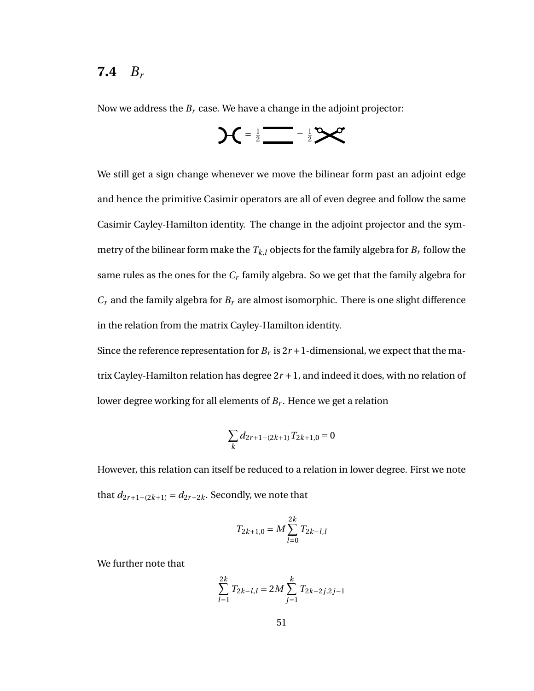#### **7.4** *B<sup>r</sup>*

Now we address the *B<sup>r</sup>* case. We have a change in the adjoint projector:

$$
AC = \frac{1}{2} \frac{1}{2} \frac{1}{2}
$$

We still get a sign change whenever we move the bilinear form past an adjoint edge and hence the primitive Casimir operators are all of even degree and follow the same Casimir Cayley-Hamilton identity. The change in the adjoint projector and the symmetry of the bilinear form make the  $T_{k,l}$  objects for the family algebra for  $B_r$  follow the same rules as the ones for the *C<sup>r</sup>* family algebra. So we get that the family algebra for  $C_r$  and the family algebra for  $B_r$  are almost isomorphic. There is one slight difference in the relation from the matrix Cayley-Hamilton identity.

Since the reference representation for  $B_r$  is  $2r + 1$ -dimensional, we expect that the matrix Cayley-Hamilton relation has degree  $2r + 1$ , and indeed it does, with no relation of lower degree working for all elements of *B<sup>r</sup>* . Hence we get a relation

$$
\sum_{k} d_{2r+1-(2k+1)} T_{2k+1,0} = 0
$$

However, this relation can itself be reduced to a relation in lower degree. First we note that  $d_{2r+1-(2k+1)} = d_{2r-2k}$ . Secondly, we note that

$$
T_{2k+1,0} = M \sum_{l=0}^{2k} T_{2k-l,l}
$$

We further note that

$$
\sum_{l=1}^{2k} T_{2k-l,l} = 2M \sum_{j=1}^{k} T_{2k-2j,2j-1}
$$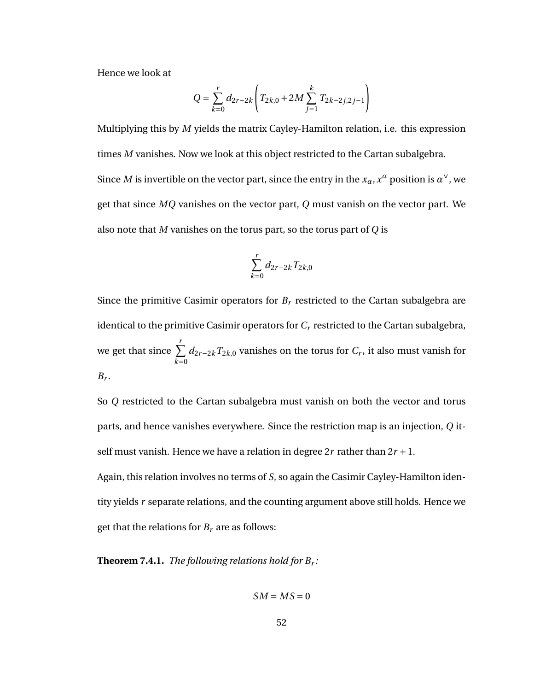Hence we look at

$$
Q = \sum_{k=0}^{r} d_{2r-2k} \left( T_{2k,0} + 2M \sum_{j=1}^{k} T_{2k-2j,2j-1} \right)
$$

Multiplying this by *M* yields the matrix Cayley-Hamilton relation, i.e. this expression times *M* vanishes. Now we look at this object restricted to the Cartan subalgebra. Since  $M$  is invertible on the vector part, since the entry in the  $x_\alpha, x^\alpha$  position is  $\alpha^\vee$ , we get that since *MQ* vanishes on the vector part, *Q* must vanish on the vector part. We also note that *M* vanishes on the torus part, so the torus part of *Q* is

$$
\sum_{k=0}^r d_{2r-2k} T_{2k,0}
$$

Since the primitive Casimir operators for  $B_r$  restricted to the Cartan subalgebra are identical to the primitive Casimir operators for  $C_r$  restricted to the Cartan subalgebra, we get that since  $\sum^r$  $\overline{k=0}$ *d*2*r*−2*kT*2*k*,0 vanishes on the torus for *C<sup>r</sup>* , it also must vanish for  $B_r$ .

So *Q* restricted to the Cartan subalgebra must vanish on both the vector and torus parts, and hence vanishes everywhere. Since the restriction map is an injection, *Q* itself must vanish. Hence we have a relation in degree  $2r$  rather than  $2r + 1$ .

Again, this relation involves no terms of *S*, so again the Casimir Cayley-Hamilton identity yields *r* separate relations, and the counting argument above still holds. Hence we get that the relations for  $B_r$  are as follows:

**Theorem 7.4.1.** *The following relations hold for B<sup>r</sup> :*

$$
SM=MS=0
$$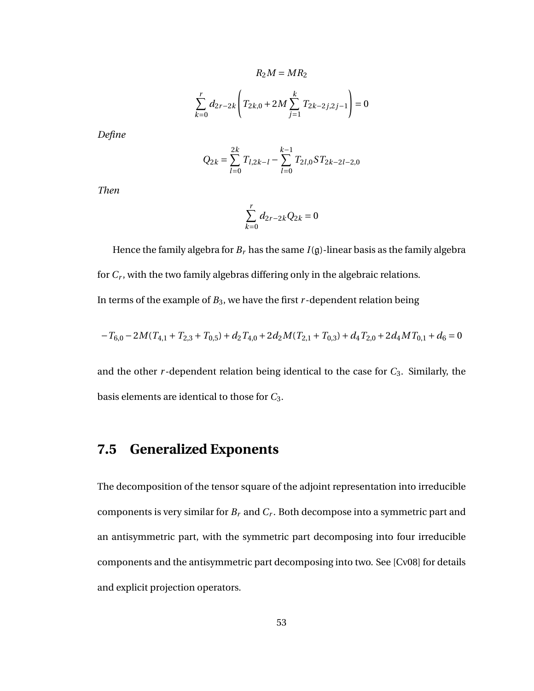$$
R_2M = MR_2
$$
  

$$
\sum_{k=0}^{r} d_{2r-2k} \left( T_{2k,0} + 2M \sum_{j=1}^{k} T_{2k-2j,2j-1} \right) = 0
$$

*Define*

$$
Q_{2k} = \sum_{l=0}^{2k} T_{l,2k-l} - \sum_{l=0}^{k-1} T_{2l,0} ST_{2k-2l-2,0}
$$

*Then*

$$
\sum_{k=0}^{r} d_{2r-2k} Q_{2k} = 0
$$

Hence the family algebra for  $B_r$  has the same  $I(g)$ -linear basis as the family algebra for *C<sup>r</sup>* , with the two family algebras differing only in the algebraic relations. In terms of the example of  $B_3$ , we have the first  $r$ -dependent relation being

$$
-T_{6,0} - 2M(T_{4,1} + T_{2,3} + T_{0,5}) + d_2 T_{4,0} + 2d_2 M(T_{2,1} + T_{0,3}) + d_4 T_{2,0} + 2d_4 M T_{0,1} + d_6 = 0
$$

and the other  $r$ -dependent relation being identical to the case for  $C_3$ . Similarly, the basis elements are identical to those for *C*3.

#### **7.5 Generalized Exponents**

The decomposition of the tensor square of the adjoint representation into irreducible components is very similar for *B<sup>r</sup>* and *C<sup>r</sup>* . Both decompose into a symmetric part and an antisymmetric part, with the symmetric part decomposing into four irreducible components and the antisymmetric part decomposing into two. See [Cv08] for details and explicit projection operators.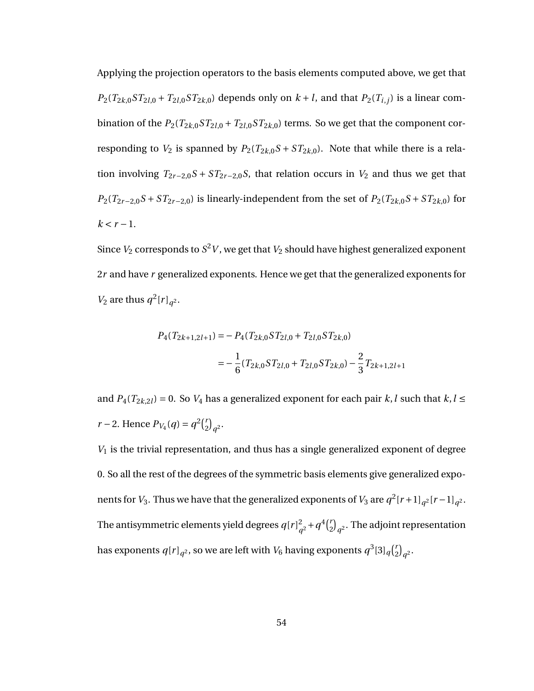Applying the projection operators to the basis elements computed above, we get that  $P_2(T_{2k,0}ST_{2l,0} + T_{2l,0}ST_{2k,0})$  depends only on  $k+l$ , and that  $P_2(T_{i,j})$  is a linear combination of the  $P_2(T_{2k,0}ST_{2l,0} + T_{2l,0}ST_{2k,0})$  terms. So we get that the component corresponding to  $V_2$  is spanned by  $P_2(T_{2k,0}S + ST_{2k,0})$ . Note that while there is a relation involving  $T_{2r-2,0}S + ST_{2r-2,0}S$ , that relation occurs in  $V_2$  and thus we get that *P*<sub>2</sub>( $T$ <sub>2</sub>*r*−2,0*S* + *ST*<sub>2</sub>*r*−2,0) is linearly-independent from the set of  $P$ <sub>2</sub>( $T$ <sub>2</sub>*k*,0*S* + *ST*<sub>2</sub>*k*,0) for  $k < r - 1$ .

Since  $V_2$  corresponds to  $S^2 V$ , we get that  $V_2$  should have highest generalized exponent 2*r* and have *r* generalized exponents. Hence we get that the generalized exponents for *V*<sub>2</sub> are thus  $q^2 [r]_{q^2}$ .

$$
P_4(T_{2k+1,2l+1}) = -P_4(T_{2k,0}ST_{2l,0} + T_{2l,0}ST_{2k,0})
$$
  
= 
$$
-\frac{1}{6}(T_{2k,0}ST_{2l,0} + T_{2l,0}ST_{2k,0}) - \frac{2}{3}T_{2k+1,2l+1}
$$

and  $P_4(T_{2k,2l}) = 0$ . So  $V_4$  has a generalized exponent for each pair *k*, *l* such that *k*, *l* ≤ *r* − 2. Hence  $P_{V_4}(q) = q^2 {r \choose 2}$  $\binom{r}{2}q^2$ .

*V*<sup>1</sup> is the trivial representation, and thus has a single generalized exponent of degree 0. So all the rest of the degrees of the symmetric basis elements give generalized exponents for *V*<sub>3</sub>. Thus we have that the generalized exponents of *V*<sub>3</sub> are  $q^2$  [*r* + 1]<sub>*q*</sub>2</sub> [*r* − 1]<sub>*q*</sub>2. The antisymmetric elements yield degrees  $q[r]^2$  $q^2 + q^4 {r \choose 2}$  $\binom{r}{2}_{q^2}$ . The adjoint representation has exponents  $q[r]_{q^2}$ , so we are left with  $V_6$  having exponents  $q^3[3]_q\binom{r}{2}$  $\binom{r}{2}q^2$ .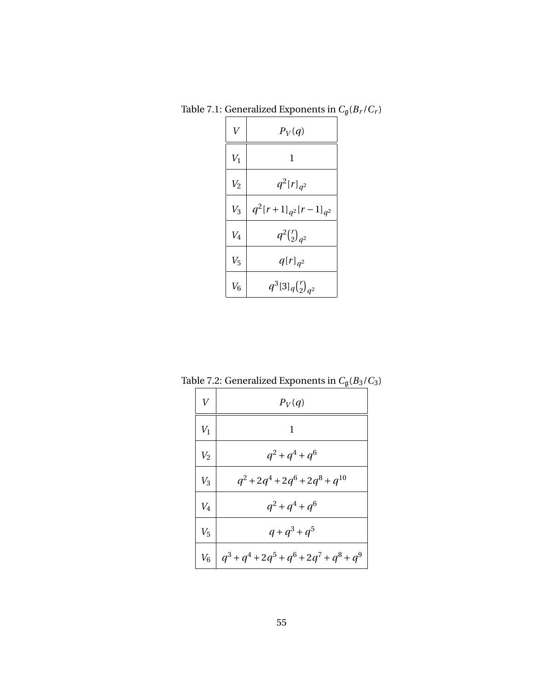| $\overline{V}$ | $P_V(q)$                     |
|----------------|------------------------------|
| $V_1$          | 1                            |
| V <sub>2</sub> | $q^2[r]_{q^2}$               |
| $V_3$          | $q^2[r+1]_{q^2}[r-1]_{q^2}$  |
| $V_4$          | $q^2 {r \choose 2}_{q^2}$    |
| $V_5$          | $q[r]_{q^2}$                 |
| $V_6$          | $q^3[3]_q\binom{r}{2}_{q^2}$ |

Table 7.1: Generalized Exponents in  $C_{\mathfrak{g}}(B_r/C_r)$ 

| V     | $P_V(q)$                                    |
|-------|---------------------------------------------|
| $V_1$ | 1                                           |
| $V_2$ | $q^2 + q^4 + q^6$                           |
| $V_3$ | $q^2+2q^4+2q^6+2q^8+q^{10}$                 |
| $V_4$ | $q^2 + q^4 + q^6$                           |
| $V_5$ | $q + q^3 + q^5$                             |
| $V_6$ | $q^3 + q^4 + 2q^5 + q^6 + 2q^7 + q^8 + q^9$ |

Table 7.2: Generalized Exponents in  $C_g(B_3/C_3)$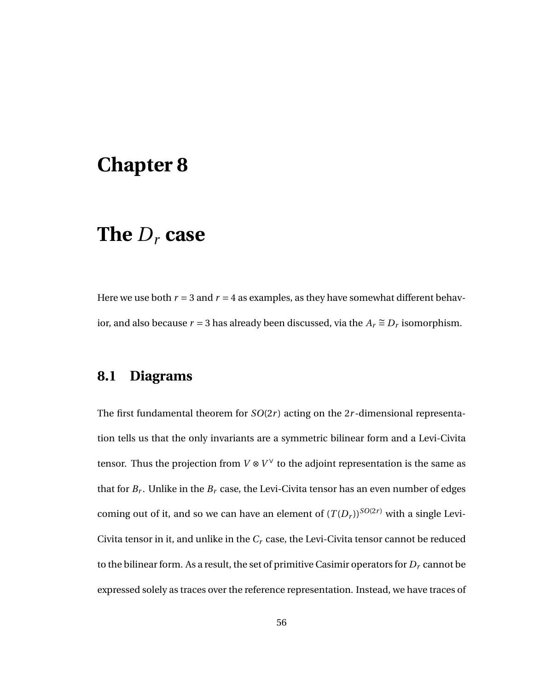# **Chapter 8**

# **The** *D<sup>r</sup>* **case**

Here we use both  $r = 3$  and  $r = 4$  as examples, as they have somewhat different behavior, and also because  $r = 3$  has already been discussed, via the  $A_r \cong D_r$  isomorphism.

## **8.1 Diagrams**

The first fundamental theorem for *SO*(2*r* ) acting on the 2*r* -dimensional representation tells us that the only invariants are a symmetric bilinear form and a Levi-Civita tensor. Thus the projection from  $V \otimes V^\vee$  to the adjoint representation is the same as that for  $B_r$ . Unlike in the  $B_r$  case, the Levi-Civita tensor has an even number of edges coming out of it, and so we can have an element of  $(T(D_r))^{SO(2r)}$  with a single Levi-Civita tensor in it, and unlike in the *C<sup>r</sup>* case, the Levi-Civita tensor cannot be reduced to the bilinear form. As a result, the set of primitive Casimir operators for  $D<sub>r</sub>$  cannot be expressed solely as traces over the reference representation. Instead, we have traces of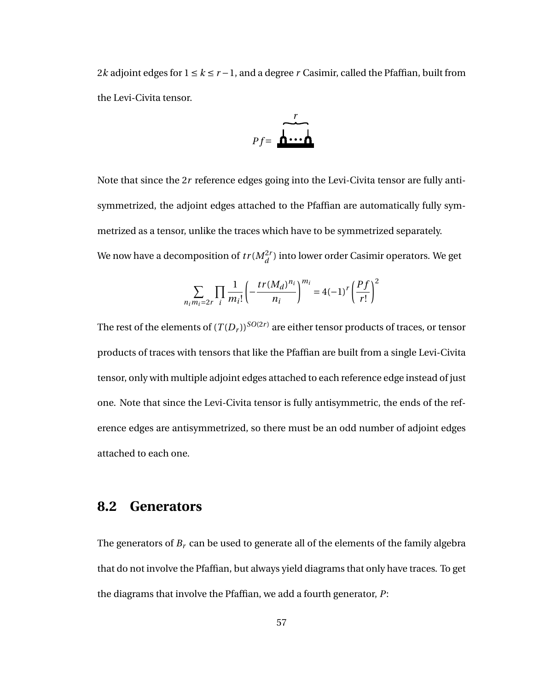2*k* adjoint edges for  $1 \le k \le r - 1$ , and a degree *r* Casimir, called the Pfaffian, built from the Levi-Civita tensor.

$$
Pf = \overbrace{\mathbf{h} \cdots \mathbf{h}}^{r}
$$

Note that since the 2*r* reference edges going into the Levi-Civita tensor are fully antisymmetrized, the adjoint edges attached to the Pfaffian are automatically fully symmetrized as a tensor, unlike the traces which have to be symmetrized separately. We now have a decomposition of  $tr(M_{d}^{2r})$  into lower order Casimir operators. We get

$$
\sum_{n_i m_i = 2r} \prod_i \frac{1}{m_i!} \left( -\frac{tr(M_d)^{n_i}}{n_i} \right)^{m_i} = 4(-1)^r \left( \frac{Pf}{r!} \right)^2
$$

The rest of the elements of  $(T(D_r))^{SO(2r)}$  are either tensor products of traces, or tensor products of traces with tensors that like the Pfaffian are built from a single Levi-Civita tensor, only with multiple adjoint edges attached to each reference edge instead of just one. Note that since the Levi-Civita tensor is fully antisymmetric, the ends of the reference edges are antisymmetrized, so there must be an odd number of adjoint edges attached to each one.

#### **8.2 Generators**

The generators of  $B_r$  can be used to generate all of the elements of the family algebra that do not involve the Pfaffian, but always yield diagrams that only have traces. To get the diagrams that involve the Pfaffian, we add a fourth generator, *P*: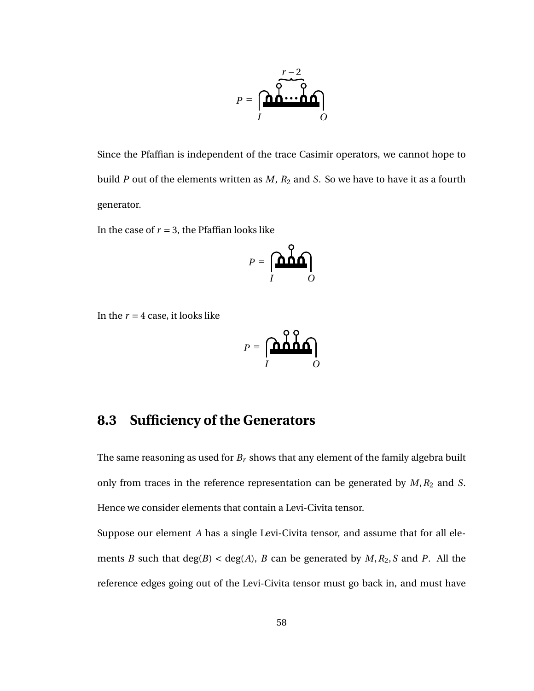

Since the Pfaffian is independent of the trace Casimir operators, we cannot hope to build *P* out of the elements written as *M*, *R*<sup>2</sup> and *S*. So we have to have it as a fourth generator.

In the case of  $r = 3$ , the Pfaffian looks like

$$
P = \left[\begin{matrix} \mathbf{D} & \mathbf{Q} \\ \mathbf{D} & \mathbf{Q} \\ \mathbf{I} & \mathbf{Q} \end{matrix}\right]
$$

In the  $r = 4$  case, it looks like

$$
P = \underbrace{\begin{bmatrix} \mathbf{0} & \mathbf{0} & \mathbf{0} \\ \mathbf{0} & \mathbf{0} & \mathbf{0} \end{bmatrix}}_{I}
$$

## **8.3 Sufficiency of the Generators**

The same reasoning as used for *B<sup>r</sup>* shows that any element of the family algebra built only from traces in the reference representation can be generated by  $M$ ,  $R_2$  and  $S$ . Hence we consider elements that contain a Levi-Civita tensor.

Suppose our element *A* has a single Levi-Civita tensor, and assume that for all elements *B* such that deg(*B*) < deg(*A*), *B* can be generated by *M*,*R*2,*S* and *P*. All the reference edges going out of the Levi-Civita tensor must go back in, and must have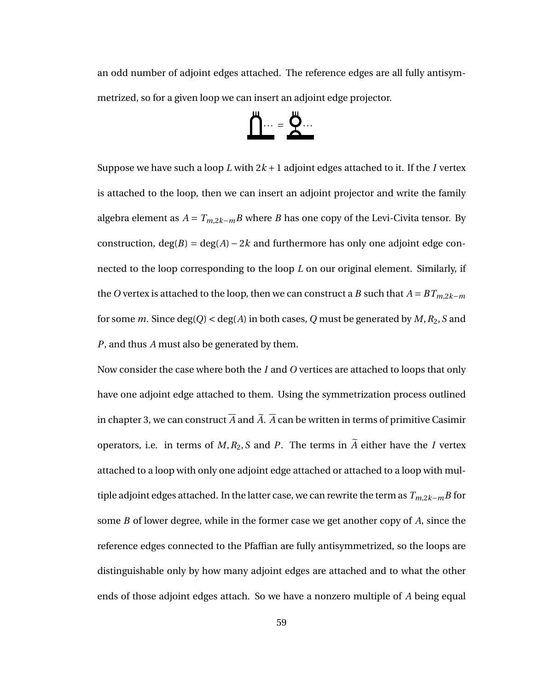an odd number of adjoint edges attached. The reference edges are all fully antisymmetrized, so for a given loop we can insert an adjoint edge projector.

$$
\underline{\underline{\Pi}\cdots} = \underline{\underline{\mu}\cdots}
$$

Suppose we have such a loop *L* with  $2k + 1$  adjoint edges attached to it. If the *I* vertex is attached to the loop, then we can insert an adjoint projector and write the family algebra element as  $A = T_{m,2k-m}B$  where *B* has one copy of the Levi-Civita tensor. By construction,  $deg(B) = deg(A) - 2k$  and furthermore has only one adjoint edge connected to the loop corresponding to the loop *L* on our original element. Similarly, if the *O* vertex is attached to the loop, then we can construct a *B* such that  $A = BT_{m,2k-m}$ for some *m*. Since deg(*Q*) < deg(*A*) in both cases, *Q* must be generated by *M*,*R*2,*S* and *P*, and thus *A* must also be generated by them.

Now consider the case where both the *I* and *O* vertices are attached to loops that only have one adjoint edge attached to them. Using the symmetrization process outlined in chapter 3, we can construct  $\overline{A}$  and  $\overline{A}$ .  $\overline{A}$  can be written in terms of primitive Casimir operators, i.e. in terms of  $M$ ,  $R_2$ ,  $S$  and  $P$ . The terms in  $\widetilde{A}$  either have the *I* vertex attached to a loop with only one adjoint edge attached or attached to a loop with multiple adjoint edges attached. In the latter case, we can rewrite the term as *Tm*,2*k*−*mB* for some *B* of lower degree, while in the former case we get another copy of *A*, since the reference edges connected to the Pfaffian are fully antisymmetrized, so the loops are distinguishable only by how many adjoint edges are attached and to what the other ends of those adjoint edges attach. So we have a nonzero multiple of *A* being equal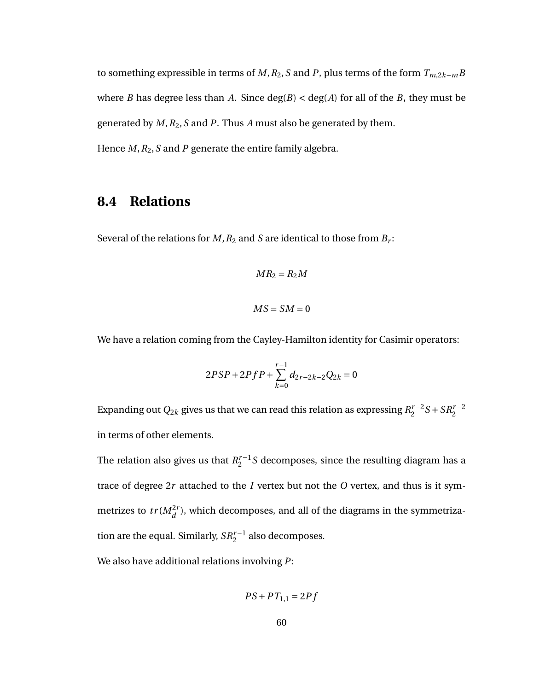to something expressible in terms of *M*,*R*2,*S* and *P*, plus terms of the form *Tm*,2*k*−*mB* where *B* has degree less than *A*. Since  $deg(B) < deg(A)$  for all of the *B*, they must be generated by *M*,*R*2,*S* and *P*. Thus *A* must also be generated by them.

Hence *M*,*R*2,*S* and *P* generate the entire family algebra.

#### **8.4 Relations**

Several of the relations for  $M$ ,  $R_2$  and  $S$  are identical to those from  $B_r$ :

$$
MR_2 = R_2M
$$
  

$$
MS = SM = 0
$$

We have a relation coming from the Cayley-Hamilton identity for Casimir operators:

$$
2PSP + 2PfP + \sum_{k=0}^{r-1} d_{2r-2k-2}Q_{2k} = 0
$$

Expanding out  $Q_{2k}$  gives us that we can read this relation as expressing  $R_2^{r-2}$  $S_2^{r-2}S + SR_2^{r-2}$ in terms of other elements.

The relation also gives us that  $R_2^{r-1}$  $\frac{r-1}{2}$ S decomposes, since the resulting diagram has a trace of degree 2*r* attached to the *I* vertex but not the *O* vertex, and thus is it symmetrizes to  $tr(M_d^{2r})$ , which decomposes, and all of the diagrams in the symmetrization are the equal. Similarly,  $SR_2^{r-1}$  also decomposes.

We also have additional relations involving *P*:

$$
PS+PT_{1,1}=2Pf\\
$$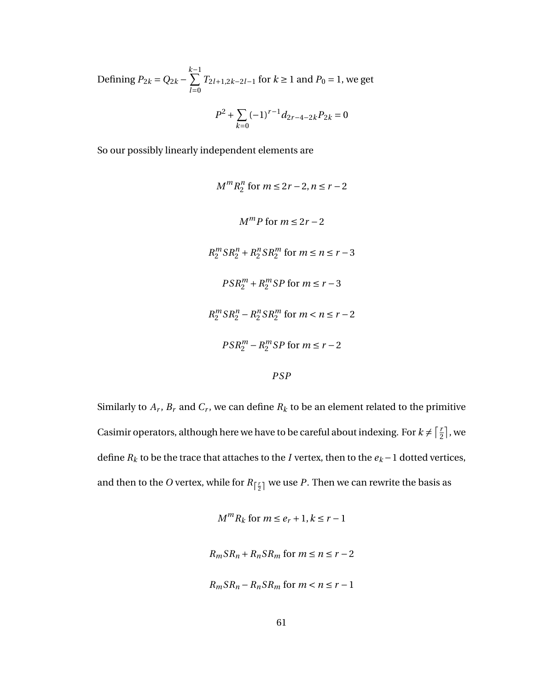Defining 
$$
P_{2k} = Q_{2k} - \sum_{l=0}^{k-1} T_{2l+1,2k-2l-1}
$$
 for  $k \ge 1$  and  $P_0 = 1$ , we get  

$$
P^2 + \sum_{k=0}^{k-1} (-1)^{r-1} d_{2r-4-2k} P_{2k} = 0
$$

So our possibly linearly independent elements are

$$
M^m R_2^n \text{ for } m \le 2r - 2, n \le r - 2
$$
  
\n
$$
M^m P \text{ for } m \le 2r - 2
$$
  
\n
$$
R_2^m S R_2^n + R_2^n S R_2^m \text{ for } m \le n \le r - 3
$$
  
\n
$$
PSR_2^m + R_2^m S P \text{ for } m \le r - 3
$$
  
\n
$$
R_2^m S R_2^n - R_2^n S R_2^m \text{ for } m < n \le r - 2
$$
  
\n
$$
PSR_2^m - R_2^m S P \text{ for } m \le r - 2
$$
  
\n
$$
PSP
$$

Similarly to  $A_r$ ,  $B_r$  and  $C_r$ , we can define  $R_k$  to be an element related to the primitive Casimir operators, although here we have to be careful about indexing. For  $k \neq \lceil \frac{r}{2} \rceil$  $\frac{r}{2}$ , we define  $R_k$  to be the trace that attaches to the *I* vertex, then to the  $e_k - 1$  dotted vertices, and then to the  $O$  vertex, while for  $R_{\left\lceil \frac{r}{2} \right\rceil}$  we use  $P.$  Then we can rewrite the basis as

$$
M^{m}R_{k} \text{ for } m \leq e_{r} + 1, k \leq r - 1
$$
  

$$
R_{m}SR_{n} + R_{n}SR_{m} \text{ for } m \leq n \leq r - 2
$$
  

$$
R_{m}SR_{n} - R_{n}SR_{m} \text{ for } m < n \leq r - 1
$$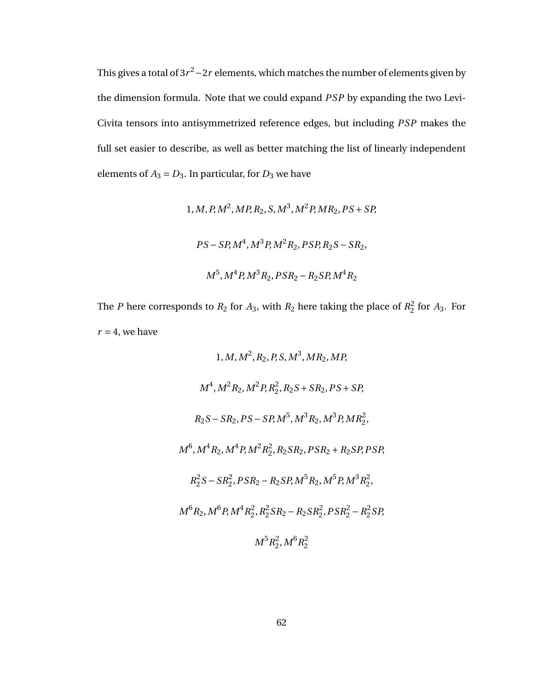This gives a total of 3 $r^2$ −2 $r$  elements, which matches the number of elements given by the dimension formula. Note that we could expand *P SP* by expanding the two Levi-Civita tensors into antisymmetrized reference edges, but including *P SP* makes the full set easier to describe, as well as better matching the list of linearly independent elements of  $A_3 = D_3$ . In particular, for  $D_3$  we have

1, *M*, *P*, *M*<sup>2</sup>, *MP*, *R*<sub>2</sub>, *S*, *M*<sup>3</sup>, *M*<sup>2</sup>*P*, *MR*<sub>2</sub>, *PS* + *SP*,  
\n
$$
PS - SP, M4, M3P, M2R2, PSP, R2S - SR2,
$$
\n
$$
M5, M4P, M3R2, PSR2 - R2SP, M4R2
$$

The *P* here corresponds to  $R_2$  for  $A_3$ , with  $R_2$  here taking the place of  $R_2^2$  $^{2}_{2}$  for  $A_3$ . For  $r = 4$ , we have

1, M, 
$$
M^2
$$
, R<sub>2</sub>, P, S,  $M^3$ , MR<sub>2</sub>, MP,  
\n $M^4$ ,  $M^2R_2$ ,  $M^2P$ , R<sub>2</sub><sup>2</sup>, R<sub>2</sub>S + SR<sub>2</sub>, PS + SP,  
\nR<sub>2</sub>S - SR<sub>2</sub>, PS - SP,  $M^5$ ,  $M^3R_2$ ,  $M^3P$ , MR<sub>2</sub><sup>2</sup>,  
\n $M^6$ ,  $M^4R_2$ ,  $M^4P$ ,  $M^2R_2^2$ , R<sub>2</sub>SR<sub>2</sub>, PSR<sub>2</sub> + R<sub>2</sub>SP, PSP,  
\nR<sub>2</sub><sup>2</sup>S - SR<sub>2</sub><sup>2</sup>, PSR<sub>2</sub> - R<sub>2</sub>SP,  $M^5R_2$ ,  $M^5P$ ,  $M^3R_2^2$ ,  
\n $M^6R_2$ ,  $M^6P$ ,  $M^4R_2^2$ ,  $R_2^2SR_2 - R_2SR_2^2$ , PSR<sub>2</sub><sup>2</sup> - R<sub>2</sub><sup>2</sup>SP,  
\n $M^5R_2^2$ ,  $M^6R_2^2$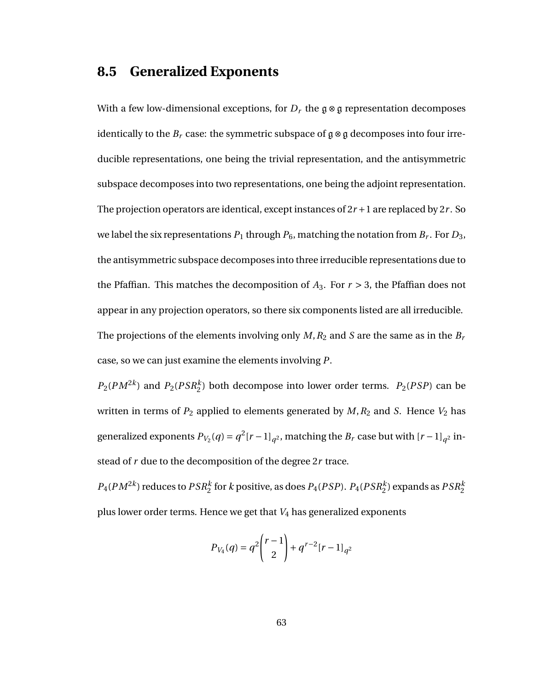#### **8.5 Generalized Exponents**

With a few low-dimensional exceptions, for  $D_r$  the  $\mathfrak{g} \otimes \mathfrak{g}$  representation decomposes identically to the  $B_r$  case: the symmetric subspace of  $\mathfrak{g} \otimes \mathfrak{g}$  decomposes into four irreducible representations, one being the trivial representation, and the antisymmetric subspace decomposes into two representations, one being the adjoint representation. The projection operators are identical, except instances of 2*r* +1 are replaced by 2*r* . So we label the six representations  $P_1$  through  $P_6$ , matching the notation from  $B_r.$  For  $D_3,$ the antisymmetric subspace decomposes into three irreducible representations due to the Pfaffian. This matches the decomposition of  $A_3$ . For  $r > 3$ , the Pfaffian does not appear in any projection operators, so there six components listed are all irreducible. The projections of the elements involving only  $M$ ,  $R_2$  and  $S$  are the same as in the  $B_r$ case, so we can just examine the elements involving *P*.

 $P_2(PM^{2k})$  and  $P_2(PSR_2^k)$  both decompose into lower order terms.  $P_2(PSP)$  can be written in terms of  $P_2$  applied to elements generated by  $M$ ,  $R_2$  and *S*. Hence  $V_2$  has generalized exponents  $P_{V_2}(q) = q^2 [r-1]_{q^2}$ , matching the  $B_r$  case but with  $[r-1]_{q^2}$  instead of *r* due to the decomposition of the degree 2*r* trace.

 $P_4(PM^{2k})$  reduces to  $PSR_2^k$  for  $k$  positive, as does  $P_4(PSP)$ .  $P_4(PSR_2^k)$  expands as  $PSR_2^k$ plus lower order terms. Hence we get that *V*<sup>4</sup> has generalized exponents

$$
P_{V_4}(q) = q^2 \binom{r-1}{2} + q^{r-2} [r-1]_{q^2}
$$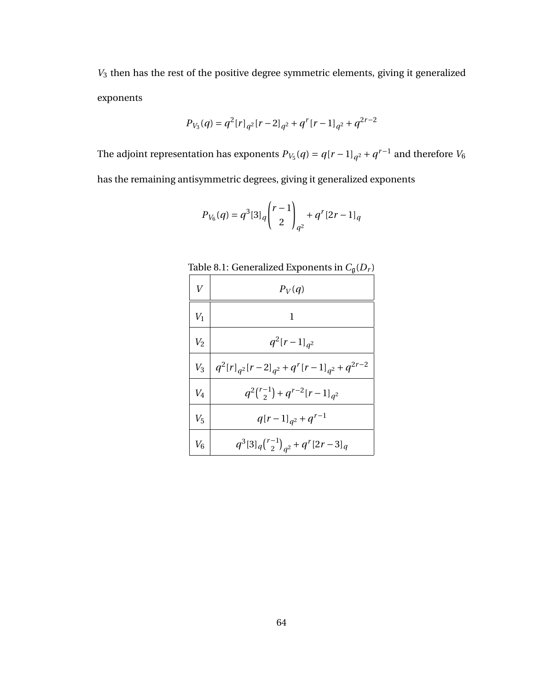*V*<sup>3</sup> then has the rest of the positive degree symmetric elements, giving it generalized exponents

$$
P_{V_3}(q) = q^2 [r]_{q^2} [r-2]_{q^2} + q^r [r-1]_{q^2} + q^{2r-2}
$$

The adjoint representation has exponents  $P_{V_5}(q) = q[r-1]_{q^2} + q^{r-1}$  and therefore  $V_6$ has the remaining antisymmetric degrees, giving it generalized exponents

$$
P_{V_6}(q) = q^3 [3]_q \binom{r-1}{2}_{q^2} + q^r [2r-1]_q
$$

Table 8.1: Generalized Exponents in  $C_{\mathfrak{g}}(D_r)$ 

| $\bar{V}$ | $P_V(q)$                                                    |
|-----------|-------------------------------------------------------------|
| $V_1$     | 1                                                           |
| $V_2$     | $q^2[r-1]_{q^2}$                                            |
| $V_3$     | $q^{2}[r]_{q^{2}}[r-2]_{q^{2}}+q^{r}[r-1]_{q^{2}}+q^{2r-2}$ |
| $V_4$     | $q^{2}\binom{r-1}{2}+q^{r-2}[r-1]_{q^2}$                    |
| $V_5$     | $q[r-1]_{q^2}+q^{r-1}$                                      |
| $V_6$     | $q^3[3]_q\binom{r-1}{2}_{q^2}+q^r[2r-3]_q$                  |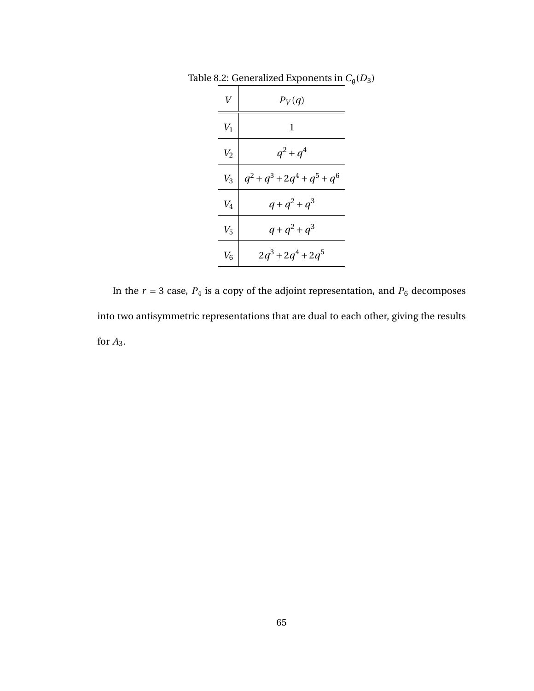| $\overline{V}$ | $P_V(q)$               |
|----------------|------------------------|
| $V_1$          | 1                      |
| V <sub>2</sub> | $q^2 + q^4$            |
| $V_3$          | $q^2+q^3+2q^4+q^5+q^6$ |
| $V_4$          | $q + q^2 + q^3$        |
| $V_5$          | $q + q^2 + q^3$        |
| $V_6$          | $2q^3 + 2q^4 + 2q^5$   |

Table 8.2: Generalized Exponents in  $C_{\mathfrak{g}}(D_3)$ 

In the  $r = 3$  case,  $P_4$  is a copy of the adjoint representation, and  $P_6$  decomposes into two antisymmetric representations that are dual to each other, giving the results for *A*3.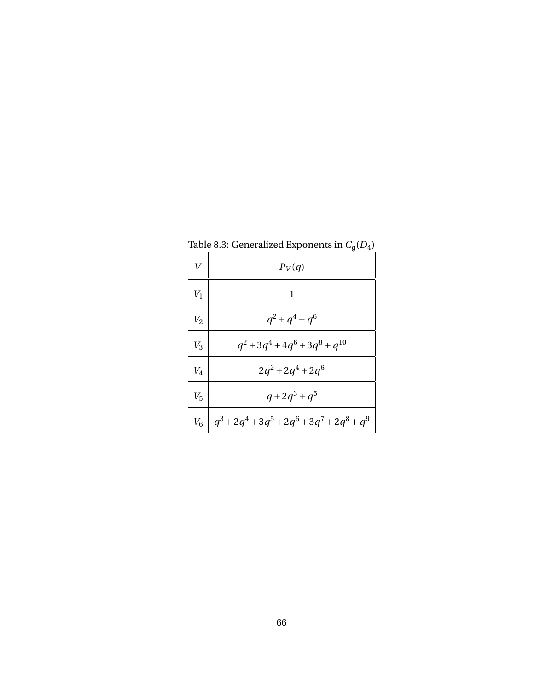| V     | $P_V(q)$                            |
|-------|-------------------------------------|
| $V_1$ | 1                                   |
| $V_2$ | $q^2 + q^4 + q^6$                   |
| $V_3$ | $q^2+3q^4+4q^6+3q^8+q^{10}$         |
| $V_4$ | $2q^2 + 2q^4 + 2q^6$                |
| $V_5$ | $q+2q^3+q^5$                        |
| $V_6$ | $ q^3+2q^4+3q^5+2q^6+3q^7+2q^8+q^9$ |

Table 8.3: Generalized Exponents in  $C_{\mathfrak{g}}(D_4)$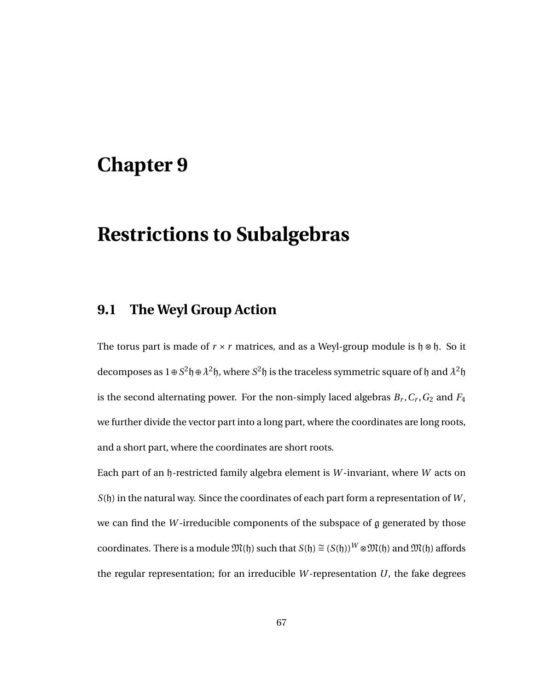## **Restrictions to Subalgebras**

#### **9.1 The Weyl Group Action**

The torus part is made of  $r \times r$  matrices, and as a Weyl-group module is  $\mathfrak{h} \otimes \mathfrak{h}$ . So it decomposes as  $1 \oplus S^2 \mathfrak{h} \oplus \lambda^2 \mathfrak{h}$ , where  $S^2 \mathfrak{h}$  is the traceless symmetric square of  $\mathfrak{h}$  and  $\lambda^2 \mathfrak{h}$ is the second alternating power. For the non-simply laced algebras  $B_r$ ,  $C_r$ ,  $G_2$  and  $F_4$ we further divide the vector part into a long part, where the coordinates are long roots, and a short part, where the coordinates are short roots.

Each part of an h-restricted family algebra element is *W* -invariant, where *W* acts on *S*(h) in the natural way. Since the coordinates of each part form a representation of *W* , we can find the *W* -irreducible components of the subspace of g generated by those coordinates. There is a module  $\mathfrak{M}(h)$  such that  $S(h) \cong (S(h))^W \otimes \mathfrak{M}(h)$  and  $\mathfrak{M}(h)$  affords the regular representation; for an irreducible *W* -representation *U*, the fake degrees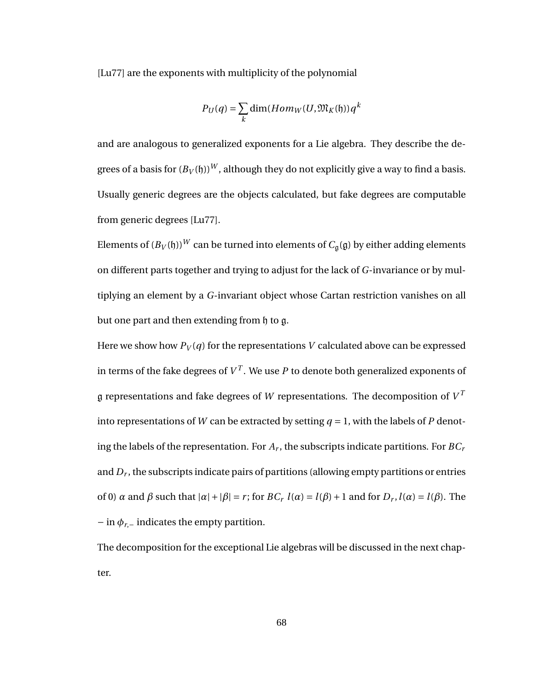[Lu77] are the exponents with multiplicity of the polynomial

$$
P_U(q) = \sum_{k} \dim(Hom_W(U, \mathfrak{M}_K(\mathfrak{h})) q^k
$$

and are analogous to generalized exponents for a Lie algebra. They describe the degrees of a basis for  $(B_V(f))^W$ , although they do not explicitly give a way to find a basis. Usually generic degrees are the objects calculated, but fake degrees are computable from generic degrees [Lu77].

Elements of  $(B_V(f))^W$  can be turned into elements of  $C_q(g)$  by either adding elements on different parts together and trying to adjust for the lack of *G*-invariance or by multiplying an element by a *G*-invariant object whose Cartan restriction vanishes on all but one part and then extending from h to g.

Here we show how  $P_V(q)$  for the representations V calculated above can be expressed in terms of the fake degrees of  $V^T$ . We use  $P$  to denote both generalized exponents of  ${\mathfrak g}$  representations and fake degrees of  $W$  representations. The decomposition of  $V^T$ into representations of *W* can be extracted by setting  $q = 1$ , with the labels of *P* denoting the labels of the representation. For *A<sup>r</sup>* , the subscripts indicate partitions. For *BC<sup>r</sup>* and *D<sup>r</sup>* , the subscripts indicate pairs of partitions (allowing empty partitions or entries of 0) *α* and *β* such that  $|α| + |β| = r$ ; for  $BC_r$   $l(α) = l(β) + 1$  and for  $D_r$ ,  $l(α) = l(β)$ . The  $-\text{ in } \phi_{r,-}$  indicates the empty partition.

The decomposition for the exceptional Lie algebras will be discussed in the next chapter.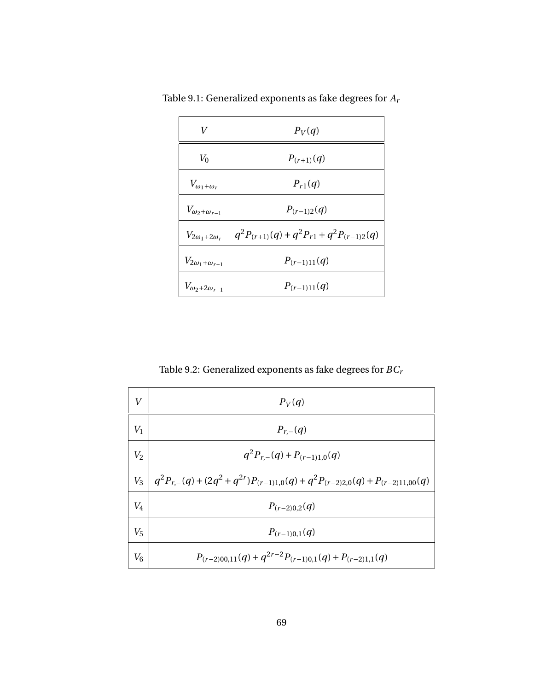| V                            | $P_V(q)$                                         |
|------------------------------|--------------------------------------------------|
| $V_0$                        | $P_{(r+1)}(q)$                                   |
| $V_{\omega_1+\omega_r}$      | $P_{r1}(q)$                                      |
| $V_{\omega_2+\omega_{r-1}}$  | $P_{(r-1)2}(q)$                                  |
| $V_{2\omega_1+2\omega_r}$    | $q^2P_{(r+1)}(q) + q^2P_{r1} + q^2P_{(r-1)2}(q)$ |
| $V_{2\omega_1+\omega_{r-1}}$ | $P_{(r-1)11}(q)$                                 |
| $V_{\omega_2+2\omega_{r-1}}$ | $P_{(r-1)11}(q)$                                 |

Table 9.1: Generalized exponents as fake degrees for *A<sup>r</sup>*

Table 9.2: Generalized exponents as fake degrees for *BC<sup>r</sup>*

| V       | $P_V(q)$                                                                                        |
|---------|-------------------------------------------------------------------------------------------------|
| $V_1$   | $P_{r-}(q)$                                                                                     |
| $V_2$   | $q^2 P_{r,-}(q) + P_{(r-1)1,0}(q)$                                                              |
|         | $V_3$   $q^2P_{r,-}(q) + (2q^2+q^{2r})P_{(r-1)1,0}(q) + q^2P_{(r-2)2,0}(q) + P_{(r-2)11,00}(q)$ |
| $V_4$   | $P_{(r-2)0,2}(q)$                                                                               |
| $V_5$   | $P_{(r-1)0,1}(q)$                                                                               |
| $V_{6}$ | $P_{(r-2)00,11}(q) + q^{2r-2} P_{(r-1)0,1}(q) + P_{(r-2)1,1}(q)$                                |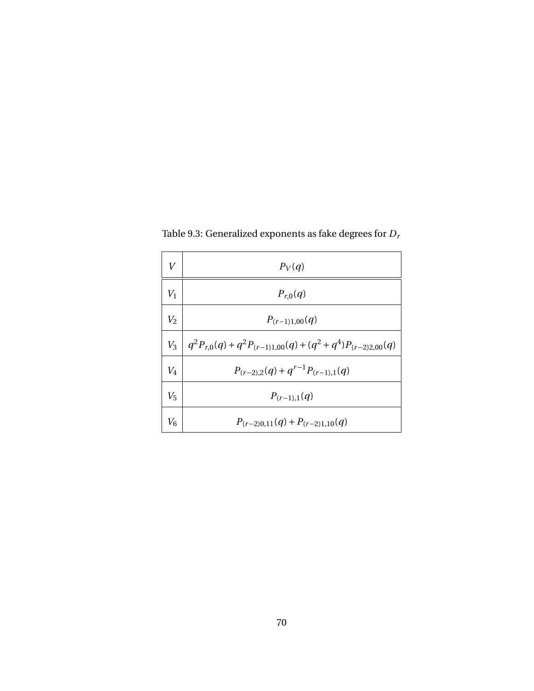| V     | $P_V(q)$                                                        |
|-------|-----------------------------------------------------------------|
| $V_1$ | $P_{r,0}(q)$                                                    |
| $V_2$ | $P_{(r-1)1,00}(q)$                                              |
| $V_3$ | $ q^2P_{r,0}(q)+q^2P_{(r-1)1,00}(q)+(q^2+q^4)P_{(r-2)2,00}(q) $ |
| $V_4$ | $P_{(r-2),2}(q) + q^{r-1} P_{(r-1),1}(q)$                       |
| $V_5$ | $P_{(r-1),1}(q)$                                                |
| $V_6$ | $P_{(r-2)0,11}(q) + P_{(r-2)1,10}(q)$                           |

Table 9.3: Generalized exponents as fake degrees for *D<sup>r</sup>*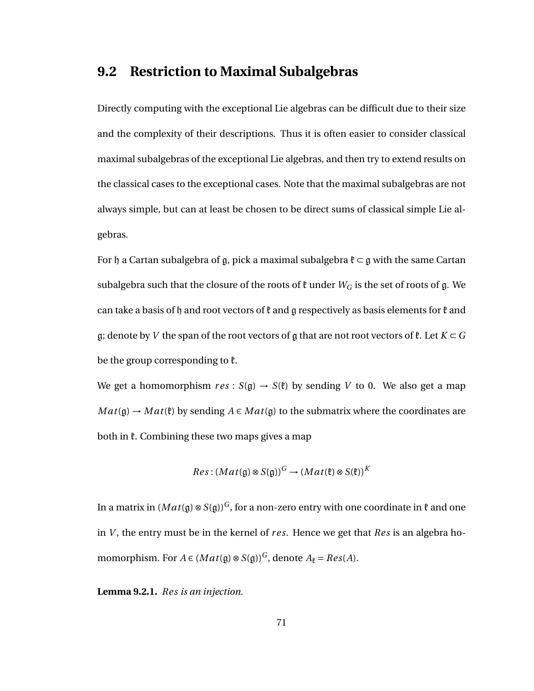#### **9.2 Restriction to Maximal Subalgebras**

Directly computing with the exceptional Lie algebras can be difficult due to their size and the complexity of their descriptions. Thus it is often easier to consider classical maximal subalgebras of the exceptional Lie algebras, and then try to extend results on the classical cases to the exceptional cases. Note that the maximal subalgebras are not always simple, but can at least be chosen to be direct sums of classical simple Lie algebras.

For  $\mathfrak h$  a Cartan subalgebra of g, pick a maximal subalgebra  $\mathfrak k \subset \mathfrak g$  with the same Cartan subalgebra such that the closure of the roots of  $\mathfrak k$  under  $W_G$  is the set of roots of g. We can take a basis of h and root vectors of  $\ell$  and g respectively as basis elements for  $\ell$  and g; denote by *V* the span of the root vectors of g that are not root vectors of  $\mathfrak{k}$ . Let  $K \subset G$ be the group corresponding to  $\mathfrak k$ .

We get a homomorphism  $res : S(g) \rightarrow S(\ell)$  by sending *V* to 0. We also get a map  $Mat(\mathfrak{g}) \to Mat(\mathfrak{k})$  by sending  $A \in Mat(\mathfrak{g})$  to the submatrix where the coordinates are both in  $\mathfrak k$ . Combining these two maps gives a map

$$
Res: (Mat(\mathfrak{g}) \otimes S(\mathfrak{g}))^G \to (Mat(\mathfrak{k}) \otimes S(\mathfrak{k}))^K
$$

In a matrix in  $(Mat(g) \otimes S(g))^G$ , for a non-zero entry with one coordinate in  $\mathfrak k$  and one in *V* , the entry must be in the kernel of *r es*. Hence we get that *Res* is an algebra homomorphism. For  $A \in (Mat(\mathfrak{g}) \otimes S(\mathfrak{g}))^G$ , denote  $A_{\mathfrak{k}} = Res(A)$ .

**Lemma 9.2.1.** *Res is an injection.*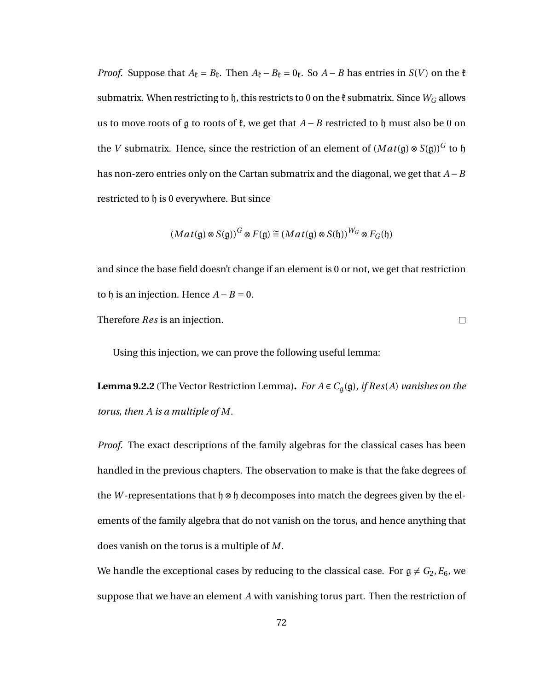*Proof.* Suppose that  $A_k = B_k$ . Then  $A_k - B_k = 0_k$ . So  $A - B$  has entries in *S*(*V*) on the  $\ell$ submatrix. When restricting to  $h$ , this restricts to 0 on the  $\mathfrak k$  submatrix. Since  $W_G$  allows us to move roots of  $\mathfrak g$  to roots of  $\mathfrak k$ , we get that  $A - B$  restricted to  $\mathfrak h$  must also be 0 on the *V* submatrix. Hence, since the restriction of an element of  $(Mat(\mathfrak{g})\otimes S(\mathfrak{g}))^G$  to  $\mathfrak{h}$ has non-zero entries only on the Cartan submatrix and the diagonal, we get that *A* −*B* restricted to h is 0 everywhere. But since

$$
(Mat(\mathfrak{g}) \otimes S(\mathfrak{g}))^G \otimes F(\mathfrak{g}) \cong (Mat(\mathfrak{g}) \otimes S(\mathfrak{h}))^{W_G} \otimes F_G(\mathfrak{h})
$$

and since the base field doesn't change if an element is 0 or not, we get that restriction to  $\mathfrak h$  is an injection. Hence  $A - B = 0$ .

 $\Box$ 

Therefore *Res* is an injection.

Using this injection, we can prove the following useful lemma:

**Lemma 9.2.2** (The Vector Restriction Lemma). *For*  $A \in C_{\mathfrak{g}}(\mathfrak{g})$ *, if Res*(*A*) *vanishes on the torus, then A is a multiple of M.*

*Proof.* The exact descriptions of the family algebras for the classical cases has been handled in the previous chapters. The observation to make is that the fake degrees of the *W*-representations that  $\mathfrak{h} \otimes \mathfrak{h}$  decomposes into match the degrees given by the elements of the family algebra that do not vanish on the torus, and hence anything that does vanish on the torus is a multiple of *M*.

We handle the exceptional cases by reducing to the classical case. For  $g \neq G_2, E_6$ , we suppose that we have an element *A* with vanishing torus part. Then the restriction of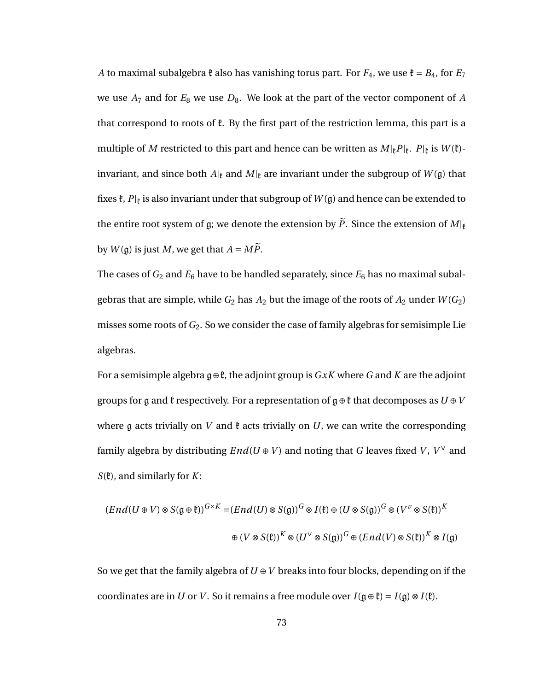*A* to maximal subalgebra  $\ell$  also has vanishing torus part. For  $F_4$ , we use  $\ell = B_4$ , for  $E_7$ we use  $A_7$  and for  $E_8$  we use  $D_8$ . We look at the part of the vector component of  $A$ that correspond to roots of  $\ell$ . By the first part of the restriction lemma, this part is a multiple of *M* restricted to this part and hence can be written as  $M_{k}P_{k}$ .  $P_{k}$  is  $W_{k}$ . invariant, and since both  $A|_k$  and  $M|_k$  are invariant under the subgroup of  $W(\mathfrak{g})$  that fixes  $\mathfrak{k},$   $P|_{\mathfrak{k}}$  is also invariant under that subgroup of  $W(\mathfrak{g})$  and hence can be extended to the entire root system of g; we denote the extension by  $\widetilde{P}$ . Since the extension of  $M|_{\mathfrak{k}}$ by  $W(\mathfrak{g})$  is just *M*, we get that  $A = M\widetilde{P}$ .

The cases of  $G_2$  and  $E_6$  have to be handled separately, since  $E_6$  has no maximal subalgebras that are simple, while  $G_2$  has  $A_2$  but the image of the roots of  $A_2$  under  $W(G_2)$ misses some roots of *G*2. So we consider the case of family algebras for semisimple Lie algebras.

For a semisimple algebra  $\mathfrak{g} \oplus \mathfrak{k}$ , the adjoint group is *GxK* where *G* and *K* are the adjoint groups for g and  $\mathfrak k$  respectively. For a representation of  $\mathfrak g \oplus \mathfrak k$  that decomposes as  $U \oplus V$ where  $\mathfrak g$  acts trivially on *V* and  $\mathfrak k$  acts trivially on *U*, we can write the corresponding family algebra by distributing  $End(U \oplus V)$  and noting that *G* leaves fixed *V*,  $V^\vee$  and *S*(k), and similarly for *K*:

$$
(End(U \oplus V) \otimes S(\mathfrak{g} \oplus \mathfrak{k}))^{G \times K} = (End(U) \otimes S(\mathfrak{g}))^G \otimes I(\mathfrak{k}) \oplus (U \otimes S(\mathfrak{g}))^G \otimes (V^{\nu} \otimes S(\mathfrak{k}))^K
$$
  

$$
\oplus (V \otimes S(\mathfrak{k}))^K \otimes (U^{\vee} \otimes S(\mathfrak{g}))^G \oplus (End(V) \otimes S(\mathfrak{k}))^K \otimes I(\mathfrak{g})^K
$$

So we get that the family algebra of  $U \oplus V$  breaks into four blocks, depending on if the coordinates are in *U* or *V*. So it remains a free module over  $I(\mathfrak{g} \oplus \mathfrak{k}) = I(\mathfrak{g}) \otimes I(\mathfrak{k})$ .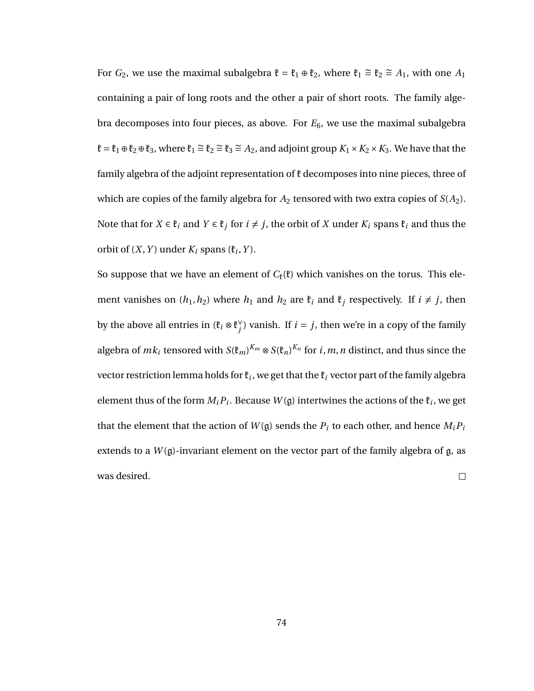For  $G_2$ , we use the maximal subalgebra  $\mathfrak{k} = \mathfrak{k}_1 \oplus \mathfrak{k}_2$ , where  $\mathfrak{k}_1 \cong \mathfrak{k}_2 \cong A_1$ , with one  $A_1$ containing a pair of long roots and the other a pair of short roots. The family algebra decomposes into four pieces, as above. For *E*6, we use the maximal subalgebra  $\mathfrak{k} = \mathfrak{k}_1 \oplus \mathfrak{k}_2 \oplus \mathfrak{k}_3$ , where  $\mathfrak{k}_1 \cong \mathfrak{k}_2 \cong \mathfrak{k}_3 \cong A_2$ , and adjoint group  $K_1 \times K_2 \times K_3$ . We have that the family algebra of the adjoint representation of  $\mathfrak k$  decomposes into nine pieces, three of which are copies of the family algebra for  $A_2$  tensored with two extra copies of  $S(A_2)$ . Note that for  $X \in \mathfrak{k}_i$  and  $Y \in \mathfrak{k}_j$  for  $i \neq j$ , the orbit of  $X$  under  $K_i$  spans  $\mathfrak{k}_i$  and thus the orbit of  $(X, Y)$  under  $K_i$  spans  $(\mathfrak{k}_i, Y)$ .

So suppose that we have an element of  $C_{\ell}(\ell)$  which vanishes on the torus. This element vanishes on  $(h_1, h_2)$  where  $h_1$  and  $h_2$  are  $\mathfrak{k}_i$  and  $\mathfrak{k}_j$  respectively. If  $i \neq j$ , then by the above all entries in  $(\mathfrak{k}_i \otimes \mathfrak{k}_i^{\vee})$  $j$ ) vanish. If  $i = j$ , then we're in a copy of the family algebra of  $mk_i$  tensored with  $S(\mathfrak{k}_m)^{K_m}\otimes S(\mathfrak{k}_n)^{K_n}$  for  $i,m,n$  distinct, and thus since the vector restriction lemma holds for  $\mathfrak{k}_i$ , we get that the  $\mathfrak{k}_i$  vector part of the family algebra element thus of the form  $M_i P_i$ . Because  $W(\mathfrak{g})$  intertwines the actions of the  $\mathfrak{k}_i$ , we get that the element that the action of  $W(\mathfrak{g})$  sends the  $P_i$  to each other, and hence  $M_i P_i$ extends to a  $W(\mathfrak{g})$ -invariant element on the vector part of the family algebra of  $\mathfrak{g}$ , as was desired.  $\Box$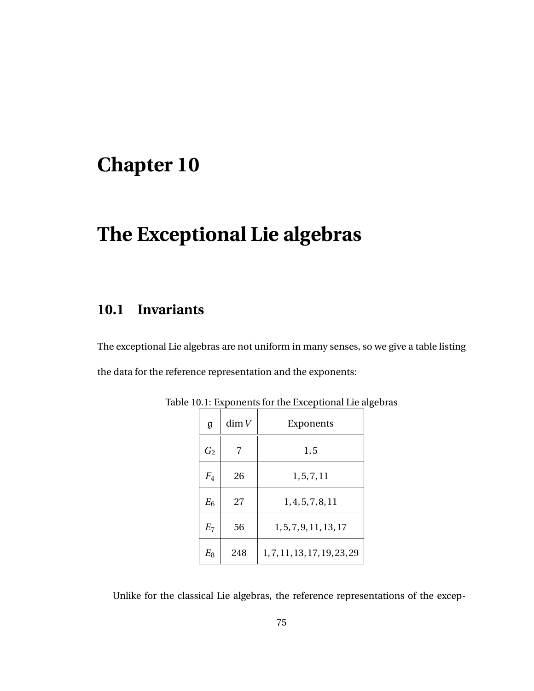# **The Exceptional Lie algebras**

#### **10.1 Invariants**

The exceptional Lie algebras are not uniform in many senses, so we give a table listing the data for the reference representation and the exponents:

| g              | dim V | Exponents                    |
|----------------|-------|------------------------------|
| $G_2$          |       | 1, 5                         |
| $F_4$          | 26    | 1, 5, 7, 11                  |
| $E_6$          | 27    | 1, 4, 5, 7, 8, 11            |
| E <sub>7</sub> | 56    | 1, 5, 7, 9, 11, 13, 17       |
| $E_8$          | 248   | 1, 7, 11, 13, 17, 19, 23, 29 |

Table 10.1: Exponents for the Exceptional Lie algebras

Unlike for the classical Lie algebras, the reference representations of the excep-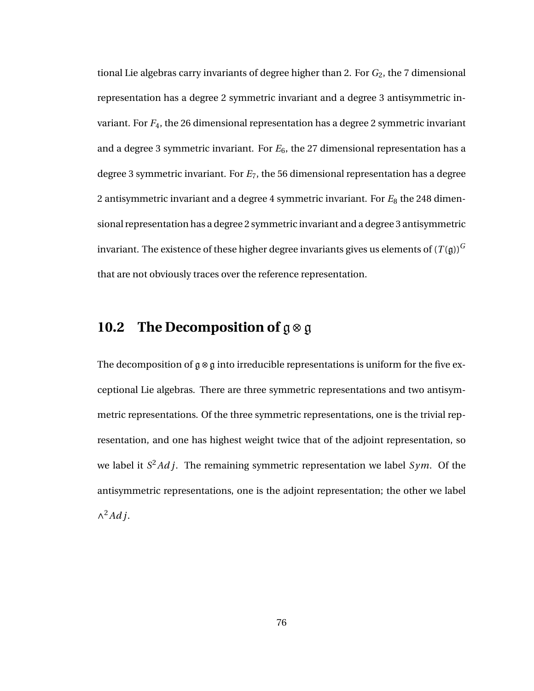tional Lie algebras carry invariants of degree higher than 2. For *G*2, the 7 dimensional representation has a degree 2 symmetric invariant and a degree 3 antisymmetric invariant. For *F*4, the 26 dimensional representation has a degree 2 symmetric invariant and a degree 3 symmetric invariant. For *E*6, the 27 dimensional representation has a degree 3 symmetric invariant. For *E*7, the 56 dimensional representation has a degree 2 antisymmetric invariant and a degree 4 symmetric invariant. For  $E_8$  the 248 dimensional representation has a degree 2 symmetric invariant and a degree 3 antisymmetric invariant. The existence of these higher degree invariants gives us elements of  $(T(\mathfrak{g}))^G$ that are not obviously traces over the reference representation.

#### **10.2 The Decomposition of** g⊗g

The decomposition of g⊗g into irreducible representations is uniform for the five exceptional Lie algebras. There are three symmetric representations and two antisymmetric representations. Of the three symmetric representations, one is the trivial representation, and one has highest weight twice that of the adjoint representation, so we label it *S* <sup>2</sup>*Ad j*. The remaining symmetric representation we label *Sym*. Of the antisymmetric representations, one is the adjoint representation; the other we label ∧ <sup>2</sup>*Ad j*.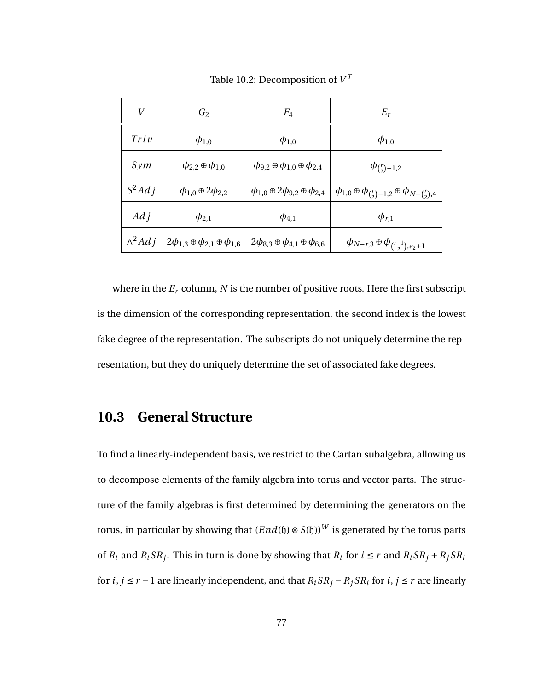| $\boldsymbol{V}$ | $\mathit{G}_2$                                    | $F_4$                                             | $E_r$                                                                  |
|------------------|---------------------------------------------------|---------------------------------------------------|------------------------------------------------------------------------|
| Triv             | $\phi_{1,0}$                                      | $\phi_{1,0}$                                      | $\phi_{1,0}$                                                           |
| Sym              | $\phi_{2,2} \oplus \phi_{1,0}$                    | $\phi_{9,2} \oplus \phi_{1,0} \oplus \phi_{2,4}$  | $\phi_{\binom{r}{2}-1,2}$                                              |
| $S^2Adj$         | $\phi_{1,0} \oplus 2\phi_{2,2}$                   | $\phi_{1,0} \oplus 2\phi_{9,2} \oplus \phi_{2,4}$ | $\phi_{1,0}\oplus\phi_{\binom{r}{2}-1,2}\oplus\phi_{N-\binom{r}{2},4}$ |
| $Ad\,i$          | $\phi_{2,1}$                                      | $\phi_{4,1}$                                      | $\phi_{r,1}$                                                           |
| $\wedge^2 Adj$   | $2\phi_{1,3} \oplus \phi_{2,1} \oplus \phi_{1,6}$ | $2\phi_{8,3} \oplus \phi_{4,1} \oplus \phi_{6,6}$ | $\phi_{N-r,3} \oplus \phi_{\binom{r-1}{2},e_2+1}$                      |

Table 10.2: Decomposition of  $V^{\mathcal{I}}$ 

where in the  $E_r$  column,  $N$  is the number of positive roots. Here the first subscript is the dimension of the corresponding representation, the second index is the lowest fake degree of the representation. The subscripts do not uniquely determine the representation, but they do uniquely determine the set of associated fake degrees.

#### **10.3 General Structure**

To find a linearly-independent basis, we restrict to the Cartan subalgebra, allowing us to decompose elements of the family algebra into torus and vector parts. The structure of the family algebras is first determined by determining the generators on the torus, in particular by showing that  $(End(h) \otimes S(h))^W$  is generated by the torus parts of  $R_i$  and  $R_i S R_j$ . This in turn is done by showing that  $R_i$  for  $i \le r$  and  $R_i S R_j + R_j S R_i$ for  $i, j \le r - 1$  are linearly independent, and that  $R_i S R_j - R_j S R_i$  for  $i, j \le r$  are linearly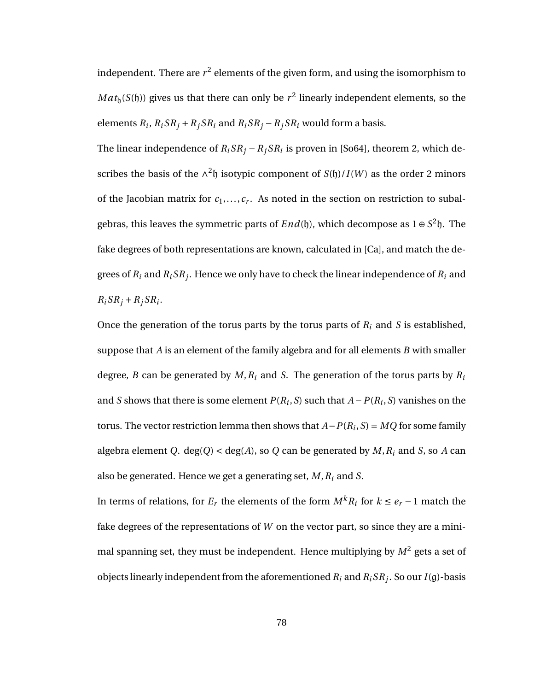independent. There are  $r^2$  elements of the given form, and using the isomorphism to  $Mat_{\mathfrak h}(S(\mathfrak h))$  gives us that there can only be  $r^2$  linearly independent elements, so the elements  $R_i$ ,  $R_i S R_j + R_j S R_i$  and  $R_i S R_j - R_j S R_i$  would form a basis.

The linear independence of  $R_i S R_j - R_j S R_i$  is proven in [So64], theorem 2, which describes the basis of the  $\wedge^2$ h isotypic component of *S*(h)/*I*(*W*) as the order 2 minors of the Jacobian matrix for  $c_1, \ldots, c_r$ . As noted in the section on restriction to subalgebras, this leaves the symmetric parts of  $End(f)$ , which decompose as  $1 \oplus S^2 f$ . The fake degrees of both representations are known, calculated in [Ca], and match the degrees of  $R_i$  and  $R_i S R_j.$  Hence we only have to check the linear independence of  $R_i$  and  $R_i S R_j + R_j S R_i$ .

Once the generation of the torus parts by the torus parts of *R<sup>i</sup>* and *S* is established, suppose that *A* is an element of the family algebra and for all elements *B* with smaller degree, *B* can be generated by *M*,*R<sup>i</sup>* and *S*. The generation of the torus parts by *R<sup>i</sup>* and *S* shows that there is some element  $P(R_i, S)$  such that  $A - P(R_i, S)$  vanishes on the torus. The vector restriction lemma then shows that  $A-P(R_i, S) = MQ$  for some family algebra element *Q*. deg(*Q*) < deg(*A*), so *Q* can be generated by *M*,*R<sup>i</sup>* and *S*, so *A* can also be generated. Hence we get a generating set, *M*,*R<sup>i</sup>* and *S*.

In terms of relations, for  $E_r$  the elements of the form  $M^k R_i$  for  $k \le e_r - 1$  match the fake degrees of the representations of *W* on the vector part, so since they are a minimal spanning set, they must be independent. Hence multiplying by  $M^2$  gets a set of objects linearly independent from the aforementioned  $R_i$  and  $R_i S R_j$ . So our  $I(\mathfrak{g})$ -basis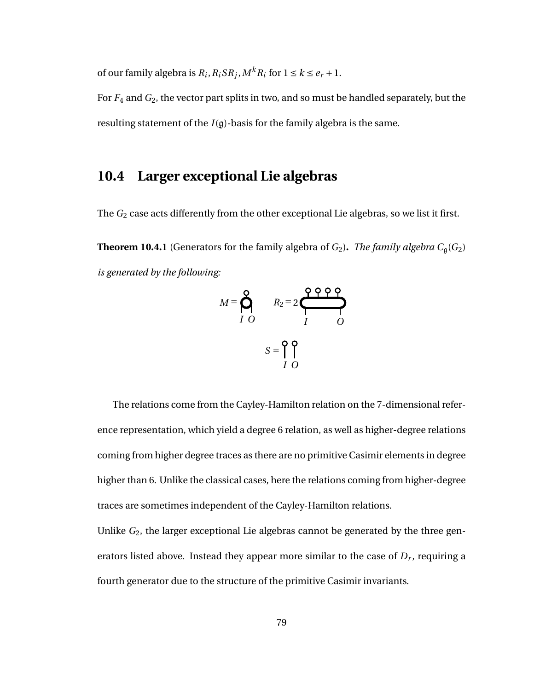of our family algebra is  $R_i$ ,  $R_i S R_j$ ,  $M^k R_i$  for  $1 \le k \le e_r + 1$ .

For *F*<sup>4</sup> and *G*2, the vector part splits in two, and so must be handled separately, but the resulting statement of the  $I(g)$ -basis for the family algebra is the same.

#### **10.4 Larger exceptional Lie algebras**

The *G*<sub>2</sub> case acts differently from the other exceptional Lie algebras, so we list it first.

**Theorem 10.4.1** (Generators for the family algebra of  $G_2$ ). *The family algebra*  $C_{\mathfrak{g}}(G_2)$ *is generated by the following:*

$$
M = \bigotimes_{I}^{Q} \qquad R_2 = 2 \underbrace{\bigotimes_{I}^{Q} \underbrace{\bigotimes_{I}^{Q} \bigotimes_{O}}_{I} \bigotimes_{O}}
$$

The relations come from the Cayley-Hamilton relation on the 7-dimensional reference representation, which yield a degree 6 relation, as well as higher-degree relations coming from higher degree traces as there are no primitive Casimir elements in degree higher than 6. Unlike the classical cases, here the relations coming from higher-degree traces are sometimes independent of the Cayley-Hamilton relations.

Unlike *G*2, the larger exceptional Lie algebras cannot be generated by the three generators listed above. Instead they appear more similar to the case of  $D_r$ , requiring a fourth generator due to the structure of the primitive Casimir invariants.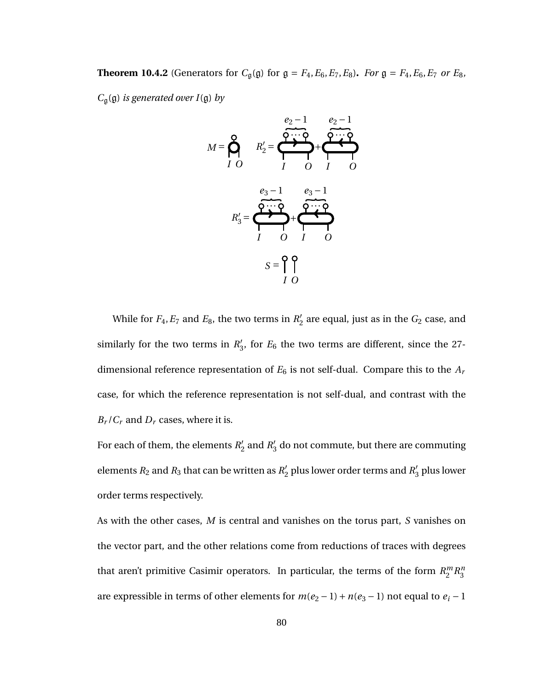**Theorem 10.4.2** (Generators for  $C_{\mathfrak{g}}(\mathfrak{g})$  for  $\mathfrak{g} = F_4, E_6, E_7, E_8$ ). *For*  $\mathfrak{g} = F_4, E_6, E_7$  *or*  $E_8$ *,* 

*C*g(g) *is generated over I*(g) *by*

$$
M = \bigotimes_{I}^{Q} \qquad R'_{2} = \underbrace{\bigotimes_{q_{2}-1}^{q_{2}-1} \bigotimes_{q_{3}-1}^{q_{2}-1}}_{I} \bigotimes_{q_{3}-1}^{q_{3}-1} \bigotimes_{q_{3}-1}^{q_{3}-1} \\ R'_{3} = \bigotimes_{I}^{q_{3}-1} \bigotimes_{I}^{q_{3}-1} \bigotimes_{Q}^{q_{3}-1} \\ S = \bigcap_{I}^{q_{3}-1} \bigotimes_{Q}^{q_{3}-1} \\ S = \bigotimes_{I}^{q_{3}-1} \bigotimes_{Q}^{q_{3}-1} \\ S = \bigotimes_{I}^{q_{3}-1} \bigotimes_{Q}^{q_{3}-1} \\ S = \bigotimes_{I}^{q_{3}-1} \bigotimes_{Q}^{q_{3}-1} \\ S = \bigotimes_{I}^{q_{3}-1} \bigotimes_{Q}^{q_{3}-1} \\ S = \bigotimes_{I}^{q_{3}-1} \bigotimes_{Q}^{q_{3}-1} \\ S = \bigotimes_{I}^{q_{3}-1} \bigotimes_{Q}^{q_{3}-1} \\ S = \bigotimes_{I}^{q_{3}-1} \bigotimes_{Q}^{q_{3}-1} \\ S = \bigotimes_{I}^{q_{3}-1} \bigotimes_{Q}^{q_{3}-1} \\ S = \bigotimes_{I}^{q_{3}-1} \bigotimes_{Q}^{q_{3}-1} \\ S = \bigotimes_{I}^{q_{3}-1} \bigotimes_{Q}^{q_{3}-1} \\ S = \bigotimes_{I}^{q_{3}-1} \bigotimes_{Q}^{q_{3}-1} \\ S = \bigotimes_{I}^{q_{3}-1} \bigotimes_{Q}^{q_{3}-1} \\ S = \bigotimes_{I}^{q_{3}-1} \bigotimes_{Q}^{q_{3}-1} \\ S = \bigotimes_{I}^{q_{3}-1} \bigotimes_{Q}^{q_{3}-1} \\ S = \bigotimes_{I}^{q_{3}-1} \bigotimes_{Q}^{q_{3}-1} \\ S = \bigotimes_{I}^{q_{3}-1} \bigotimes_{Q}^{q_{3}-1} \\ S = \bigotimes_{I}^{q_{3}-1} \bigotimes_{Q}^{q_{3}-1} \\ S = \bigotimes_{I}^{q_{3}-1} \bigotimes_{Q}^{q_{3}-1} \\ S = \bigotimes_{I}^{q_{3}-1} \bigotimes_{Q
$$

While for  $F_4, E_7$  and  $E_8$ , the two terms in  $R'_2$  $\frac{7}{2}$  are equal, just as in the  $G_2$  case, and similarly for the two terms in  $R_2$ <sup>t</sup>  $\frac{7}{3}$ , for  $E_6$  the two terms are different, since the 27dimensional reference representation of  $E_6$  is not self-dual. Compare this to the  $A_r$ case, for which the reference representation is not self-dual, and contrast with the  $B_r / C_r$  and  $D_r$  cases, where it is.

For each of them, the elements  $R_2'$  $n_2'$  and  $R_3'$  $\frac{7}{3}$  do not commute, but there are commuting elements  $R_2$  and  $R_3$  that can be written as  $R'_2$  $n'_2$  plus lower order terms and  $R'_3$  $_3^{\prime}$  plus lower order terms respectively.

As with the other cases, *M* is central and vanishes on the torus part, *S* vanishes on the vector part, and the other relations come from reductions of traces with degrees that aren't primitive Casimir operators. In particular, the terms of the form *R m*  $\binom{m}{2}R_3^n$ 3 are expressible in terms of other elements for  $m(e_2 - 1) + n(e_3 - 1)$  not equal to  $e_i - 1$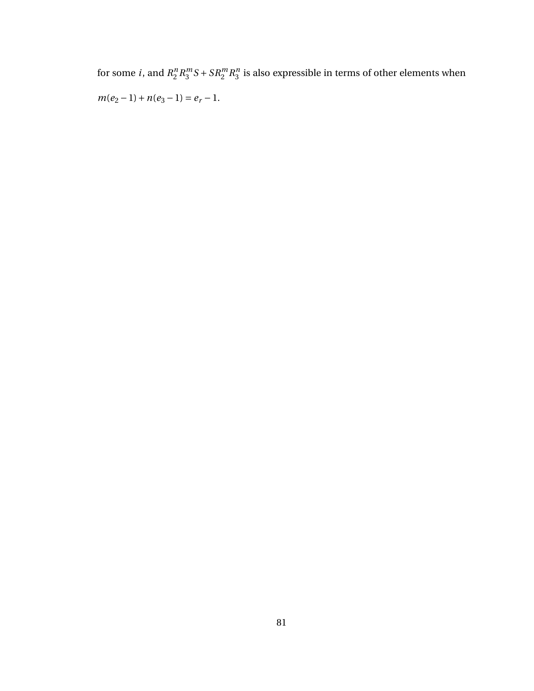for some *i*, and  $R_2^n$  $\binom{n}{2}R_3^m$  $S^m S + S R_2^m R_3^m$  $\frac{n}{3}$  is also expressible in terms of other elements when  $m(e_2 - 1) + n(e_3 - 1) = e_r - 1.$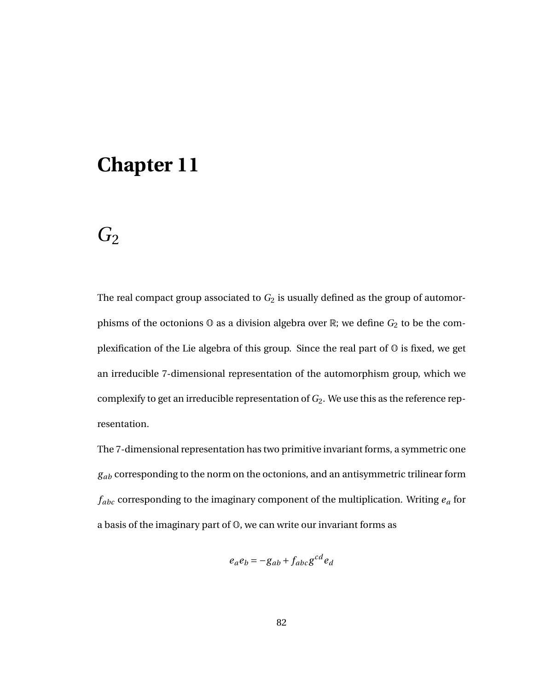### *G*<sup>2</sup>

The real compact group associated to  $G_2$  is usually defined as the group of automorphisms of the octonions  $\mathbb O$  as a division algebra over  $\mathbb R$ ; we define  $G_2$  to be the complexification of the Lie algebra of this group. Since the real part of  $\mathbb O$  is fixed, we get an irreducible 7-dimensional representation of the automorphism group, which we complexify to get an irreducible representation of *G*2. We use this as the reference representation.

The 7-dimensional representation has two primitive invariant forms, a symmetric one *gab* corresponding to the norm on the octonions, and an antisymmetric trilinear form *fabc* corresponding to the imaginary component of the multiplication. Writing *e<sup>a</sup>* for a basis of the imaginary part of O, we can write our invariant forms as

$$
e_a e_b = -g_{ab} + f_{abc} g^{cd} e_d
$$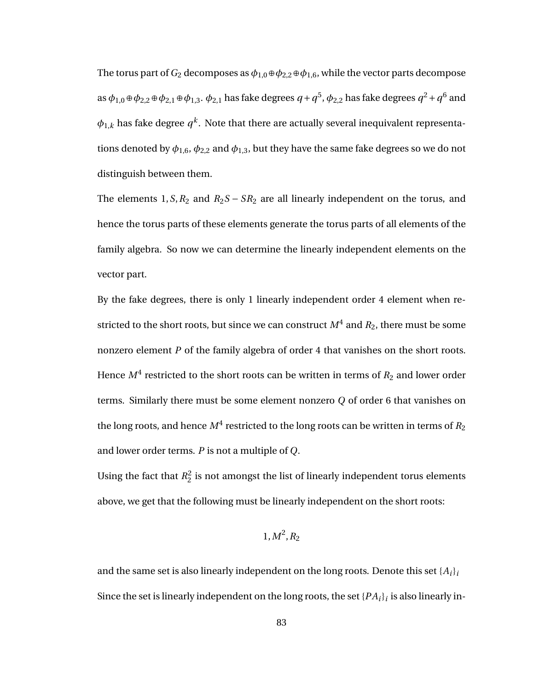The torus part of  $G_2$  decomposes as  $\phi_{1,0} \oplus \phi_{2,2} \oplus \phi_{1,6}$ , while the vector parts decompose as  $\phi_{1,0}$  ⊕  $\phi_{2,2}$  ⊕  $\phi_{2,1}$  ⊕  $\phi_{1,3}$ .  $\phi_{2,1}$  has fake degrees  $q$  +  $q^5$ ,  $\phi_{2,2}$  has fake degrees  $q^2$  +  $q^6$  and  $\phi_{1,k}$  has fake degree  $q^k$ . Note that there are actually several inequivalent representations denoted by  $\phi_{1,6}$ ,  $\phi_{2,2}$  and  $\phi_{1,3}$ , but they have the same fake degrees so we do not distinguish between them.

The elements 1,  $S$ ,  $R_2$  and  $R_2S - SR_2$  are all linearly independent on the torus, and hence the torus parts of these elements generate the torus parts of all elements of the family algebra. So now we can determine the linearly independent elements on the vector part.

By the fake degrees, there is only 1 linearly independent order 4 element when restricted to the short roots, but since we can construct  $M^4$  and  $R_2$ , there must be some nonzero element *P* of the family algebra of order 4 that vanishes on the short roots. Hence  $M^4$  restricted to the short roots can be written in terms of  $R_2$  and lower order terms. Similarly there must be some element nonzero *Q* of order 6 that vanishes on the long roots, and hence  $M^4$  restricted to the long roots can be written in terms of  $R_2$ and lower order terms. *P* is not a multiple of *Q*.

Using the fact that  $R_2^2$  $2<sub>2</sub>$  is not amongst the list of linearly independent torus elements above, we get that the following must be linearly independent on the short roots:

$$
1, M^2, R_2
$$

and the same set is also linearly independent on the long roots. Denote this set  $\{A_i\}_i$ Since the set is linearly independent on the long roots, the set  $\{PA_i\}_i$  is also linearly in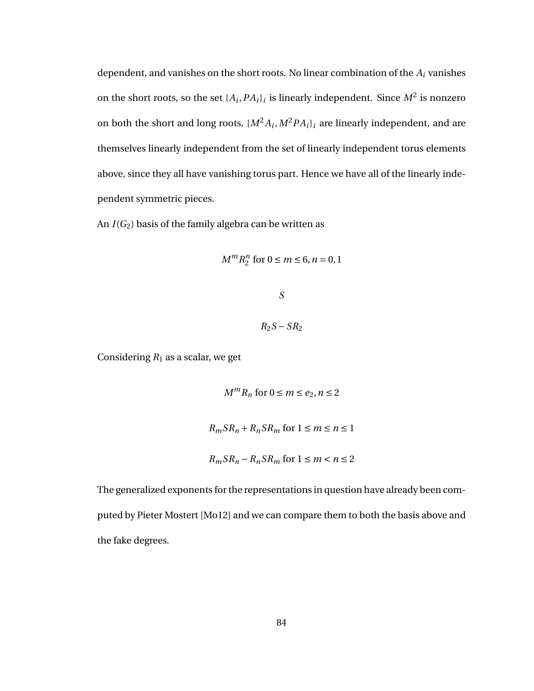dependent, and vanishes on the short roots. No linear combination of the *A<sup>i</sup>* vanishes on the short roots, so the set  $\{A_i, PA_i\}_i$  is linearly independent. Since  $M^2$  is nonzero on both the short and long roots,  $\{M^2A_i, M^2PA_i\}_i$  are linearly independent, and are themselves linearly independent from the set of linearly independent torus elements above, since they all have vanishing torus part. Hence we have all of the linearly independent symmetric pieces.

An  $I(G_2)$  basis of the family algebra can be written as

$$
M^m R_2^n \text{ for } 0 \le m \le 6, n = 0, 1
$$

*S*

 $R_2S - SR_2$ 

Considering  $R_1$  as a scalar, we get

$$
M^{m}R_{n} \text{ for } 0 \le m \le e_{2}, n \le 2
$$
  

$$
R_{m}SR_{n} + R_{n}SR_{m} \text{ for } 1 \le m \le n \le 1
$$
  

$$
R_{m}SR_{n} - R_{n}SR_{m} \text{ for } 1 \le m < n \le 2
$$

The generalized exponents for the representations in question have already been computed by Pieter Mostert [Mo12] and we can compare them to both the basis above and the fake degrees.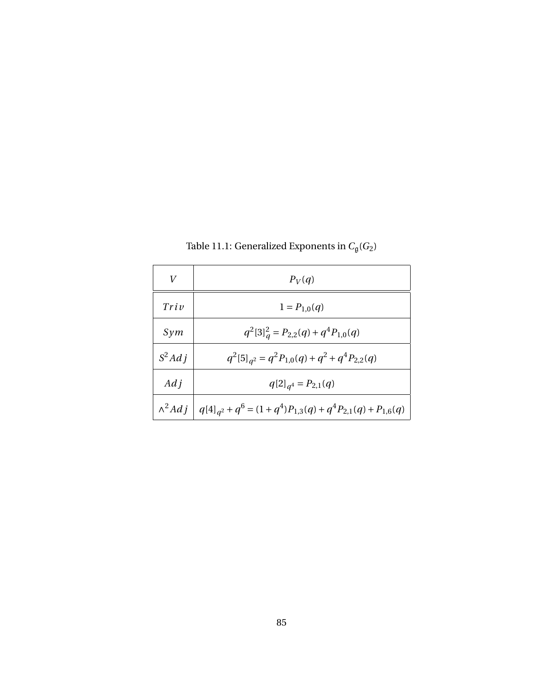| V        | $P_V(q)$                                                                              |
|----------|---------------------------------------------------------------------------------------|
| Triv     | $1 = P_{1,0}(q)$                                                                      |
| Sym      | $q^2[3]^2_q = P_{2,2}(q) + q^4 P_{1,0}(q)$                                            |
| $S^2Adj$ | $q^{2}[5]_{q^{2}} = q^{2}P_{1,0}(q) + q^{2} + q^{4}P_{2,2}(q)$                        |
| $Ad\,i$  | $q[2]_{q^4} = P_{2,1}(q)$                                                             |
|          | $\wedge^2 Adj \mid q[4]_{q^2} + q^6 = (1+q^4)P_{1,3}(q) + q^4P_{2,1}(q) + P_{1,6}(q)$ |

Table 11.1: Generalized Exponents in  $C_{\mathfrak{g}}(G_2)$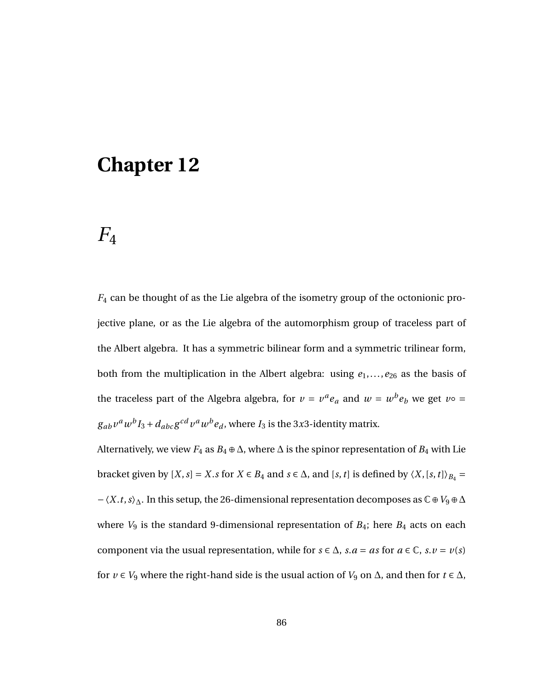## $F_4$

*F*<sup>4</sup> can be thought of as the Lie algebra of the isometry group of the octonionic projective plane, or as the Lie algebra of the automorphism group of traceless part of the Albert algebra. It has a symmetric bilinear form and a symmetric trilinear form, both from the multiplication in the Albert algebra: using  $e_1$ ,...,  $e_{26}$  as the basis of the traceless part of the Algebra algebra, for  $v = v^a e_a$  and  $w = w^b e_b$  we get  $v \circ =$  $g_{ab}$   $v^a$   $w^b$   $I_3$  +  $d_{abc}$   $g^{cd}$   $v^a$   $w^b$   $e_d$  , where  $I_3$  is the 3*x*3-identity matrix.

Alternatively, we view  $F_4$  as  $B_4 \oplus \Delta$ , where  $\Delta$  is the spinor representation of  $B_4$  with Lie bracket given by [*X*,*s*] <sup>=</sup> *<sup>X</sup>*.*<sup>s</sup>* for *<sup>X</sup>* <sup>∈</sup> *<sup>B</sup>*<sup>4</sup> and *<sup>s</sup>* <sup>∈</sup> <sup>∆</sup>, and [*s*,*t*] is defined by 〈*X*, [*s*,*t*]〉*B*<sup>4</sup> <sup>=</sup> −〈*X*.*t*,*s*〉∆. In this setup, the 26-dimensional representation decomposes as C⊕*V*<sup>9</sup> ⊕∆ where *V*<sup>9</sup> is the standard 9-dimensional representation of *B*4; here *B*<sup>4</sup> acts on each component via the usual representation, while for  $s \in \Delta$ ,  $s.a = as$  for  $a \in \mathbb{C}$ ,  $s.v = v(s)$ for  $v \in V_9$  where the right-hand side is the usual action of  $V_9$  on  $\Delta$ , and then for  $t \in \Delta$ ,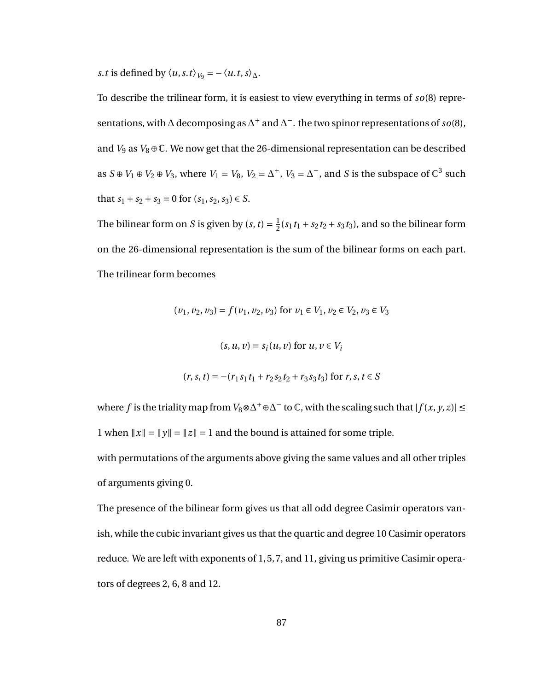*s*.*t* is defined by  $\langle u, s, t \rangle_{V_9} = -\langle u, t, s \rangle_{\Delta}$ .

To describe the trilinear form, it is easiest to view everything in terms of *so*(8) representations, with  $\Delta$  decomposing as  $\Delta^+$  and  $\Delta^-$ . the two spinor representations of *so*(8), and  $V_9$  as  $V_8 \oplus \mathbb{C}$ . We now get that the 26-dimensional representation can be described as  $S \oplus V_1 \oplus V_2 \oplus V_3$ , where  $V_1 = V_8$ ,  $V_2 = \Delta^+$ ,  $V_3 = \Delta^-$ , and *S* is the subspace of  $\mathbb{C}^3$  such that  $s_1 + s_2 + s_3 = 0$  for  $(s_1, s_2, s_3) \in S$ .

The bilinear form on *S* is given by  $(s, t) = \frac{1}{2}$  $\frac{1}{2}(s_1 t_1 + s_2 t_2 + s_3 t_3)$ , and so the bilinear form on the 26-dimensional representation is the sum of the bilinear forms on each part. The trilinear form becomes

$$
(v_1, v_2, v_3) = f(v_1, v_2, v_3) \text{ for } v_1 \in V_1, v_2 \in V_2, v_3 \in V_3
$$
  

$$
(s, u, v) = s_i(u, v) \text{ for } u, v \in V_i
$$
  

$$
(r, s, t) = -(r_1 s_1 t_1 + r_2 s_2 t_2 + r_3 s_3 t_3) \text{ for } r, s, t \in S
$$

where  $f$  is the triality map from  $V_8 \otimes \Delta^+ \oplus \Delta^-$  to  $\mathbb C$ , with the scaling such that  $|f(x, y, z)| \le$ 1 when  $||x|| = ||y|| = ||z|| = 1$  and the bound is attained for some triple.

with permutations of the arguments above giving the same values and all other triples of arguments giving 0.

The presence of the bilinear form gives us that all odd degree Casimir operators vanish, while the cubic invariant gives us that the quartic and degree 10 Casimir operators reduce. We are left with exponents of 1, 5, 7, and 11, giving us primitive Casimir operators of degrees 2, 6, 8 and 12.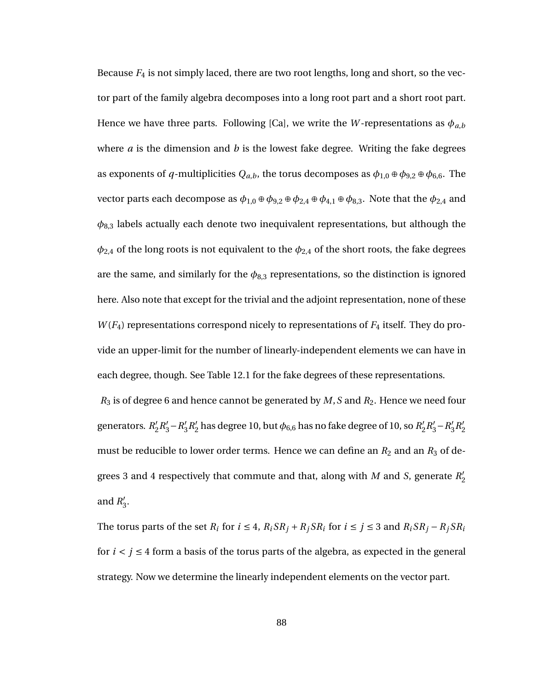Because  $F_4$  is not simply laced, there are two root lengths, long and short, so the vector part of the family algebra decomposes into a long root part and a short root part. Hence we have three parts. Following [Ca], we write the *W*-representations as  $\phi_{a,b}$ where *a* is the dimension and *b* is the lowest fake degree. Writing the fake degrees as exponents of *q*-multiplicities  $Q_{a,b}$ , the torus decomposes as  $\phi_{1,0} \oplus \phi_{9,2} \oplus \phi_{6,6}$ . The vector parts each decompose as  $\phi_{1,0} \oplus \phi_{9,2} \oplus \phi_{2,4} \oplus \phi_{4,1} \oplus \phi_{8,3}$ . Note that the  $\phi_{2,4}$  and  $\phi_{8,3}$  labels actually each denote two inequivalent representations, but although the  $\phi_{2,4}$  of the long roots is not equivalent to the  $\phi_{2,4}$  of the short roots, the fake degrees are the same, and similarly for the  $\phi_{8,3}$  representations, so the distinction is ignored here. Also note that except for the trivial and the adjoint representation, none of these *W* (*F*4) representations correspond nicely to representations of *F*<sup>4</sup> itself. They do provide an upper-limit for the number of linearly-independent elements we can have in each degree, though. See Table 12.1 for the fake degrees of these representations.

*R*<sup>3</sup> is of degree 6 and hence cannot be generated by *M*,*S* and *R*2. Hence we need four generators. R<sup>'</sup>  $R'_2 R'_3 - R'_3$  $_{3}^{\prime}R_{2}^{\prime}$  $\frac{1}{2}$  has degree 10, but  $\phi_{6,6}$  has no fake degree of 10, so  $R_2^{\prime}$  $R'_2 R'_3 - R'_3$  $n'_3R'_2$ 2 must be reducible to lower order terms. Hence we can define an  $R_2$  and an  $R_3$  of degrees 3 and 4 respectively that commute and that, along with *M* and *S*, generate  $R_2'$ 2 and  $R_1'$ ,<br>3.

The torus parts of the set  $R_i$  for  $i \leq 4$ ,  $R_i S R_j + R_j S R_i$  for  $i \leq j \leq 3$  and  $R_i S R_j - R_j S R_i$ for  $i < j \le 4$  form a basis of the torus parts of the algebra, as expected in the general strategy. Now we determine the linearly independent elements on the vector part.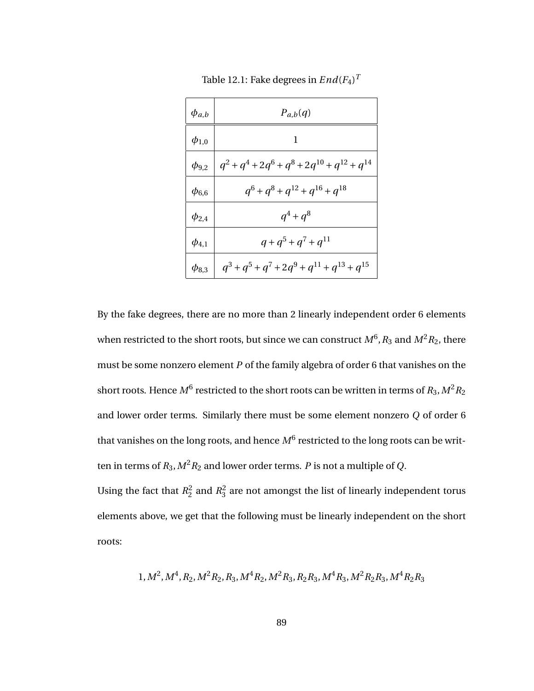| $\phi_{a,b}$ | $P_{a,b}(q)$                                         |
|--------------|------------------------------------------------------|
| $\phi_{1,0}$ | 1                                                    |
| $\phi_{9,2}$ | $q^2 + q^4 + 2q^6 + q^8 + 2q^{10} + q^{12} + q^{14}$ |
| $\phi_{6,6}$ | $q^6 + q^8 + q^{12} + q^{16} + q^{18}$               |
| $\phi_{2,4}$ | $q^4 + q^8$                                          |
| $\phi_{4,1}$ | $q+q^5+q^7+q^{11}$                                   |
| $\phi_{8,3}$ | $q^3 + q^5 + q^7 + 2q^9 + q^{11} + q^{13} + q^{15}$  |

Table 12.1: Fake degrees in  $End(F_4)^T$ 

By the fake degrees, there are no more than 2 linearly independent order 6 elements when restricted to the short roots, but since we can construct  $M^6$  ,  $R_3$  and  $M^2R_2$ , there must be some nonzero element *P* of the family algebra of order 6 that vanishes on the short roots. Hence  $M^6$  restricted to the short roots can be written in terms of  $R_3, M^2R_2$ and lower order terms. Similarly there must be some element nonzero *Q* of order 6 that vanishes on the long roots, and hence  $M^6$  restricted to the long roots can be written in terms of  $R_3$ ,  $M^2 R_2$  and lower order terms. *P* is not a multiple of *Q*.

Using the fact that  $R_2^2$  $n_2^2$  and  $R_3^2$  $\frac{2}{3}$  are not amongst the list of linearly independent torus elements above, we get that the following must be linearly independent on the short roots:

$$
1, M^2, M^4, R_2, M^2R_2, R_3, M^4R_2, M^2R_3, R_2R_3, M^4R_3, M^2R_2R_3, M^4R_2R_3
$$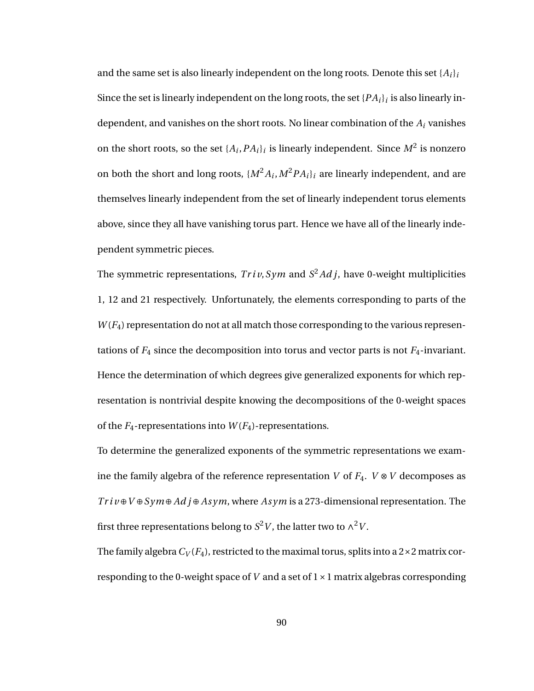and the same set is also linearly independent on the long roots. Denote this set  $\{A_i\}_i$ Since the set is linearly independent on the long roots, the set  $\{PA_i\}_i$  is also linearly independent, and vanishes on the short roots. No linear combination of the *A<sup>i</sup>* vanishes on the short roots, so the set  $\{A_i, PA_i\}_i$  is linearly independent. Since  $M^2$  is nonzero on both the short and long roots,  $\{M^2A_i, M^2PA_i\}_i$  are linearly independent, and are themselves linearly independent from the set of linearly independent torus elements above, since they all have vanishing torus part. Hence we have all of the linearly independent symmetric pieces.

The symmetric representations, *Tr i v*,*Sym* and *S* <sup>2</sup>*Ad j*, have 0-weight multiplicities 1, 12 and 21 respectively. Unfortunately, the elements corresponding to parts of the *W* (*F*4) representation do not at all match those corresponding to the various representations of  $F_4$  since the decomposition into torus and vector parts is not  $F_4$ -invariant. Hence the determination of which degrees give generalized exponents for which representation is nontrivial despite knowing the decompositions of the 0-weight spaces of the  $F_4$ -representations into  $W(F_4)$ -representations.

To determine the generalized exponents of the symmetric representations we examine the family algebra of the reference representation *V* of  $F_4$ .  $V \otimes V$  decomposes as *Tr i v* ⊕*V* ⊕*Sym*⊕ *Ad j* ⊕ *As ym*, where *As ym* is a 273-dimensional representation. The first three representations belong to  $S^2V$ , the latter two to  $\wedge^2V$ .

The family algebra  $C_V(F_4)$ , restricted to the maximal torus, splits into a  $2 \times 2$  matrix corresponding to the 0-weight space of *V* and a set of 1×1 matrix algebras corresponding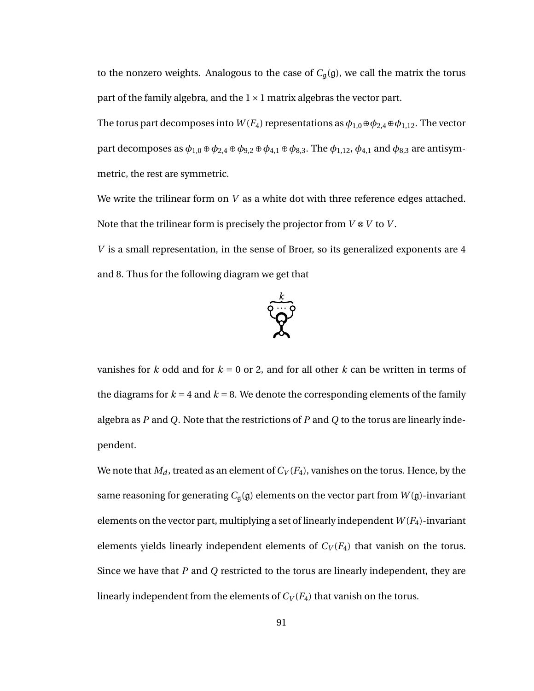to the nonzero weights. Analogous to the case of  $C_{\mathfrak{g}}(\mathfrak{g})$ , we call the matrix the torus part of the family algebra, and the  $1 \times 1$  matrix algebras the vector part.

The torus part decomposes into  $W(F_4)$  representations as  $\phi_{1,0} \oplus \phi_{2,4} \oplus \phi_{1,12}$ . The vector part decomposes as  $\phi_{1,0} \oplus \phi_{2,4} \oplus \phi_{9,2} \oplus \phi_{4,1} \oplus \phi_{8,3}$ . The  $\phi_{1,12}$ ,  $\phi_{4,1}$  and  $\phi_{8,3}$  are antisymmetric, the rest are symmetric.

We write the trilinear form on *V* as a white dot with three reference edges attached. Note that the trilinear form is precisely the projector from *V* ⊗*V* to *V* .

*V* is a small representation, in the sense of Broer, so its generalized exponents are 4 and 8. Thus for the following diagram we get that



vanishes for  $k$  odd and for  $k = 0$  or 2, and for all other  $k$  can be written in terms of the diagrams for  $k = 4$  and  $k = 8$ . We denote the corresponding elements of the family algebra as *P* and *Q*. Note that the restrictions of *P* and *Q* to the torus are linearly independent.

We note that  $M_d$ , treated as an element of  $C_V(F_4)$ , vanishes on the torus. Hence, by the same reasoning for generating  $C_{\mathfrak{g}}(\mathfrak{g})$  elements on the vector part from  $W(\mathfrak{g})$ -invariant elements on the vector part, multiplying a set of linearly independent  $W(F_4)$ -invariant elements yields linearly independent elements of  $C_V(F_4)$  that vanish on the torus. Since we have that *P* and *Q* restricted to the torus are linearly independent, they are linearly independent from the elements of  $C_V(F_4)$  that vanish on the torus.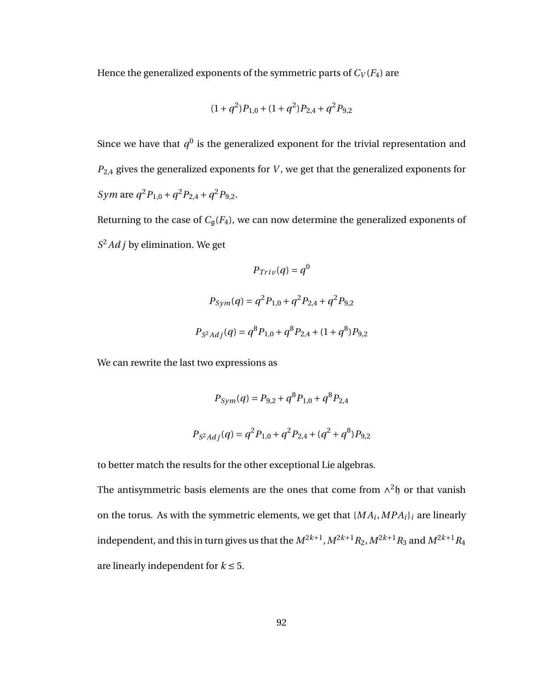Hence the generalized exponents of the symmetric parts of  $C_V(F_4)$  are

$$
(1+q^2)P_{1,0} + (1+q^2)P_{2,4} + q^2P_{9,2}
$$

Since we have that  $q^0$  is the generalized exponent for the trivial representation and *P*2,4 gives the generalized exponents for *V* , we get that the generalized exponents for *Sym* are  $q^2 P_{1,0} + q^2 P_{2,4} + q^2 P_{9,2}$ .

Returning to the case of  $C_{\mathfrak{g}}(F_4)$ , we can now determine the generalized exponents of *S* <sup>2</sup>*Ad j* by elimination. We get

$$
P_{Tri}(\boldsymbol{q}) = \boldsymbol{q}^{0}
$$

$$
P_{Sym}(\boldsymbol{q}) = \boldsymbol{q}^{2} P_{1,0} + \boldsymbol{q}^{2} P_{2,4} + \boldsymbol{q}^{2} P_{9,2}
$$

$$
P_{S^{2}Adj}(\boldsymbol{q}) = \boldsymbol{q}^{8} P_{1,0} + \boldsymbol{q}^{8} P_{2,4} + (1 + \boldsymbol{q}^{8}) P_{9,2}
$$

We can rewrite the last two expressions as

$$
P_{Sym}(q) = P_{9,2} + q^8 P_{1,0} + q^8 P_{2,4}
$$

$$
P_{S^2Adj}(q) = q^2 P_{1,0} + q^2 P_{2,4} + (q^2 + q^8) P_{9,2}
$$

to better match the results for the other exceptional Lie algebras.

The antisymmetric basis elements are the ones that come from  $\wedge^2$ h or that vanish on the torus. As with the symmetric elements, we get that  $\{MA_i, MPA_i\}_i$  are linearly independent, and this in turn gives us that the  $M^{2k+1}, M^{2k+1}R_2, M^{2k+1}R_3$  and  $M^{2k+1}R_4$ are linearly independent for  $k \leq 5$ .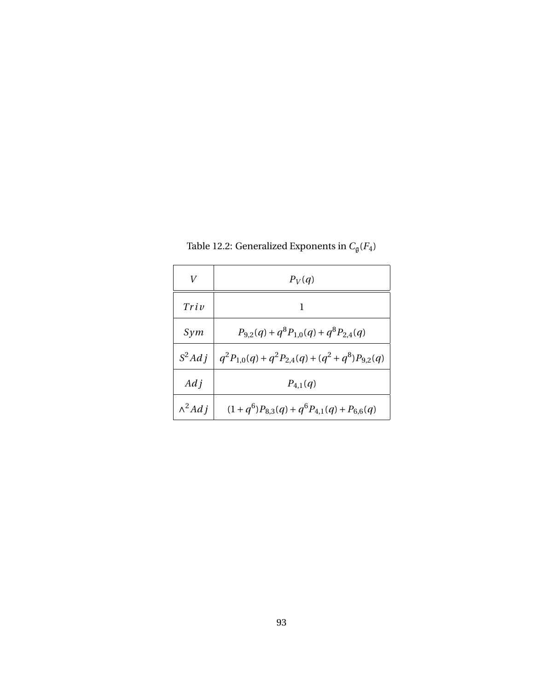|                | $P_V(q)$                                              |
|----------------|-------------------------------------------------------|
| Triv           |                                                       |
| Sym            | $P_{9,2}(q) + q^8 P_{1,0}(q) + q^8 P_{2,4}(q)$        |
| $S^2Ad\,j$     | $q^2P_{1,0}(q) + q^2P_{2,4}(q) + (q^2+q^8)P_{9,2}(q)$ |
| $Ad\,i$        | $P_{4,1}(q)$                                          |
| $\wedge^2 Adj$ | $(1+q^6)P_{8,3}(q)+q^6P_{4,1}(q)+P_{6,6}(q)$          |

Table 12.2: Generalized Exponents in  $C_{\mathfrak{g}}(F_4)$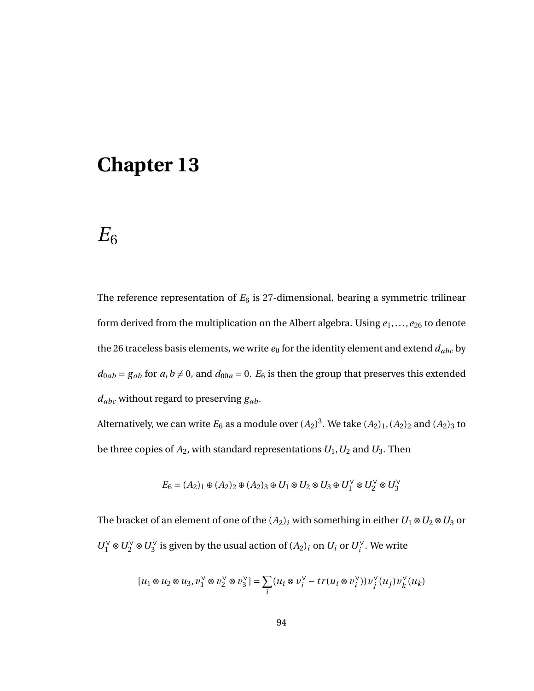## $E_6$

The reference representation of  $E_6$  is 27-dimensional, bearing a symmetric trilinear form derived from the multiplication on the Albert algebra. Using *e*1,...,*e*<sup>26</sup> to denote the 26 traceless basis elements, we write  $e_0$  for the identity element and extend  $d_{abc}$  by  $d_{0ab} = g_{ab}$  for  $a, b \neq 0$ , and  $d_{00a} = 0$ .  $E_6$  is then the group that preserves this extended *dabc* without regard to preserving *gab*.

Alternatively, we can write  $E_6$  as a module over  $(A_2)^3.$  We take  $(A_2)_1, (A_2)_2$  and  $(A_2)_3$  to be three copies of  $A_2$ , with standard representations  $U_1, U_2$  and  $U_3$ . Then

$$
E_6=(A_2)_1\oplus (A_2)_2\oplus (A_2)_3\oplus U_1\otimes U_2\otimes U_3\oplus U_1^\vee\otimes U_2^\vee\otimes U_3^\vee
$$

The bracket of an element of one of the  $(A_2)_i$  with something in either  $U_1 \otimes U_2 \otimes U_3$  or  $U_1^{\vee} \otimes U_2^{\vee} \otimes U_3^{\vee}$  is given by the usual action of  $(A_2)_i$  on  $U_i$  or  $U_i^{\vee}$ . We write

$$
[u_1\otimes u_2\otimes u_3, v_1^\vee\otimes v_2^\vee\otimes v_3^\vee]=\sum_i(u_i\otimes v_i^\vee-tr(u_i\otimes v_i^\vee))v_j^\vee(u_j)v_k^\vee(u_k)
$$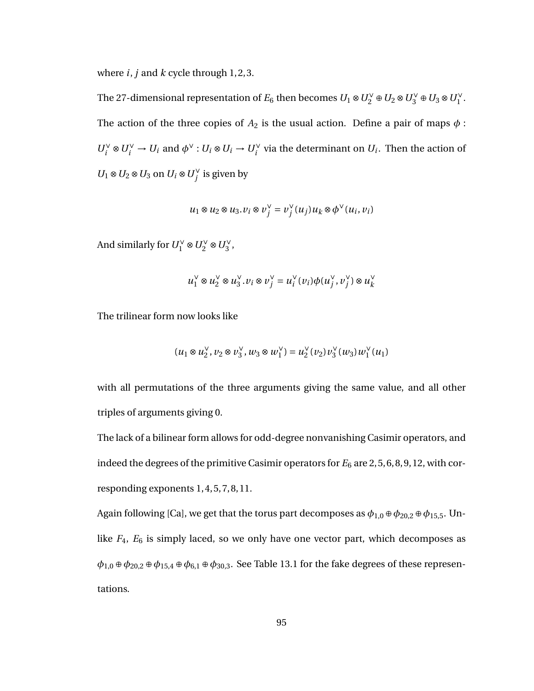where *i*, *j* and *k* cycle through 1, 2, 3.

The 27-dimensional representation of  $E_6$  then becomes  $U_1 \otimes U_2^{\vee} \oplus U_2 \otimes U_3^{\vee} \oplus U_3 \otimes U_1^{\vee}$ . The action of the three copies of  $A_2$  is the usual action. Define a pair of maps  $\phi$ :  $U_i^{\vee} \otimes U_i^{\vee} \to U_i$  and  $\phi^{\vee} : U_i \otimes U_i \to U_i^{\vee}$  via the determinant on  $U_i$ . Then the action of  $U_1 \otimes U_2 \otimes U_3$  on  $U_i \otimes U_j^\vee$  is given by

$$
u_1 \otimes u_2 \otimes u_3 \cdot v_i \otimes v_j^{\vee} = v_j^{\vee}(u_j)u_k \otimes \phi^{\vee}(u_i,v_i)
$$

And similarly for  $U_1^{\vee} \otimes U_2^{\vee} \otimes U_3^{\vee}$ ,

$$
u_1^{\vee} \otimes u_2^{\vee} \otimes u_3^{\vee}. v_i \otimes v_j^{\vee} = u_i^{\vee}(v_i) \phi(u_j^{\vee}, v_j^{\vee}) \otimes u_k^{\vee}
$$

The trilinear form now looks like

$$
(u_1\otimes u_2^{\vee},v_2\otimes v_3^{\vee},w_3\otimes w_1^{\vee})=u_2^{\vee}(v_2) v_3^{\vee}(w_3)w_1^{\vee}(u_1)
$$

with all permutations of the three arguments giving the same value, and all other triples of arguments giving 0.

The lack of a bilinear form allows for odd-degree nonvanishing Casimir operators, and indeed the degrees of the primitive Casimir operators for  $E_6$  are 2, 5, 6, 8, 9, 12, with corresponding exponents 1, 4, 5, 7, 8, 11.

Again following [Ca], we get that the torus part decomposes as  $\phi_{1,0} \oplus \phi_{20,2} \oplus \phi_{15,5}$ . Unlike *F*4, *E*<sup>6</sup> is simply laced, so we only have one vector part, which decomposes as  $\phi_{1,0} \oplus \phi_{20,2} \oplus \phi_{15,4} \oplus \phi_{6,1} \oplus \phi_{30,3}$ . See Table 13.1 for the fake degrees of these representations.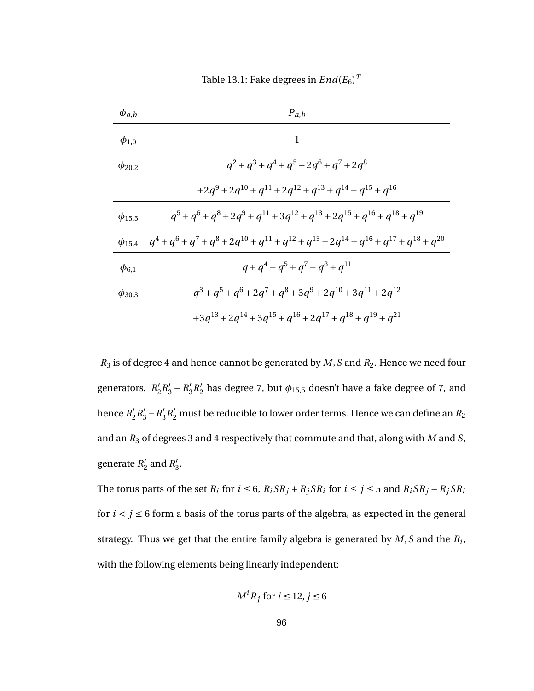| $\phi_{a,b}$  | $P_{a,b}$                                                                                                          |
|---------------|--------------------------------------------------------------------------------------------------------------------|
| $\phi_{1,0}$  | 1                                                                                                                  |
| $\phi_{20,2}$ | $q^2 + q^3 + q^4 + q^5 + 2q^6 + q^7 + 2q^8$                                                                        |
|               | $+2q^{9} + 2q^{10} + q^{11} + 2q^{12} + q^{13} + q^{14} + q^{15} + q^{16}$                                         |
| $\phi_{15,5}$ | $q^{5} + q^{6} + q^{8} + 2q^{9} + q^{11} + 3q^{12} + q^{13} + 2q^{15} + q^{16} + q^{18} + q^{19}$                  |
| $\phi_{15,4}$ | $q^{4} + q^{6} + q^{7} + q^{8} + 2q^{10} + q^{11} + q^{12} + q^{13} + 2q^{14} + q^{16} + q^{17} + q^{18} + q^{20}$ |
| $\phi_{6,1}$  | $q+q^4+q^5+q^7+q^8+q^{11}$                                                                                         |
| $\phi_{30,3}$ | $q^{3} + q^{5} + q^{6} + 2q^{7} + q^{8} + 3q^{9} + 2q^{10} + 3q^{11} + 2q^{12}$                                    |
|               | $+3q^{13} + 2q^{14} + 3q^{15} + q^{16} + 2q^{17} + q^{18} + q^{19} + q^{21}$                                       |

Table 13.1: Fake degrees in  $End(E_6)^T$ 

*R*<sup>3</sup> is of degree 4 and hence cannot be generated by *M*,*S* and *R*2. Hence we need four generators. R<sup>'</sup>  $R'_2 R'_3 - R'_3$  $R'_{2}R'_{2}$  $_2^{\prime}$  has degree 7, but  $\phi_{15,5}$  doesn't have a fake degree of 7, and hence  $R_2'$  $\frac{1}{2}R_3' - R_3'$  $\pi^{'}_{3}R^{'}_{2}$  must be reducible to lower order terms. Hence we can define an  $R_{2}$ and an *R*<sup>3</sup> of degrees 3 and 4 respectively that commute and that, along with *M* and *S*, generate *R*<sup>'</sup>  $n'_2$  and  $R'_3$ ,<br>3.

The torus parts of the set  $R_i$  for  $i \leq 6$ ,  $R_i S R_j + R_j S R_i$  for  $i \leq j \leq 5$  and  $R_i S R_j - R_j S R_i$ for  $i < j \leq 6$  form a basis of the torus parts of the algebra, as expected in the general strategy. Thus we get that the entire family algebra is generated by *M*,*S* and the *R<sup>i</sup>* , with the following elements being linearly independent:

$$
M^i R_j \text{ for } i \le 12, j \le 6
$$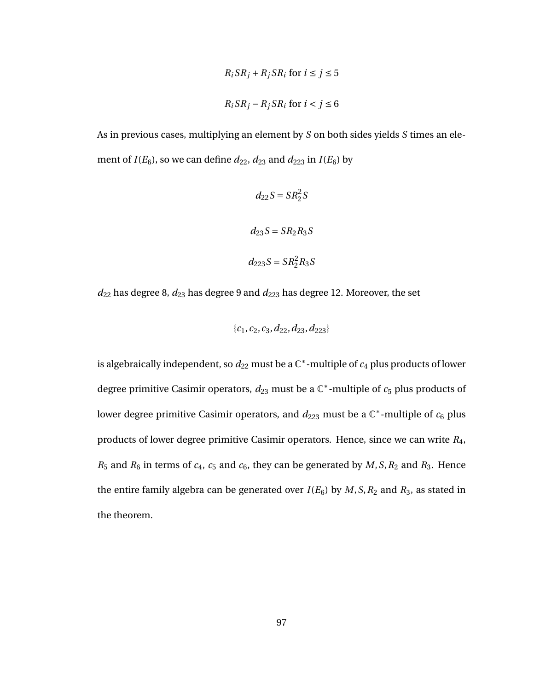$$
R_i S R_j + R_j S R_i \text{ for } i \le j \le 5
$$
  

$$
R_i S R_j - R_j S R_i \text{ for } i < j \le 6
$$

As in previous cases, multiplying an element by *S* on both sides yields *S* times an element of  $I(E_6)$ , so we can define  $d_{22}$ ,  $d_{23}$  and  $d_{223}$  in  $I(E_6)$  by

$$
d_{22}S = SR22S
$$
  

$$
d_{23}S = SR2R3S
$$
  

$$
d_{223}S = SR22R3S
$$

*d*<sup>22</sup> has degree 8, *d*<sup>23</sup> has degree 9 and *d*<sup>223</sup> has degree 12. Moreover, the set

$$
\{c_1, c_2, c_3, d_{22}, d_{23}, d_{223}\}\
$$

is algebraically independent, so  $d_{22}$  must be a  $\mathbb{C}^*$ -multiple of  $c_4$  plus products of lower degree primitive Casimir operators,  $d_{23}$  must be a  $\mathbb{C}^*$ -multiple of  $c_5$  plus products of lower degree primitive Casimir operators, and  $d_{223}$  must be a  $\mathbb{C}^*$ -multiple of  $c_6$  plus products of lower degree primitive Casimir operators. Hence, since we can write *R*4,  $R_5$  and  $R_6$  in terms of  $c_4$ ,  $c_5$  and  $c_6$ , they can be generated by  $M$ ,  $S$ ,  $R_2$  and  $R_3$ . Hence the entire family algebra can be generated over  $I(E_6)$  by  $M, S, R_2$  and  $R_3$ , as stated in the theorem.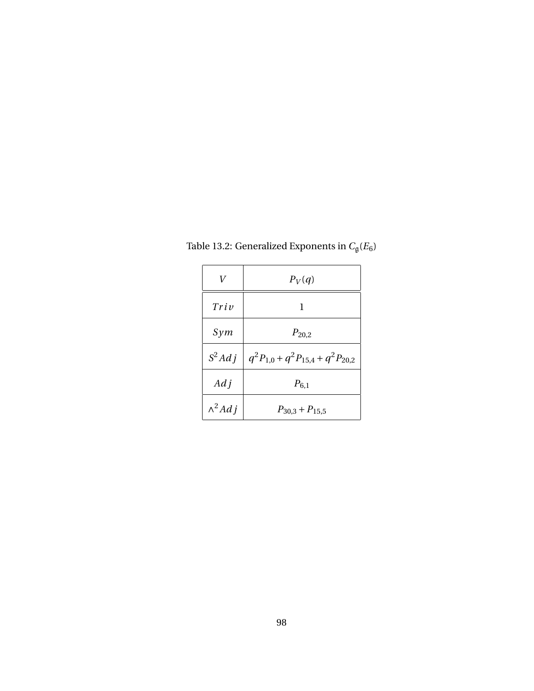| V              | $P_V(q)$                                 |
|----------------|------------------------------------------|
| Triv           | 1                                        |
| Sym            | $P_{20,2}$                               |
| $S^2Adj$       | $q^2P_{1,0} + q^2P_{15,4} + q^2P_{20,2}$ |
| $Ad\,i$        | $P_{6,1}$                                |
| $\wedge^2 Adj$ | $P_{30,3}$ + $P_{15,5}$                  |

Table 13.2: Generalized Exponents in  $C_{\mathfrak{g}}(E_6)$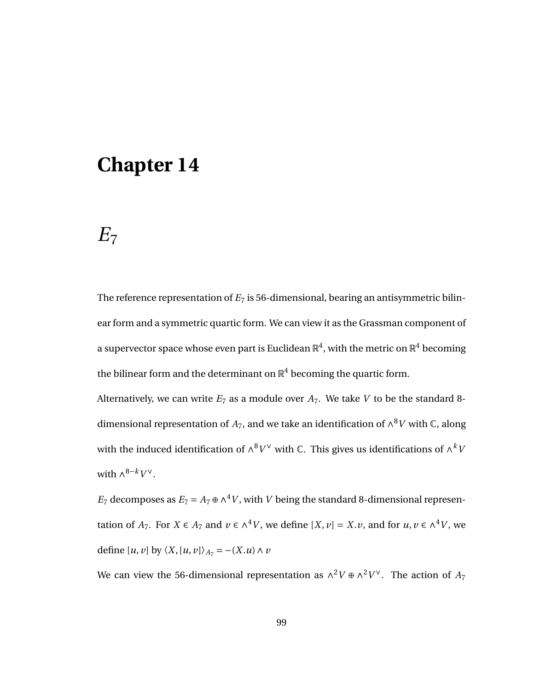# $E_7$

The reference representation of  $E_7$  is 56-dimensional, bearing an antisymmetric bilinear form and a symmetric quartic form. We can view it as the Grassman component of a supervector space whose even part is Euclidean  $\mathbb{R}^4$ , with the metric on  $\mathbb{R}^4$  becoming the bilinear form and the determinant on  $\mathbb{R}^4$  becoming the quartic form.

Alternatively, we can write  $E_7$  as a module over  $A_7$ . We take *V* to be the standard 8dimensional representation of  $A_7$ , and we take an identification of  $\wedge^8V$  with  $\mathbb C$ , along with the induced identification of  $\wedge^8 V^\vee$  with  $\mathbb C$ . This gives us identifications of  $\wedge^k V$ with  $\wedge^{8-k}V^{\vee}$ .

*E*<sub>7</sub> decomposes as  $E_7 = A_7 \oplus \wedge^4 V$ , with *V* being the standard 8-dimensional representation of  $A_7$ . For  $X \in A_7$  and  $v \in \wedge^4 V$ , we define  $[X, v] = X \cdot v$ , and for  $u, v \in \wedge^4 V$ , we define  $[u, v]$  by  $\langle X, [u, v] \rangle_{A_7} = -(X, u) \wedge v$ 

We can view the 56-dimensional representation as  $\wedge^2 V \oplus \wedge^2 V^{\vee}$ . The action of  $A_7$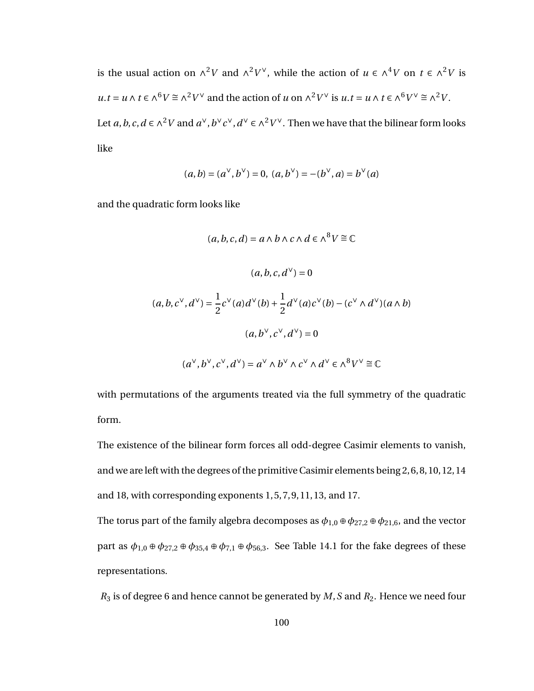is the usual action on  $\wedge^2 V$  and  $\wedge^2 V^{\vee}$ , while the action of  $u \in \wedge^4 V$  on  $t \in \wedge^2 V$  is  $u \cdot t = u \wedge t \in \wedge^6 V \cong \wedge^2 V^\vee$  and the action of *u* on  $\wedge^2 V^\vee$  is  $u \cdot t = u \wedge t \in \wedge^6 V^\vee \cong \wedge^2 V$ . Let *a*, *b*, *c*, *d* ∈  $\wedge$ <sup>2</sup>*V* and *a*<sup>∨</sup>, *b*<sup>∨</sup>*c*<sup>∨</sup>, *d*<sup>∨</sup> ∈  $\wedge$ <sup>2</sup>*V*<sup>∨</sup>. Then we have that the bilinear form looks like

$$
(a, b) = (a^{\vee}, b^{\vee}) = 0, (a, b^{\vee}) = -(b^{\vee}, a) = b^{\vee}(a)
$$

and the quadratic form looks like

$$
(a, b, c, d) = a \wedge b \wedge c \wedge d \in \wedge^8 V \cong \mathbb{C}
$$

$$
(a, b, c, d^{\vee}) = 0
$$

$$
(a, b, c^{\vee}, d^{\vee}) = \frac{1}{2} c^{\vee}(a) d^{\vee}(b) + \frac{1}{2} d^{\vee}(a) c^{\vee}(b) - (c^{\vee} \wedge d^{\vee})(a \wedge b)
$$

$$
(a, b^{\vee}, c^{\vee}, d^{\vee}) = 0
$$

$$
(a^{\vee}, b^{\vee}, c^{\vee}, d^{\vee}) = a^{\vee} \wedge b^{\vee} \wedge c^{\vee} \wedge d^{\vee} \in \wedge^8 V^{\vee} \cong \mathbb{C}
$$

with permutations of the arguments treated via the full symmetry of the quadratic form.

The existence of the bilinear form forces all odd-degree Casimir elements to vanish, and we are left with the degrees of the primitive Casimir elements being 2, 6, 8, 10, 12, 14 and 18, with corresponding exponents 1, 5, 7, 9, 11, 13, and 17.

The torus part of the family algebra decomposes as  $\phi_{1,0} \oplus \phi_{27,2} \oplus \phi_{21,6}$ , and the vector part as  $\phi_{1,0} \oplus \phi_{27,2} \oplus \phi_{35,4} \oplus \phi_{7,1} \oplus \phi_{56,3}$ . See Table 14.1 for the fake degrees of these representations.

*R*<sup>3</sup> is of degree 6 and hence cannot be generated by *M*,*S* and *R*2. Hence we need four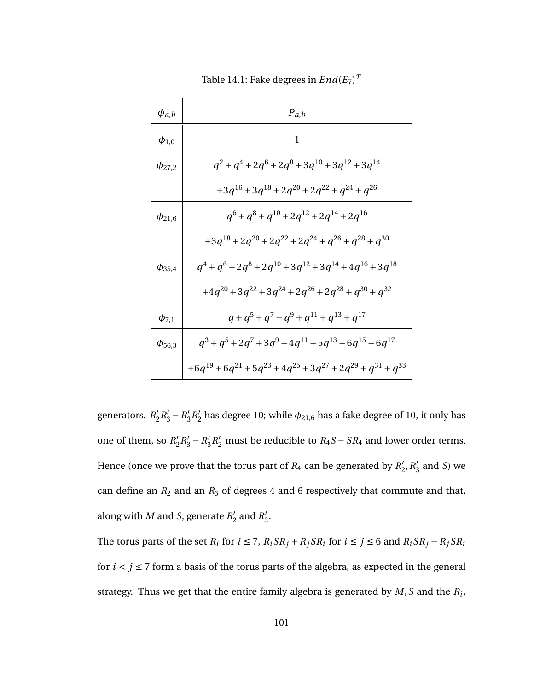| $\phi_{a,b}$  | $P_{a,b}$                                                            |
|---------------|----------------------------------------------------------------------|
| $\phi_{1,0}$  | 1                                                                    |
| $\phi_{27,2}$ | $q^2 + q^4 + 2q^6 + 2q^8 + 3q^{10} + 3q^{12} + 3q^{14}$              |
|               | $+3q^{16}+3q^{18}+2q^{20}+2q^{22}+q^{24}+q^{26}$                     |
| $\phi_{21,6}$ | $q^6 + q^8 + q^{10} + 2q^{12} + 2q^{14} + 2q^{16}$                   |
|               | $+3q^{18} + 2q^{20} + 2q^{22} + 2q^{24} + q^{26} + q^{28} + q^{30}$  |
| $\phi_{35,4}$ | $q^4 + q^6 + 2q^8 + 2q^{10} + 3q^{12} + 3q^{14} + 4q^{16} + 3q^{18}$ |
|               | $+4q^{20} + 3q^{22} + 3q^{24} + 2q^{26} + 2q^{28} + q^{30} + q^{32}$ |
| $\phi_{7,1}$  | $q + q^5 + q^7 + q^9 + q^{11} + q^{13} + q^{17}$                     |
| $\phi_{56,3}$ | $q^3 + q^5 + 2q^7 + 3q^9 + 4q^{11} + 5q^{13} + 6q^{15} + 6q^{17}$    |
|               | $+6q^{19}+6q^{21}+5q^{23}+4q^{25}+3q^{27}+2q^{29}+q^{31}+q^{33}$     |

Table 14.1: Fake degrees in  $End(E_7)^T$ 

generators. R<sup>'</sup>  $R'_2 R'_3 - R'_3$  $n'_3 R'_2$  $_2^{\prime}$  has degree 10; while  $\phi_{21,6}$  has a fake degree of 10, it only has one of them, so  $R'_2$  $R'_2 R'_3 - R'_3$  $\frac{1}{3}R_2'$  must be reducible to  $R_4S - SR_4$  and lower order terms. Hence (once we prove that the torus part of  $R_4$  can be generated by  $R_2^{\prime}$  $'_{2}$ ,  $R'_{3}$  $_3'$  and *S*) we can define an  $R_2$  and an  $R_3$  of degrees 4 and 6 respectively that commute and that, along with  $M$  and  $S$ , generate  $R'_2$  $n'_2$  and  $R'_3$ ,<br>3.

The torus parts of the set  $R_i$  for  $i \le 7$ ,  $R_i S R_j + R_j S R_i$  for  $i \le j \le 6$  and  $R_i S R_j - R_j S R_i$ for  $i < j \le 7$  form a basis of the torus parts of the algebra, as expected in the general strategy. Thus we get that the entire family algebra is generated by *M*,*S* and the *R<sup>i</sup>* ,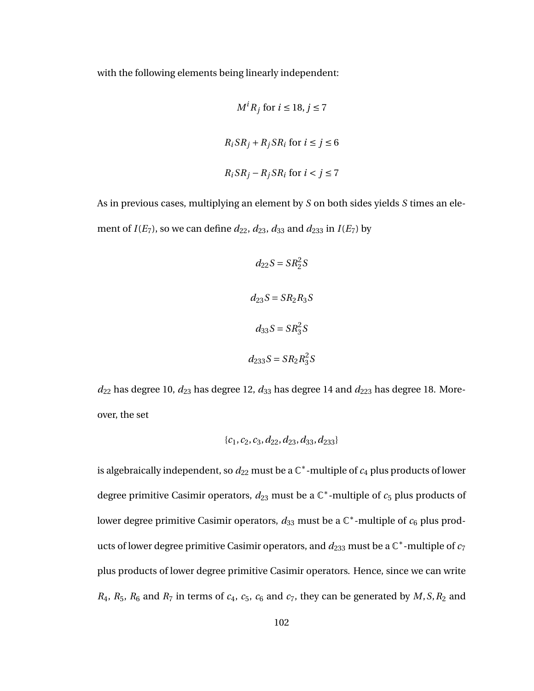with the following elements being linearly independent:

$$
M^{i} R_{j} \text{ for } i \leq 18, j \leq 7
$$
  

$$
R_{i} S R_{j} + R_{j} S R_{i} \text{ for } i \leq j \leq 6
$$
  

$$
R_{i} S R_{j} - R_{j} S R_{i} \text{ for } i < j \leq 7
$$

As in previous cases, multiplying an element by *S* on both sides yields *S* times an element of  $I(E_7)$ , so we can define  $d_{22}$ ,  $d_{23}$ ,  $d_{33}$  and  $d_{233}$  in  $I(E_7)$  by

$$
d_{22}S = SR_2^2S
$$

$$
d_{23}S = SR_2R_3S
$$

$$
d_{33}S = SR_3^2S
$$

$$
d_{233}S = SR_2R_3^2S
$$

 $d_{22}$  has degree 10,  $d_{23}$  has degree 12,  $d_{33}$  has degree 14 and  $d_{223}$  has degree 18. Moreover, the set

$$
\{c_1, c_2, c_3, d_{22}, d_{23}, d_{33}, d_{233}\}\
$$

is algebraically independent, so  $d_{22}$  must be a  $\mathbb{C}^*$ -multiple of  $c_4$  plus products of lower degree primitive Casimir operators,  $d_{23}$  must be a  $\mathbb{C}^*$ -multiple of  $c_5$  plus products of lower degree primitive Casimir operators,  $d_{33}$  must be a  $\mathbb{C}^*$ -multiple of  $c_6$  plus products of lower degree primitive Casimir operators, and  $d_{233}$  must be a  $\mathbb{C}^*$ -multiple of  $c_7$ plus products of lower degree primitive Casimir operators. Hence, since we can write  $R_4$ ,  $R_5$ ,  $R_6$  and  $R_7$  in terms of  $c_4$ ,  $c_5$ ,  $c_6$  and  $c_7$ , they can be generated by  $M$ ,  $S$ ,  $R_2$  and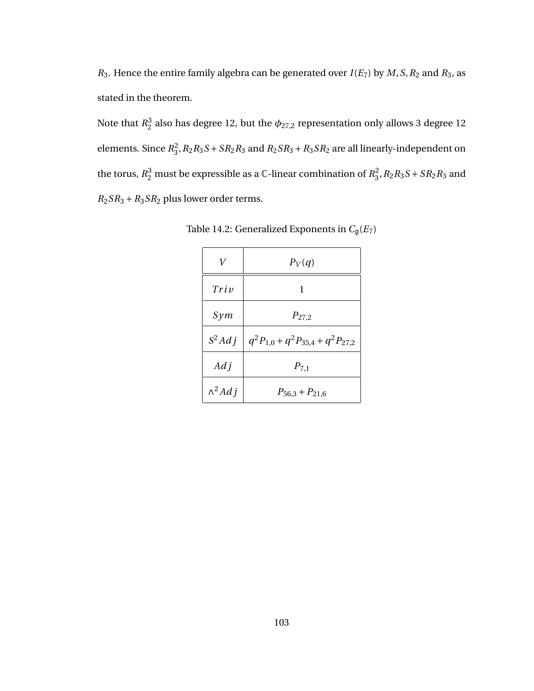*R*<sub>3</sub>. Hence the entire family algebra can be generated over  $I(E_7)$  by  $M$ ,  $S$ ,  $R_2$  and  $R_3$ , as stated in the theorem.

Note that  $R_2^3$  $\frac{3}{2}$  also has degree 12, but the  $\phi_{27,2}$  representation only allows 3 degree 12 elements. Since *R* 2  $_3^2$ ,  $R_2R_3S + SR_2R_3$  and  $R_2SR_3 + R_3SR_2$  are all linearly-independent on the torus,  $R_2^3$  must be expressible as a C-linear combination of  $R_3^2$  $^{2}_{3}$ ,  $R_{2}R_{3}S + SR_{2}R_{3}$  and *R*2*SR*<sup>3</sup> +*R*3*SR*<sup>2</sup> plus lower order terms.

| V                | $P_V(q)$                                 |
|------------------|------------------------------------------|
| Tri <sub>v</sub> | 1                                        |
| Sym              | $P_{27,2}$                               |
| $S^2Adj$         | $q^2P_{1,0} + q^2P_{35,4} + q^2P_{27,2}$ |
| $Ad\,i$          | $P_{7,1}$                                |
| $\wedge^2 Adj$   | $P_{56,3} + P_{21,6}$                    |

Table 14.2: Generalized Exponents in  $C_{\mathfrak{g}}(E_7)$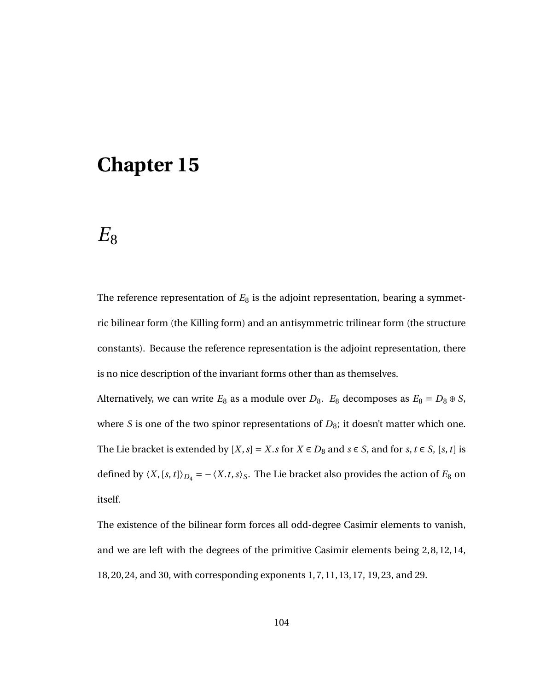## **Chapter 15**

## $E_8$

The reference representation of  $E_8$  is the adjoint representation, bearing a symmetric bilinear form (the Killing form) and an antisymmetric trilinear form (the structure constants). Because the reference representation is the adjoint representation, there is no nice description of the invariant forms other than as themselves.

Alternatively, we can write  $E_8$  as a module over  $D_8$ .  $E_8$  decomposes as  $E_8 = D_8 \oplus S$ , where *S* is one of the two spinor representations of  $D_8$ ; it doesn't matter which one. The Lie bracket is extended by  $[X, s] = X$ .*s* for *X* ∈ *D*<sub>8</sub> and *s* ∈ *S*, and for *s*, *t* ∈ *S*,  $[s, t]$  is defined by  $\langle X, [s, t] \rangle_{D_4} = -\langle X, t, s \rangle_{S}$ . The Lie bracket also provides the action of  $E_8$  on itself.

The existence of the bilinear form forces all odd-degree Casimir elements to vanish, and we are left with the degrees of the primitive Casimir elements being 2, 8, 12, 14, 18, 20, 24, and 30, with corresponding exponents 1, 7, 11, 13, 17, 19, 23, and 29.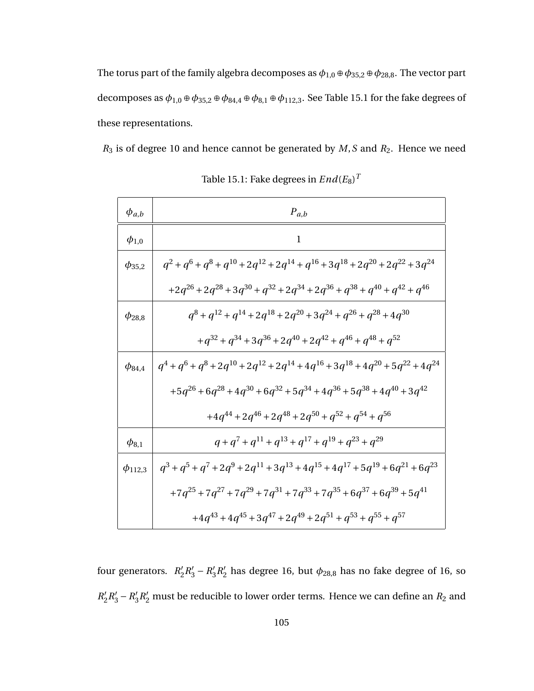The torus part of the family algebra decomposes as  $\phi_{1,0} \oplus \phi_{35,2} \oplus \phi_{28,8}.$  The vector part decomposes as  $\phi_{1,0} \oplus \phi_{35,2} \oplus \phi_{84,4} \oplus \phi_{8,1} \oplus \phi_{112,3}$ . See Table 15.1 for the fake degrees of these representations.

*R*<sup>3</sup> is of degree 10 and hence cannot be generated by *M*,*S* and *R*2. Hence we need

| $\phi_{a,b}$   | $\boldsymbol{P}_{a,b}$                                                                            |
|----------------|---------------------------------------------------------------------------------------------------|
| $\phi_{1,0}$   | $\mathbf{1}$                                                                                      |
| $\phi_{35,2}$  | $q^2 + q^6 + q^8 + q^{10} + 2q^{12} + 2q^{14} + q^{16} + 3q^{18} + 2q^{20} + 2q^{22} + 3q^{24}$   |
|                | $+2q^{26} + 2q^{28} + 3q^{30} + q^{32} + 2q^{34} + 2q^{36} + q^{38} + q^{40} + q^{42} + q^{46}$   |
| $\phi_{28,8}$  | $q^{8} + q^{12} + q^{14} + 2q^{18} + 2q^{20} + 3q^{24} + q^{26} + q^{28} + 4q^{30}$               |
|                | $+q^{32} + q^{34} + 3q^{36} + 2q^{40} + 2q^{42} + q^{46} + q^{48} + q^{52}$                       |
| $\phi_{84,4}$  | $q^4 + q^6 + q^8 + 2q^{10} + 2q^{12} + 2q^{14} + 4q^{16} + 3q^{18} + 4q^{20} + 5q^{22} + 4q^{24}$ |
|                | $+5q^{26}+6q^{28}+4q^{30}+6q^{32}+5q^{34}+4q^{36}+5q^{38}+4q^{40}+3q^{42}$                        |
|                | $+4q^{44} + 2q^{46} + 2q^{48} + 2q^{50} + q^{52} + q^{54} + q^{56}$                               |
| $\phi_{8,1}$   | $q+q^7+q^{11}+q^{13}+q^{17}+q^{19}+q^{23}+q^{29}$                                                 |
| $\phi_{112,3}$ | $q^3 + q^5 + q^7 + 2q^9 + 2q^{11} + 3q^{13} + 4q^{15} + 4q^{17} + 5q^{19} + 6q^{21} + 6q^{23}$    |
|                | $+7q^{25}+7q^{27}+7q^{29}+7q^{31}+7q^{33}+7q^{35}+6q^{37}+6q^{39}+5q^{41}$                        |
|                | $+4q^{43}+4q^{45}+3q^{47}+2q^{49}+2q^{51}+q^{53}+q^{55}+q^{57}$                                   |

| Table 15.1: Fake degrees in $End(E_8)^T$ |  |
|------------------------------------------|--|
|------------------------------------------|--|

four generators.  $R_2'$  $R'_2 R'_3 - R'_3$  $_{3}^{\prime}R_{2}^{\prime}$  $\nu_2'$  has degree 16, but  $\phi_{28,8}$  has no fake degree of 16, so  $R_2'$  $R'_2 R'_3 - R'_3$  $\frac{d}{d}R_{2}^{\prime}$  must be reducible to lower order terms. Hence we can define an  $R_{2}$  and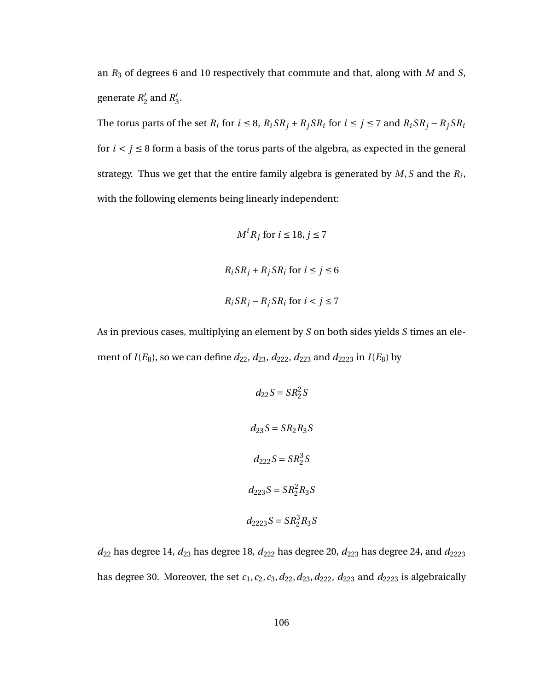an *R*<sup>3</sup> of degrees 6 and 10 respectively that commute and that, along with *M* and *S*, generate *R*<sup>'</sup>  $n_2'$  and  $R_3'$ ,<br>3.

The torus parts of the set  $R_i$  for  $i \leq 8$ ,  $R_i S R_j + R_j S R_i$  for  $i \leq j \leq 7$  and  $R_i S R_j - R_j S R_i$ for  $i < j \leq 8$  form a basis of the torus parts of the algebra, as expected in the general strategy. Thus we get that the entire family algebra is generated by *M*,*S* and the *R<sup>i</sup>* , with the following elements being linearly independent:

$$
M^{i} R_{j} \text{ for } i \leq 18, j \leq 7
$$
  

$$
R_{i} SR_{j} + R_{j} SR_{i} \text{ for } i \leq j \leq 6
$$
  

$$
R_{i} SR_{j} - R_{j} SR_{i} \text{ for } i < j \leq 7
$$

As in previous cases, multiplying an element by *S* on both sides yields *S* times an element of  $I(E_8)$ , so we can define  $d_{22}$ ,  $d_{23}$ ,  $d_{222}$ ,  $d_{223}$  and  $d_{2223}$  in  $I(E_8)$  by

$$
d_{22}S = SR_2^2S
$$
  

$$
d_{23}S = SR_2R_3S
$$
  

$$
d_{222}S = SR_2^3S
$$
  

$$
d_{223}S = SR_2^2R_3S
$$
  

$$
d_{2223}S = SR_2^3R_3S
$$

 $d_{22}$  has degree 14,  $d_{23}$  has degree 18,  $d_{222}$  has degree 20,  $d_{223}$  has degree 24, and  $d_{2223}$ has degree 30. Moreover, the set  $c_1$ ,  $c_2$ ,  $c_3$ ,  $d_{22}$ ,  $d_{23}$ ,  $d_{222}$ ,  $d_{223}$  and  $d_{2223}$  is algebraically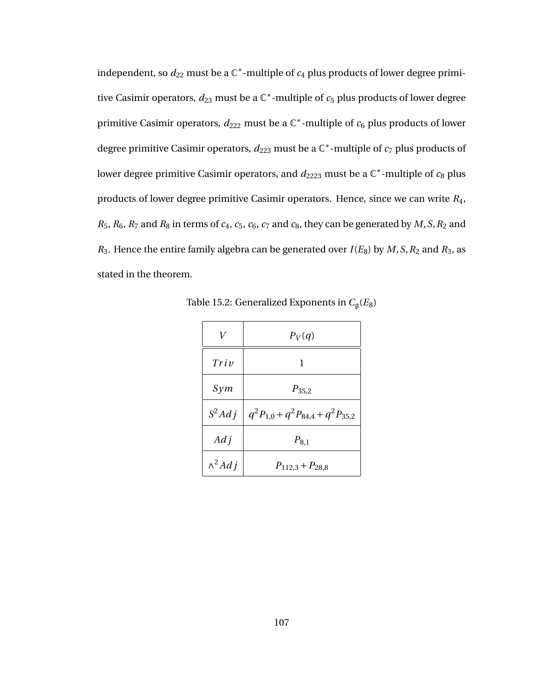independent, so  $d_{22}$  must be a  $\mathbb{C}^*$ -multiple of  $c_4$  plus products of lower degree primitive Casimir operators,  $d_{23}$  must be a  $\mathbb{C}^*$ -multiple of  $c_5$  plus products of lower degree primitive Casimir operators,  $d_{222}$  must be a  $\mathbb{C}^*$ -multiple of  $c_6$  plus products of lower degree primitive Casimir operators,  $d_{223}$  must be a  $\mathbb{C}^*$ -multiple of  $c_7$  plus products of lower degree primitive Casimir operators, and  $d_{2223}$  must be a  $\mathbb{C}^*$ -multiple of  $c_8$  plus products of lower degree primitive Casimir operators. Hence, since we can write *R*4,  $R_5$ ,  $R_6$ ,  $R_7$  and  $R_8$  in terms of  $c_4$ ,  $c_5$ ,  $c_6$ ,  $c_7$  and  $c_8$ , they can be generated by  $M$ ,  $S$ ,  $R_2$  and  $R_3$ . Hence the entire family algebra can be generated over  $I(E_8)$  by  $M$ ,  $S$ ,  $R_2$  and  $R_3$ , as stated in the theorem.

| V              | $P_V(q)$                                         |
|----------------|--------------------------------------------------|
| Triv           | 1                                                |
| Sym            | $P_{35,2}$                                       |
|                | $S^2Adj \mid q^2P_{1,0}+q^2P_{84,4}+q^2P_{35,2}$ |
| $Ad\,i$        | $P_{8,1}$                                        |
| $\wedge^2 Adj$ | $P_{112,3} + P_{28,8}$                           |

Table 15.2: Generalized Exponents in *C*g(*E*8)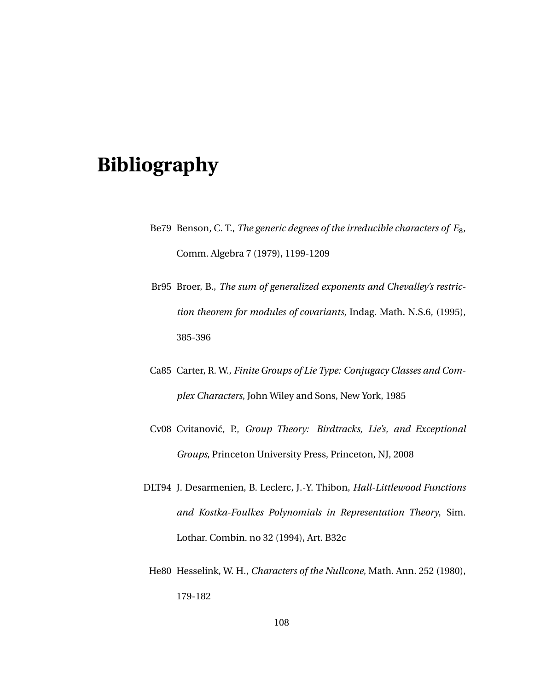## **Bibliography**

- Be79 Benson, C. T., *The generic degrees of the irreducible characters of E*8, Comm. Algebra 7 (1979), 1199-1209
- Br95 Broer, B., *The sum of generalized exponents and Chevalley's restriction theorem for modules of covariants*, Indag. Math. N.S.6, (1995), 385-396
- Ca85 Carter, R. W., *Finite Groups of Lie Type: Conjugacy Classes and Complex Characters*, John Wiley and Sons, New York, 1985
- Cv08 Cvitanović, P., *Group Theory: Birdtracks, Lie's, and Exceptional Groups*, Princeton University Press, Princeton, NJ, 2008
- DLT94 J. Desarmenien, B. Leclerc, J.-Y. Thibon, *Hall-Littlewood Functions and Kostka-Foulkes Polynomials in Representation Theory*, Sim. Lothar. Combin. no 32 (1994), Art. B32c
- He80 Hesselink, W. H., *Characters of the Nullcone*, Math. Ann. 252 (1980), 179-182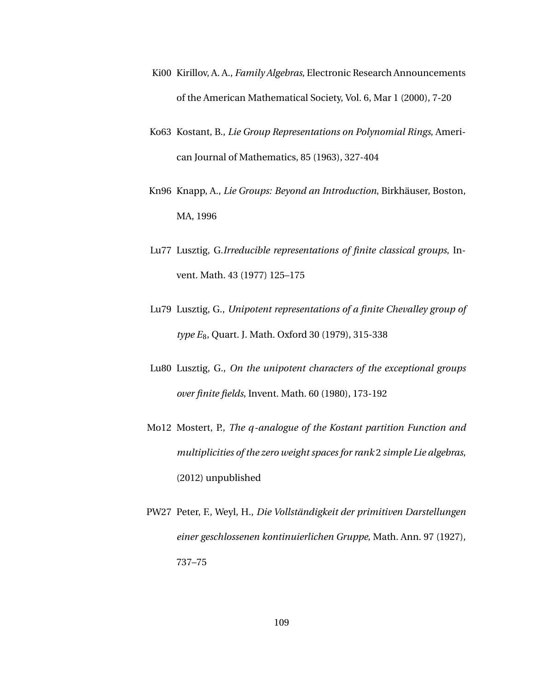- Ki00 Kirillov, A. A., *Family Algebras*, Electronic Research Announcements of the American Mathematical Society, Vol. 6, Mar 1 (2000), 7-20
- Ko63 Kostant, B., *Lie Group Representations on Polynomial Rings*, American Journal of Mathematics, 85 (1963), 327-404
- Kn96 Knapp, A., *Lie Groups: Beyond an Introduction*, Birkhäuser, Boston, MA, 1996
- Lu77 Lusztig, G.*Irreducible representations of finite classical groups*, Invent. Math. 43 (1977) 125–175
- Lu79 Lusztig, G., *Unipotent representations of a finite Chevalley group of type E*8, Quart. J. Math. Oxford 30 (1979), 315-338
- Lu80 Lusztig, G., *On the unipotent characters of the exceptional groups over finite fields*, Invent. Math. 60 (1980), 173-192
- Mo12 Mostert, P., *The q-analogue of the Kostant partition Function and multiplicities of the zero weight spaces for rank* 2 *simple Lie algebras*, (2012) unpublished
- PW27 Peter, F., Weyl, H., *Die Vollständigkeit der primitiven Darstellungen einer geschlossenen kontinuierlichen Gruppe*, Math. Ann. 97 (1927), 737–75